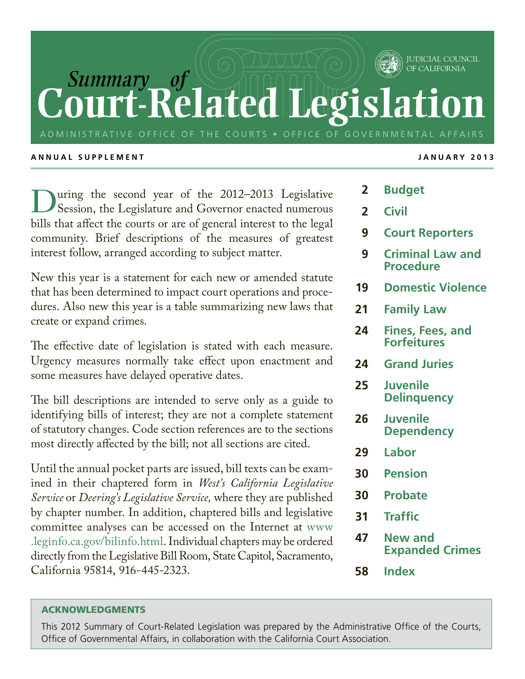## *Summary of* **Court-Related Legi** OF CALIFORNIA

ADMINISTRATIVE OFFICE OF THE COURTS • OFFICE OF GOVERNMENTAL AFFAIRS

### **A nn u al S u pple m ent jan u ar y 2 0 1 3**

uring the second year of the 2012–2013 Legislative Session, the Legislature and Governor enacted numerous bills that affect the courts or are of general interest to the legal community. Brief descriptions of the measures of greatest interest follow, arranged according to subject matter.

New this year is a statement for each new or amended statute that has been determined to impact court operations and procedures. Also new this year is a table summarizing new laws that create or expand crimes.

The effective date of legislation is stated with each measure. Urgency measures normally take effect upon enactment and some measures have delayed operative dates.

The bill descriptions are intended to serve only as a guide to identifying bills of interest; they are not a complete statement of statutory changes. Code section references are to the sections most directly affected by the bill; not all sections are cited.

Until the annual pocket parts are issued, bill texts can be examined in their chaptered form in *West's California Legislative Service* or *Deering's Legislative Service,* where they are published by chapter number. In addition, chaptered bills and legislative committee analyses can be accessed on the Internet at www .leginfo.ca.gov/bilinfo.html. Individual chapters may be ordered directly from the Legislative Bill Room, State Capitol, Sacramento, California 95814, 916-445-2323.

JUDICIAL COUNCIL

- **2 Budget**
- **2 Civil**
- **9 Court Reporters**
- **9 Criminal Law and Procedure**
- **19 Domestic Violence**
- **21 Family Law**
- **24 Fines, Fees, and Forfeitures**
- **24 Grand Juries**
- **25 Juvenile Delinquency**
- **26 Juvenile Dependency**
- **29 Labor**
- **30 Pension**
- **30 Probate**
- **31 Traffic**
- **47 New and Expanded Crimes**
- **58 Index**

## ACKNOWLEDGMENTS

This 2012 Summary of Court-Related Legislation was prepared by the Administrative Office of the Courts, Office of Governmental Affairs, in collaboration with the California Court Association.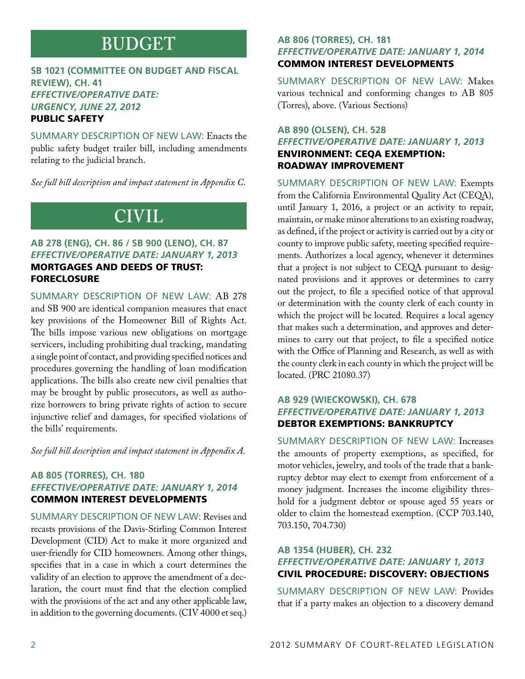## **BUDGET**

## **SB 1021 (Committee on Budget and Fiscal Review), CH. 41** *Effective/Operative Date: Urgency, June 27, 2012* Public safety

Summary Description of New Law: Enacts the public safety budget trailer bill, including amendments relating to the judicial branch.

*See full bill description and impact statement in Appendix C.*

## **CIVIL**

## **AB 278 (Eng), CH. 86 / SB 900 (Leno), CH. 87** *Effective/Operative Date: January 1, 2013* Mortgages and deeds of trust:

## foreclosure

Summary Description of New Law: AB 278 and SB 900 are identical companion measures that enact key provisions of the Homeowner Bill of Rights Act. The bills impose various new obligations on mortgage servicers, including prohibiting dual tracking, mandating a single point of contact, and providing specified notices and procedures governing the handling of loan modification applications. The bills also create new civil penalties that may be brought by public prosecutors, as well as authorize borrowers to bring private rights of action to secure injunctive relief and damages, for specified violations of the bills' requirements.

*See full bill description and impact statement in Appendix A.*

## **AB 805 (Torres), CH. 180** *Effective/Operative Date: January 1, 2014* Common interest developments

Summary Description of New Law: Revises and recasts provisions of the Davis-Stirling Common Interest Development (CID) Act to make it more organized and user-friendly for CID homeowners. Among other things, specifies that in a case in which a court determines the validity of an election to approve the amendment of a declaration, the court must find that the election complied with the provisions of the act and any other applicable law, in addition to the governing documents. (CIV 4000 et seq.)

## **AB 806 (Torres), CH. 181** *Effective/Operative Date: January 1, 2014* Common interest developments

Summary Description of New Law: Makes various technical and conforming changes to AB 805 (Torres), above. (Various Sections)

## **AB 890 (Olsen), CH. 528** *Effective/Operative Date: January 1, 2013* Environment: CEQA exemption: roadway improvement

Summary Description of New Law: Exempts from the California Environmental Quality Act (CEQA), until January 1, 2016, a project or an activity to repair, maintain, or make minor alterations to an existing roadway, as defined, if the project or activity is carried out by a city or county to improve public safety, meeting specified requirements. Authorizes a local agency, whenever it determines that a project is not subject to CEQA pursuant to designated provisions and it approves or determines to carry out the project, to file a specified notice of that approval or determination with the county clerk of each county in which the project will be located. Requires a local agency that makes such a determination, and approves and determines to carry out that project, to file a specified notice with the Office of Planning and Research, as well as with the county clerk in each county in which the project will be located. (PRC 21080.37)

## **AB 929 (Wieckowski), CH. 678** *Effective/Operative Date: January 1, 2013* Debtor exemptions: bankruptcy

Summary Description of New Law: Increases the amounts of property exemptions, as specified, for motor vehicles, jewelry, and tools of the trade that a bankruptcy debtor may elect to exempt from enforcement of a money judgment. Increases the income eligibility threshold for a judgment debtor or spouse aged 55 years or older to claim the homestead exemption. (CCP 703.140, 703.150, 704.730)

## **AB 1354 (Huber), CH. 232** *Effective/Operative Date: January 1, 2013* Civil procedure: discovery: objections

Summary Description of New Law: Provides that if a party makes an objection to a discovery demand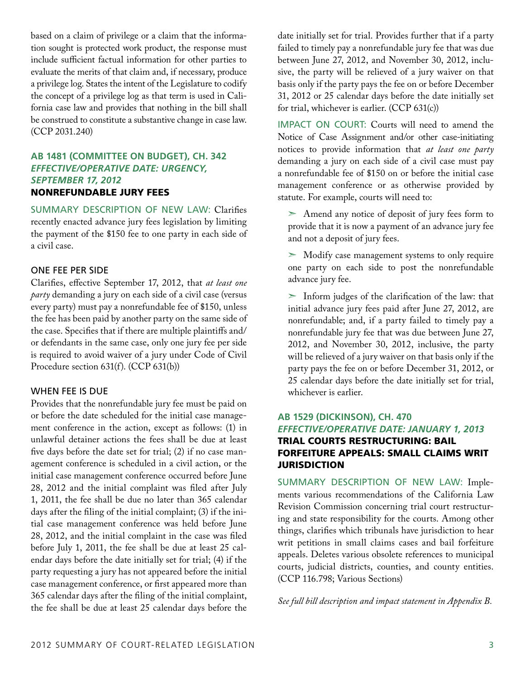based on a claim of privilege or a claim that the information sought is protected work product, the response must include sufficient factual information for other parties to evaluate the merits of that claim and, if necessary, produce a privilege log. States the intent of the Legislature to codify the concept of a privilege log as that term is used in California case law and provides that nothing in the bill shall be construed to constitute a substantive change in case law. (CCP 2031.240)

## **AB 1481 (Committee on Budget), CH. 342** *Effective/Operative Date: Urgency, September 17, 2012* Nonrefundable jury fees

Summary Description of New Law: Clarifies recently enacted advance jury fees legislation by limiting the payment of the \$150 fee to one party in each side of a civil case.

## One fee per side

Clarifies, effective September 17, 2012, that *at least one party* demanding a jury on each side of a civil case (versus every party) must pay a nonrefundable fee of \$150, unless the fee has been paid by another party on the same side of the case. Specifies that if there are multiple plaintiffs and/ or defendants in the same case, only one jury fee per side is required to avoid waiver of a jury under Code of Civil Procedure section 631(f). (CCP 631(b))

## When fee is due

Provides that the nonrefundable jury fee must be paid on or before the date scheduled for the initial case management conference in the action, except as follows: (1) in unlawful detainer actions the fees shall be due at least five days before the date set for trial; (2) if no case management conference is scheduled in a civil action, or the initial case management conference occurred before June 28, 2012 and the initial complaint was filed after July 1, 2011, the fee shall be due no later than 365 calendar days after the filing of the initial complaint; (3) if the initial case management conference was held before June 28, 2012, and the initial complaint in the case was filed before July 1, 2011, the fee shall be due at least 25 calendar days before the date initially set for trial; (4) if the party requesting a jury has not appeared before the initial case management conference, or first appeared more than 365 calendar days after the filing of the initial complaint, the fee shall be due at least 25 calendar days before the

date initially set for trial. Provides further that if a party failed to timely pay a nonrefundable jury fee that was due between June 27, 2012, and November 30, 2012, inclusive, the party will be relieved of a jury waiver on that basis only if the party pays the fee on or before December 31, 2012 or 25 calendar days before the date initially set for trial, whichever is earlier. (CCP 631(c))

Impact on Court: Courts will need to amend the Notice of Case Assignment and/or other case-initiating notices to provide information that *at least one party*  demanding a jury on each side of a civil case must pay a nonrefundable fee of \$150 on or before the initial case management conference or as otherwise provided by statute. For example, courts will need to:

 $\geq$  Amend any notice of deposit of jury fees form to provide that it is now a payment of an advance jury fee and not a deposit of jury fees.

 $>$  Modify case management systems to only require one party on each side to post the nonrefundable advance jury fee.

 $>$  Inform judges of the clarification of the law: that initial advance jury fees paid after June 27, 2012, are nonrefundable; and, if a party failed to timely pay a nonrefundable jury fee that was due between June 27, 2012, and November 30, 2012, inclusive, the party will be relieved of a jury waiver on that basis only if the party pays the fee on or before December 31, 2012, or 25 calendar days before the date initially set for trial, whichever is earlier.

## **AB 1529 (Dickinson), CH. 470** *Effective/Operative Date: January 1, 2013* Trial courts restructuring: bail forfeiture appeals: small claims writ **JURISDICTION**

Summary Description of New Law: Implements various recommendations of the California Law Revision Commission concerning trial court restructuring and state responsibility for the courts. Among other things, clarifies which tribunals have jurisdiction to hear writ petitions in small claims cases and bail forfeiture appeals. Deletes various obsolete references to municipal courts, judicial districts, counties, and county entities. (CCP 116.798; Various Sections)

*See full bill description and impact statement in Appendix B.*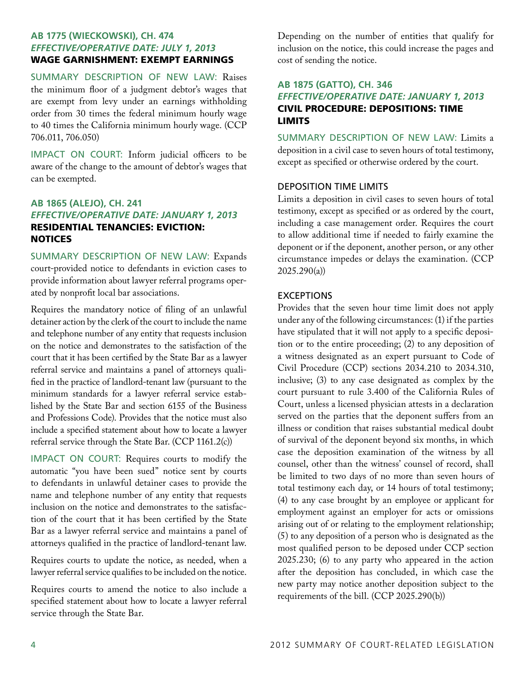## **AB 1775 (Wieckowski), CH. 474** *Effective/Operative Date: July 1, 2013* Wage garnishment: exempt earnings

Summary Description of New Law: Raises the minimum floor of a judgment debtor's wages that are exempt from levy under an earnings withholding order from 30 times the federal minimum hourly wage to 40 times the California minimum hourly wage. (CCP 706.011, 706.050)

IMPACT ON COURT: Inform judicial officers to be aware of the change to the amount of debtor's wages that can be exempted.

## **AB 1865 (Alejo), CH. 241** *Effective/Operative Date: January 1, 2013* Residential tenancies: eviction: **NOTICES**

Summary Description of New Law: Expands court-provided notice to defendants in eviction cases to provide information about lawyer referral programs operated by nonprofit local bar associations.

Requires the mandatory notice of filing of an unlawful detainer action by the clerk of the court to include the name and telephone number of any entity that requests inclusion on the notice and demonstrates to the satisfaction of the court that it has been certified by the State Bar as a lawyer referral service and maintains a panel of attorneys qualified in the practice of landlord-tenant law (pursuant to the minimum standards for a lawyer referral service established by the State Bar and section 6155 of the Business and Professions Code). Provides that the notice must also include a specified statement about how to locate a lawyer referral service through the State Bar. (CCP 1161.2(c))

IMPACT ON COURT: Requires courts to modify the automatic "you have been sued" notice sent by courts to defendants in unlawful detainer cases to provide the name and telephone number of any entity that requests inclusion on the notice and demonstrates to the satisfaction of the court that it has been certified by the State Bar as a lawyer referral service and maintains a panel of attorneys qualified in the practice of landlord-tenant law.

Requires courts to update the notice, as needed, when a lawyer referral service qualifies to be included on the notice.

Requires courts to amend the notice to also include a specified statement about how to locate a lawyer referral service through the State Bar.

Depending on the number of entities that qualify for inclusion on the notice, this could increase the pages and cost of sending the notice.

## **AB 1875 (Gatto), CH. 346** *Effective/Operative Date: January 1, 2013* Civil procedure: depositions: time **LIMITS**

Summary Description of New Law: Limits a deposition in a civil case to seven hours of total testimony, except as specified or otherwise ordered by the court.

## Deposition time limits

Limits a deposition in civil cases to seven hours of total testimony, except as specified or as ordered by the court, including a case management order. Requires the court to allow additional time if needed to fairly examine the deponent or if the deponent, another person, or any other circumstance impedes or delays the examination. (CCP 2025.290(a))

## **EXCEPTIONS**

Provides that the seven hour time limit does not apply under any of the following circumstances: (1) if the parties have stipulated that it will not apply to a specific deposition or to the entire proceeding; (2) to any deposition of a witness designated as an expert pursuant to Code of Civil Procedure (CCP) sections 2034.210 to 2034.310, inclusive; (3) to any case designated as complex by the court pursuant to rule 3.400 of the California Rules of Court, unless a licensed physician attests in a declaration served on the parties that the deponent suffers from an illness or condition that raises substantial medical doubt of survival of the deponent beyond six months, in which case the deposition examination of the witness by all counsel, other than the witness' counsel of record, shall be limited to two days of no more than seven hours of total testimony each day, or 14 hours of total testimony; (4) to any case brought by an employee or applicant for employment against an employer for acts or omissions arising out of or relating to the employment relationship; (5) to any deposition of a person who is designated as the most qualified person to be deposed under CCP section 2025.230; (6) to any party who appeared in the action after the deposition has concluded, in which case the new party may notice another deposition subject to the requirements of the bill. (CCP 2025.290(b))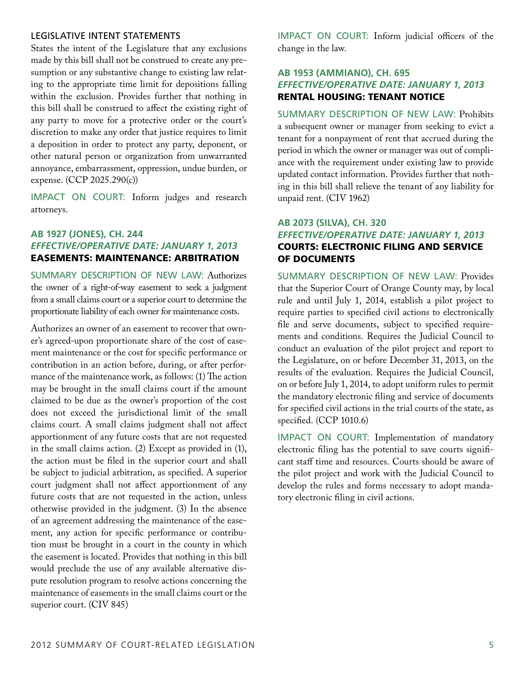### Legislative intent statements

States the intent of the Legislature that any exclusions made by this bill shall not be construed to create any presumption or any substantive change to existing law relating to the appropriate time limit for depositions falling within the exclusion. Provides further that nothing in this bill shall be construed to affect the existing right of any party to move for a protective order or the court's discretion to make any order that justice requires to limit a deposition in order to protect any party, deponent, or other natural person or organization from unwarranted annoyance, embarrassment, oppression, undue burden, or expense. (CCP 2025.290(c))

IMPACT ON COURT: Inform judges and research attorneys.

## **AB 1927 (Jones), CH. 244** *Effective/Operative Date: January 1, 2013* Easements: maintenance: arbitration

Summary Description of New Law: Authorizes the owner of a right-of-way easement to seek a judgment from a small claims court or a superior court to determine the proportionate liability of each owner for maintenance costs.

Authorizes an owner of an easement to recover that owner's agreed-upon proportionate share of the cost of easement maintenance or the cost for specific performance or contribution in an action before, during, or after performance of the maintenance work, as follows: (1) The action may be brought in the small claims court if the amount claimed to be due as the owner's proportion of the cost does not exceed the jurisdictional limit of the small claims court. A small claims judgment shall not affect apportionment of any future costs that are not requested in the small claims action. (2) Except as provided in (1), the action must be filed in the superior court and shall be subject to judicial arbitration, as specified. A superior court judgment shall not affect apportionment of any future costs that are not requested in the action, unless otherwise provided in the judgment. (3) In the absence of an agreement addressing the maintenance of the easement, any action for specific performance or contribution must be brought in a court in the county in which the easement is located. Provides that nothing in this bill would preclude the use of any available alternative dispute resolution program to resolve actions concerning the maintenance of easements in the small claims court or the superior court. (CIV 845)

Impact on Court: Inform judicial officers of the change in the law.

## **AB 1953 (Ammiano), CH. 695** *Effective/Operative Date: January 1, 2013* Rental housing: tenant notice

Summary Description of New Law: Prohibits a subsequent owner or manager from seeking to evict a tenant for a nonpayment of rent that accrued during the period in which the owner or manager was out of compliance with the requirement under existing law to provide updated contact information. Provides further that nothing in this bill shall relieve the tenant of any liability for unpaid rent. (CIV 1962)

### **AB 2073 (Silva), CH. 320**

## *Effective/Operative Date: January 1, 2013* Courts: electronic filing and service of documents

Summary Description of New Law: Provides that the Superior Court of Orange County may, by local rule and until July 1, 2014, establish a pilot project to require parties to specified civil actions to electronically file and serve documents, subject to specified requirements and conditions. Requires the Judicial Council to conduct an evaluation of the pilot project and report to the Legislature, on or before December 31, 2013, on the results of the evaluation. Requires the Judicial Council, on or before July 1, 2014, to adopt uniform rules to permit the mandatory electronic filing and service of documents for specified civil actions in the trial courts of the state, as specified. (CCP 1010.6)

IMPACT ON COURT: Implementation of mandatory electronic filing has the potential to save courts significant staff time and resources. Courts should be aware of the pilot project and work with the Judicial Council to develop the rules and forms necessary to adopt mandatory electronic filing in civil actions.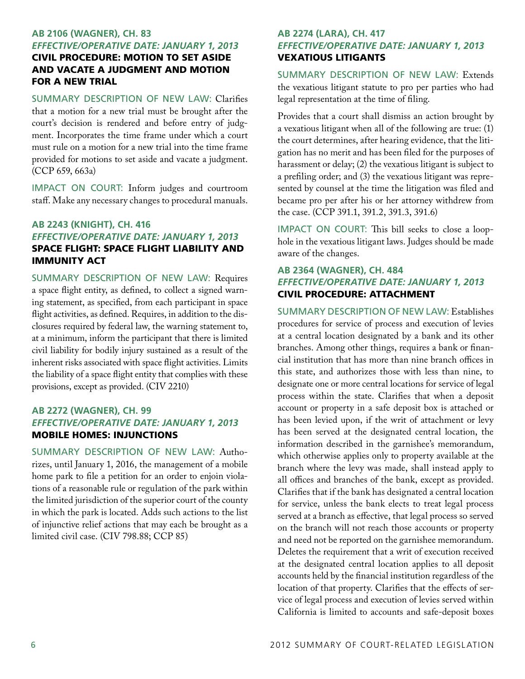## **AB 2106 (Wagner), CH. 83** *Effective/Operative Date: January 1, 2013*

## Civil procedure: motion to set aside and vacate a judgment and motion for a new trial

Summary Description of New Law: Clarifies that a motion for a new trial must be brought after the court's decision is rendered and before entry of judgment. Incorporates the time frame under which a court must rule on a motion for a new trial into the time frame provided for motions to set aside and vacate a judgment. (CCP 659, 663a)

Impact on Court: Inform judges and courtroom staff. Make any necessary changes to procedural manuals.

## **AB 2243 (Knight), CH. 416** *Effective/Operative Date: January 1, 2013* Space flight: Space Flight Liability and Immunity Act

Summary Description of New Law: Requires a space flight entity, as defined, to collect a signed warning statement, as specified, from each participant in space flight activities, as defined. Requires, in addition to the disclosures required by federal law, the warning statement to, at a minimum, inform the participant that there is limited civil liability for bodily injury sustained as a result of the inherent risks associated with space flight activities. Limits the liability of a space flight entity that complies with these provisions, except as provided. (CIV 2210)

## **AB 2272 (Wagner), CH. 99** *Effective/Operative Date: January 1, 2013* Mobile homes: injunctions

Summary Description of New Law: Authorizes, until January 1, 2016, the management of a mobile home park to file a petition for an order to enjoin violations of a reasonable rule or regulation of the park within the limited jurisdiction of the superior court of the county in which the park is located. Adds such actions to the list of injunctive relief actions that may each be brought as a limited civil case. (CIV 798.88; CCP 85)

## **AB 2274 (Lara), CH. 417** *Effective/Operative Date: January 1, 2013* Vexatious litigants

Summary Description of New Law: Extends the vexatious litigant statute to pro per parties who had legal representation at the time of filing.

Provides that a court shall dismiss an action brought by a vexatious litigant when all of the following are true: (1) the court determines, after hearing evidence, that the litigation has no merit and has been filed for the purposes of harassment or delay; (2) the vexatious litigant is subject to a prefiling order; and (3) the vexatious litigant was represented by counsel at the time the litigation was filed and became pro per after his or her attorney withdrew from the case. (CCP 391.1, 391.2, 391.3, 391.6)

Impact on Court: This bill seeks to close a loophole in the vexatious litigant laws. Judges should be made aware of the changes.

## **AB 2364 (Wagner), CH. 484** *Effective/Operative Date: January 1, 2013* Civil procedure: attachment

Summary Description of New Law: Establishes procedures for service of process and execution of levies at a central location designated by a bank and its other branches. Among other things, requires a bank or financial institution that has more than nine branch offices in this state, and authorizes those with less than nine, to designate one or more central locations for service of legal process within the state. Clarifies that when a deposit account or property in a safe deposit box is attached or has been levied upon, if the writ of attachment or levy has been served at the designated central location, the information described in the garnishee's memorandum, which otherwise applies only to property available at the branch where the levy was made, shall instead apply to all offices and branches of the bank, except as provided. Clarifies that if the bank has designated a central location for service, unless the bank elects to treat legal process served at a branch as effective, that legal process so served on the branch will not reach those accounts or property and need not be reported on the garnishee memorandum. Deletes the requirement that a writ of execution received at the designated central location applies to all deposit accounts held by the financial institution regardless of the location of that property. Clarifies that the effects of service of legal process and execution of levies served within California is limited to accounts and safe-deposit boxes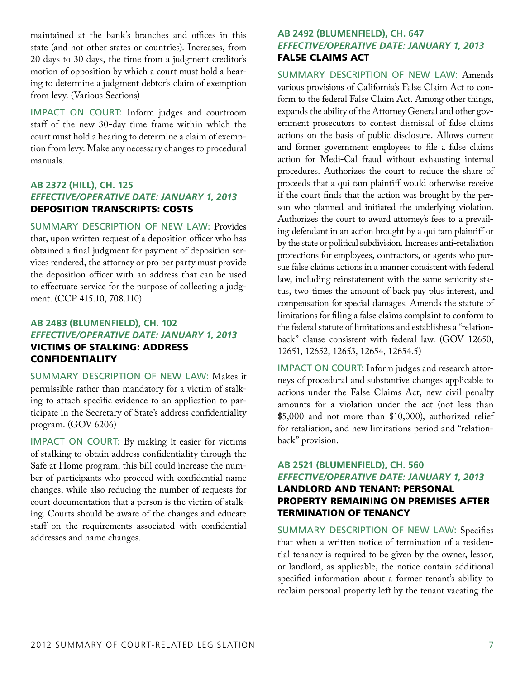maintained at the bank's branches and offices in this state (and not other states or countries). Increases, from 20 days to 30 days, the time from a judgment creditor's motion of opposition by which a court must hold a hearing to determine a judgment debtor's claim of exemption from levy. (Various Sections)

Impact on Court: Inform judges and courtroom staff of the new 30-day time frame within which the court must hold a hearing to determine a claim of exemption from levy. Make any necessary changes to procedural manuals.

## **AB 2372 (Hill), CH. 125** *Effective/Operative Date: January 1, 2013* Deposition transcripts: costs

Summary Description of New Law: Provides that, upon written request of a deposition officer who has obtained a final judgment for payment of deposition services rendered, the attorney or pro per party must provide the deposition officer with an address that can be used to effectuate service for the purpose of collecting a judgment. (CCP 415.10, 708.110)

## **AB 2483 (Blumenfield), CH. 102** *Effective/Operative Date: January 1, 2013* Victims of stalking: address **CONFIDENTIALITY**

Summary Description of New Law: Makes it permissible rather than mandatory for a victim of stalking to attach specific evidence to an application to participate in the Secretary of State's address confidentiality program. (GOV 6206)

IMPACT ON COURT: By making it easier for victims of stalking to obtain address confidentiality through the Safe at Home program, this bill could increase the number of participants who proceed with confidential name changes, while also reducing the number of requests for court documentation that a person is the victim of stalking. Courts should be aware of the changes and educate staff on the requirements associated with confidential addresses and name changes.

## **AB 2492 (Blumenfield), CH. 647** *Effective/Operative Date: January 1, 2013* False Claims Act

Summary Description of New Law: Amends various provisions of California's False Claim Act to conform to the federal False Claim Act. Among other things, expands the ability of the Attorney General and other government prosecutors to contest dismissal of false claims actions on the basis of public disclosure. Allows current and former government employees to file a false claims action for Medi-Cal fraud without exhausting internal procedures. Authorizes the court to reduce the share of proceeds that a qui tam plaintiff would otherwise receive if the court finds that the action was brought by the person who planned and initiated the underlying violation. Authorizes the court to award attorney's fees to a prevailing defendant in an action brought by a qui tam plaintiff or by the state or political subdivision. Increases anti-retaliation protections for employees, contractors, or agents who pursue false claims actions in a manner consistent with federal law, including reinstatement with the same seniority status, two times the amount of back pay plus interest, and compensation for special damages. Amends the statute of limitations for filing a false claims complaint to conform to the federal statute of limitations and establishes a "relationback" clause consistent with federal law. (GOV 12650, 12651, 12652, 12653, 12654, 12654.5)

IMPACT ON COURT: Inform judges and research attorneys of procedural and substantive changes applicable to actions under the False Claims Act, new civil penalty amounts for a violation under the act (not less than \$5,000 and not more than \$10,000), authorized relief for retaliation, and new limitations period and "relationback" provision.

## **AB 2521 (Blumenfield), CH. 560** *Effective/Operative Date: January 1, 2013* Landlord and tenant: personal property remaining on premises after termination of tenancy

Summary Description of New Law: Specifies that when a written notice of termination of a residential tenancy is required to be given by the owner, lessor, or landlord, as applicable, the notice contain additional specified information about a former tenant's ability to reclaim personal property left by the tenant vacating the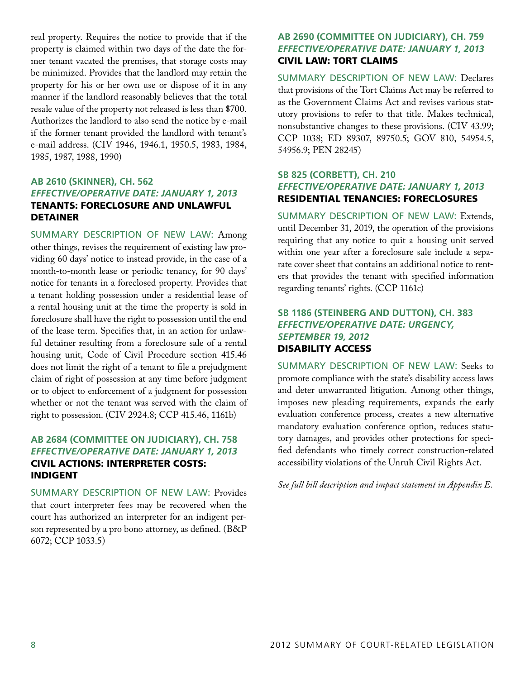real property. Requires the notice to provide that if the property is claimed within two days of the date the former tenant vacated the premises, that storage costs may be minimized. Provides that the landlord may retain the property for his or her own use or dispose of it in any manner if the landlord reasonably believes that the total resale value of the property not released is less than \$700. Authorizes the landlord to also send the notice by e-mail if the former tenant provided the landlord with tenant's e-mail address. (CIV 1946, 1946.1, 1950.5, 1983, 1984, 1985, 1987, 1988, 1990)

## **AB 2610 (Skinner), CH. 562** *Effective/Operative Date: January 1, 2013* Tenants: foreclosure and unlawful **DETAINER**

Summary Description of New Law: Among other things, revises the requirement of existing law providing 60 days' notice to instead provide, in the case of a month-to-month lease or periodic tenancy, for 90 days' notice for tenants in a foreclosed property. Provides that a tenant holding possession under a residential lease of a rental housing unit at the time the property is sold in foreclosure shall have the right to possession until the end of the lease term. Specifies that, in an action for unlawful detainer resulting from a foreclosure sale of a rental housing unit, Code of Civil Procedure section 415.46 does not limit the right of a tenant to file a prejudgment claim of right of possession at any time before judgment or to object to enforcement of a judgment for possession whether or not the tenant was served with the claim of right to possession. (CIV 2924.8; CCP 415.46, 1161b)

## **AB 2684 (Committee on Judiciary), CH. 758** *Effective/Operative Date: January 1, 2013* Civil actions: interpreter costs: indigent

Summary Description of New Law: Provides that court interpreter fees may be recovered when the court has authorized an interpreter for an indigent person represented by a pro bono attorney, as defined. (B&P 6072; CCP 1033.5)

## **AB 2690 (Committee on Judiciary), CH. 759** *Effective/Operative Date: January 1, 2013* Civil law: tort claims

Summary Description of New Law: Declares that provisions of the Tort Claims Act may be referred to as the Government Claims Act and revises various statutory provisions to refer to that title. Makes technical, nonsubstantive changes to these provisions. (CIV 43.99; CCP 1038; ED 89307, 89750.5; GOV 810, 54954.5, 54956.9; PEN 28245)

## **SB 825 (Corbett), CH. 210** *Effective/Operative Date: January 1, 2013* Residential tenancies: foreclosures

Summary Description of New Law: Extends, until December 31, 2019, the operation of the provisions requiring that any notice to quit a housing unit served within one year after a foreclosure sale include a separate cover sheet that contains an additional notice to renters that provides the tenant with specified information regarding tenants' rights. (CCP 1161c)

## **SB 1186 (Steinberg and Dutton), CH. 383** *Effective/Operative Date: Urgency, September 19, 2012* Disability access

Summary Description of New Law: Seeks to promote compliance with the state's disability access laws and deter unwarranted litigation. Among other things, imposes new pleading requirements, expands the early evaluation conference process, creates a new alternative mandatory evaluation conference option, reduces statutory damages, and provides other protections for specified defendants who timely correct construction-related accessibility violations of the Unruh Civil Rights Act.

*See full bill description and impact statement in Appendix E.*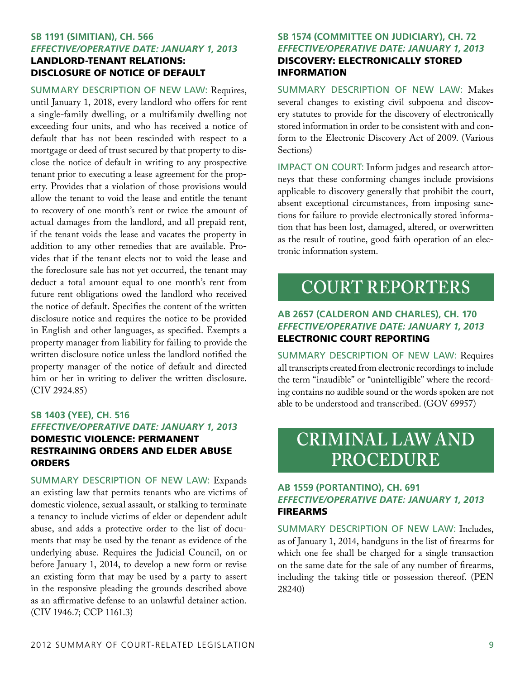## **SB 1191 (Simitian), CH. 566** *Effective/Operative Date: January 1, 2013* Landlord-tenant relations: disclosure of notice of default

Summary Description of New Law: Requires, until January 1, 2018, every landlord who offers for rent a single-family dwelling, or a multifamily dwelling not exceeding four units, and who has received a notice of default that has not been rescinded with respect to a mortgage or deed of trust secured by that property to disclose the notice of default in writing to any prospective tenant prior to executing a lease agreement for the property. Provides that a violation of those provisions would allow the tenant to void the lease and entitle the tenant to recovery of one month's rent or twice the amount of actual damages from the landlord, and all prepaid rent, if the tenant voids the lease and vacates the property in addition to any other remedies that are available. Provides that if the tenant elects not to void the lease and the foreclosure sale has not yet occurred, the tenant may deduct a total amount equal to one month's rent from future rent obligations owed the landlord who received the notice of default. Specifies the content of the written disclosure notice and requires the notice to be provided in English and other languages, as specified. Exempts a property manager from liability for failing to provide the written disclosure notice unless the landlord notified the property manager of the notice of default and directed him or her in writing to deliver the written disclosure. (CIV 2924.85)

## **SB 1403 (Yee), CH. 516** *Effective/Operative Date: January 1, 2013* Domestic violence: permanent restraining orders and elder abuse **ORDERS**

Summary Description of New Law: Expands an existing law that permits tenants who are victims of domestic violence, sexual assault, or stalking to terminate a tenancy to include victims of elder or dependent adult abuse, and adds a protective order to the list of documents that may be used by the tenant as evidence of the underlying abuse. Requires the Judicial Council, on or before January 1, 2014, to develop a new form or revise an existing form that may be used by a party to assert in the responsive pleading the grounds described above as an affirmative defense to an unlawful detainer action. (CIV 1946.7; CCP 1161.3)

## **SB 1574 (Committee on Judiciary), CH. 72** *Effective/Operative Date: January 1, 2013* Discovery: electronically stored information

Summary Description of New Law: Makes several changes to existing civil subpoena and discovery statutes to provide for the discovery of electronically stored information in order to be consistent with and conform to the Electronic Discovery Act of 2009. (Various Sections)

IMPACT ON COURT: Inform judges and research attorneys that these conforming changes include provisions applicable to discovery generally that prohibit the court, absent exceptional circumstances, from imposing sanctions for failure to provide electronically stored information that has been lost, damaged, altered, or overwritten as the result of routine, good faith operation of an electronic information system.

## **COURT REPORTERS**

## **AB 2657 (Calderon and Charles), CH. 170** *Effective/Operative Date: January 1, 2013* Electronic court reporting

Summary Description of New Law: Requires all transcripts created from electronic recordings to include the term "inaudible" or "unintelligible" where the recording contains no audible sound or the words spoken are not able to be understood and transcribed. (GOV 69957)

## **CRIMINAL LAW AND PROCEDURE**

## **AB 1559 (Portantino), CH. 691** *Effective/Operative Date: January 1, 2013* **FIREARMS**

Summary Description of New Law: Includes, as of January 1, 2014, handguns in the list of firearms for which one fee shall be charged for a single transaction on the same date for the sale of any number of firearms, including the taking title or possession thereof. (PEN 28240)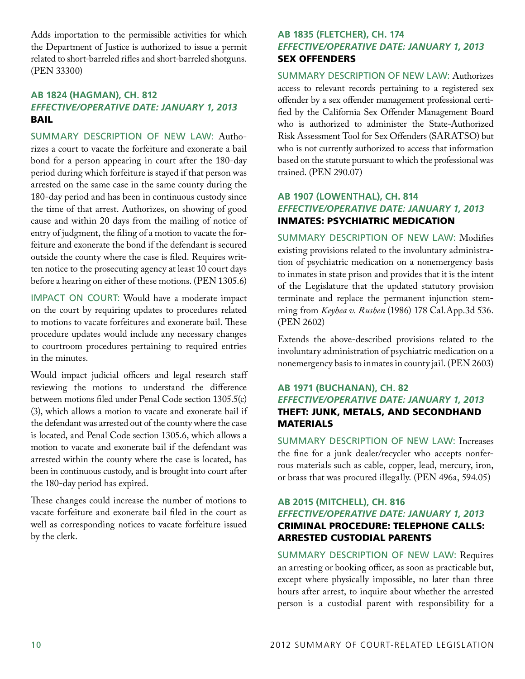Adds importation to the permissible activities for which the Department of Justice is authorized to issue a permit related to short-barreled rifles and short-barreled shotguns. (PEN 33300)

## **AB 1824 (Hagman), CH. 812** *Effective/Operative Date: January 1, 2013* Bail

Summary Description of New Law: Authorizes a court to vacate the forfeiture and exonerate a bail bond for a person appearing in court after the 180-day period during which forfeiture is stayed if that person was arrested on the same case in the same county during the 180-day period and has been in continuous custody since the time of that arrest. Authorizes, on showing of good cause and within 20 days from the mailing of notice of entry of judgment, the filing of a motion to vacate the forfeiture and exonerate the bond if the defendant is secured outside the county where the case is filed. Requires written notice to the prosecuting agency at least 10 court days before a hearing on either of these motions. (PEN 1305.6)

IMPACT ON COURT: Would have a moderate impact on the court by requiring updates to procedures related to motions to vacate forfeitures and exonerate bail. These procedure updates would include any necessary changes to courtroom procedures pertaining to required entries in the minutes.

Would impact judicial officers and legal research staff reviewing the motions to understand the difference between motions filed under Penal Code section 1305.5(c) (3), which allows a motion to vacate and exonerate bail if the defendant was arrested out of the county where the case is located, and Penal Code section 1305.6, which allows a motion to vacate and exonerate bail if the defendant was arrested within the county where the case is located, has been in continuous custody, and is brought into court after the 180-day period has expired.

These changes could increase the number of motions to vacate forfeiture and exonerate bail filed in the court as well as corresponding notices to vacate forfeiture issued by the clerk.

## **AB 1835 (Fletcher), CH. 174** *Effective/Operative Date: January 1, 2013* Sex offenders

Summary Description of New Law: Authorizes access to relevant records pertaining to a registered sex offender by a sex offender management professional certified by the California Sex Offender Management Board who is authorized to administer the State-Authorized Risk Assessment Tool for Sex Offenders (SARATSO) but who is not currently authorized to access that information based on the statute pursuant to which the professional was trained. (PEN 290.07)

## **AB 1907 (Lowenthal), CH. 814** *Effective/Operative Date: January 1, 2013* Inmates: psychiatric medication

Summary Description of New Law: Modifies existing provisions related to the involuntary administration of psychiatric medication on a nonemergency basis to inmates in state prison and provides that it is the intent of the Legislature that the updated statutory provision terminate and replace the permanent injunction stemming from *Keyhea v. Rushen* (1986) 178 Cal.App.3d 536. (PEN 2602)

Extends the above-described provisions related to the involuntary administration of psychiatric medication on a nonemergency basis to inmates in county jail. (PEN 2603)

## **AB 1971 (Buchanan), CH. 82** *Effective/Operative Date: January 1, 2013* Theft: junk, metals, and secondhand **MATERIALS**

Summary Description of New Law: Increases the fine for a junk dealer/recycler who accepts nonferrous materials such as cable, copper, lead, mercury, iron, or brass that was procured illegally. (PEN 496a, 594.05)

## **AB 2015 (Mitchell), CH. 816** *Effective/Operative Date: January 1, 2013* Criminal procedure: telephone calls: arrested custodial parents

Summary Description of New Law: Requires an arresting or booking officer, as soon as practicable but, except where physically impossible, no later than three hours after arrest, to inquire about whether the arrested person is a custodial parent with responsibility for a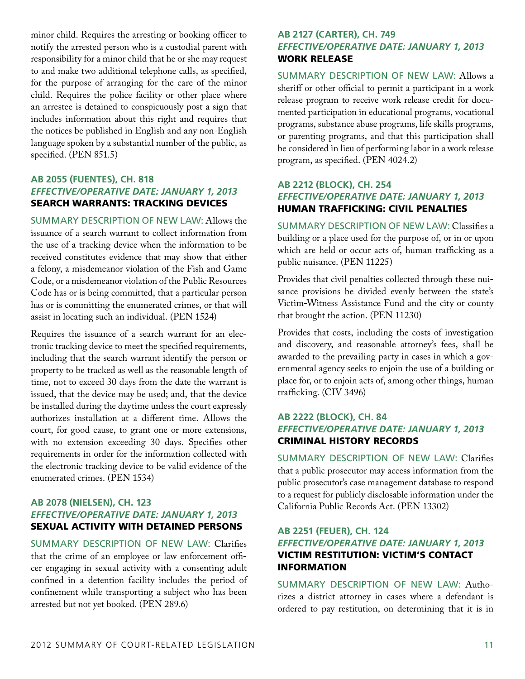minor child. Requires the arresting or booking officer to notify the arrested person who is a custodial parent with responsibility for a minor child that he or she may request to and make two additional telephone calls, as specified, for the purpose of arranging for the care of the minor child. Requires the police facility or other place where an arrestee is detained to conspicuously post a sign that includes information about this right and requires that the notices be published in English and any non-English language spoken by a substantial number of the public, as specified. (PEN 851.5)

## **AB 2055 (Fuentes), CH. 818** *Effective/Operative Date: January 1, 2013* Search warrants: tracking devices

Summary Description of New Law: Allows the issuance of a search warrant to collect information from the use of a tracking device when the information to be received constitutes evidence that may show that either a felony, a misdemeanor violation of the Fish and Game Code, or a misdemeanor violation of the Public Resources Code has or is being committed, that a particular person has or is committing the enumerated crimes, or that will assist in locating such an individual. (PEN 1524)

Requires the issuance of a search warrant for an electronic tracking device to meet the specified requirements, including that the search warrant identify the person or property to be tracked as well as the reasonable length of time, not to exceed 30 days from the date the warrant is issued, that the device may be used; and, that the device be installed during the daytime unless the court expressly authorizes installation at a different time. Allows the court, for good cause, to grant one or more extensions, with no extension exceeding 30 days. Specifies other requirements in order for the information collected with the electronic tracking device to be valid evidence of the enumerated crimes. (PEN 1534)

## **AB 2078 (Nielsen), CH. 123** *Effective/Operative Date: January 1, 2013* Sexual activity with detained persons

Summary Description of New Law: Clarifies that the crime of an employee or law enforcement officer engaging in sexual activity with a consenting adult confined in a detention facility includes the period of confinement while transporting a subject who has been arrested but not yet booked. (PEN 289.6)

## **AB 2127 (Carter), CH. 749** *Effective/Operative Date: January 1, 2013* Work release

Summary Description of New Law: Allows a sheriff or other official to permit a participant in a work release program to receive work release credit for documented participation in educational programs, vocational programs, substance abuse programs, life skills programs, or parenting programs, and that this participation shall be considered in lieu of performing labor in a work release program, as specified. (PEN 4024.2)

## **AB 2212 (Block), CH. 254** *Effective/Operative Date: January 1, 2013* Human trafficking: civil penalties

Summary Description of New Law: Classifies a building or a place used for the purpose of, or in or upon which are held or occur acts of, human trafficking as a public nuisance. (PEN 11225)

Provides that civil penalties collected through these nuisance provisions be divided evenly between the state's Victim-Witness Assistance Fund and the city or county that brought the action. (PEN 11230)

Provides that costs, including the costs of investigation and discovery, and reasonable attorney's fees, shall be awarded to the prevailing party in cases in which a governmental agency seeks to enjoin the use of a building or place for, or to enjoin acts of, among other things, human trafficking. (CIV 3496)

## **AB 2222 (Block), CH. 84** *Effective/Operative Date: January 1, 2013* Criminal history records

Summary Description of New Law: Clarifies that a public prosecutor may access information from the public prosecutor's case management database to respond to a request for publicly disclosable information under the California Public Records Act. (PEN 13302)

## **AB 2251 (Feuer), CH. 124** *Effective/Operative Date: January 1, 2013* Victim restitution: victim's contact **INFORMATION**

Summary Description of New Law: Authorizes a district attorney in cases where a defendant is ordered to pay restitution, on determining that it is in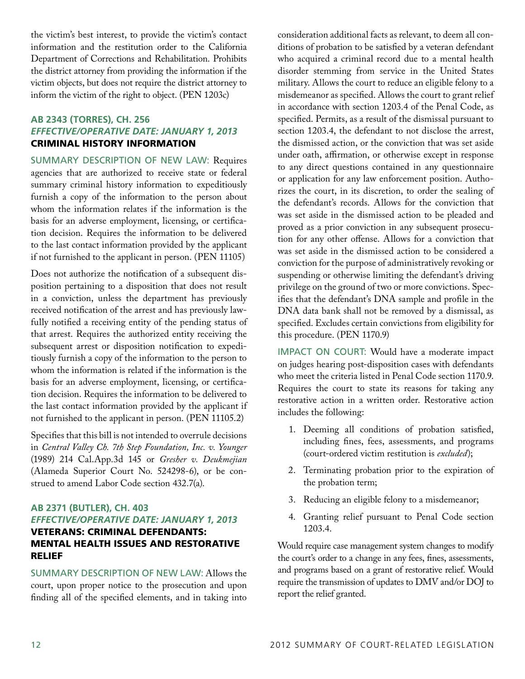the victim's best interest, to provide the victim's contact information and the restitution order to the California Department of Corrections and Rehabilitation. Prohibits the district attorney from providing the information if the victim objects, but does not require the district attorney to inform the victim of the right to object. (PEN 1203c)

## **AB 2343 (Torres), CH. 256** *Effective/Operative Date: January 1, 2013* Criminal history information

Summary Description of New Law: Requires agencies that are authorized to receive state or federal summary criminal history information to expeditiously furnish a copy of the information to the person about whom the information relates if the information is the basis for an adverse employment, licensing, or certification decision. Requires the information to be delivered to the last contact information provided by the applicant if not furnished to the applicant in person. (PEN 11105)

Does not authorize the notification of a subsequent disposition pertaining to a disposition that does not result in a conviction, unless the department has previously received notification of the arrest and has previously lawfully notified a receiving entity of the pending status of that arrest. Requires the authorized entity receiving the subsequent arrest or disposition notification to expeditiously furnish a copy of the information to the person to whom the information is related if the information is the basis for an adverse employment, licensing, or certification decision. Requires the information to be delivered to the last contact information provided by the applicant if not furnished to the applicant in person. (PEN 11105.2)

Specifies that this bill is not intended to overrule decisions in *Central Valley Ch. 7th Step Foundation, Inc. v. Younger* (1989) 214 Cal.App.3d 145 or *Gresher v. Deukmejian* (Alameda Superior Court No. 524298-6), or be construed to amend Labor Code section 432.7(a).

## **AB 2371 (Butler), CH. 403** *Effective/Operative Date: January 1, 2013* Veterans: criminal defendants: mental health issues and restorative relief

Summary Description of New Law: Allows the court, upon proper notice to the prosecution and upon finding all of the specified elements, and in taking into

consideration additional facts as relevant, to deem all conditions of probation to be satisfied by a veteran defendant who acquired a criminal record due to a mental health disorder stemming from service in the United States military. Allows the court to reduce an eligible felony to a misdemeanor as specified. Allows the court to grant relief in accordance with section 1203.4 of the Penal Code, as specified. Permits, as a result of the dismissal pursuant to section 1203.4, the defendant to not disclose the arrest, the dismissed action, or the conviction that was set aside under oath, affirmation, or otherwise except in response to any direct questions contained in any questionnaire or application for any law enforcement position. Authorizes the court, in its discretion, to order the sealing of the defendant's records. Allows for the conviction that was set aside in the dismissed action to be pleaded and proved as a prior conviction in any subsequent prosecution for any other offense. Allows for a conviction that was set aside in the dismissed action to be considered a conviction for the purpose of administratively revoking or suspending or otherwise limiting the defendant's driving privilege on the ground of two or more convictions. Specifies that the defendant's DNA sample and profile in the DNA data bank shall not be removed by a dismissal, as specified. Excludes certain convictions from eligibility for this procedure. (PEN 1170.9)

IMPACT ON COURT: Would have a moderate impact on judges hearing post-disposition cases with defendants who meet the criteria listed in Penal Code section 1170.9. Requires the court to state its reasons for taking any restorative action in a written order. Restorative action includes the following:

- 1. Deeming all conditions of probation satisfied, including fines, fees, assessments, and programs (court-ordered victim restitution is *excluded*);
- 2. Terminating probation prior to the expiration of the probation term;
- 3. Reducing an eligible felony to a misdemeanor;
- 4. Granting relief pursuant to Penal Code section 1203.4.

Would require case management system changes to modify the court's order to a change in any fees, fines, assessments, and programs based on a grant of restorative relief. Would require the transmission of updates to DMV and/or DOJ to report the relief granted.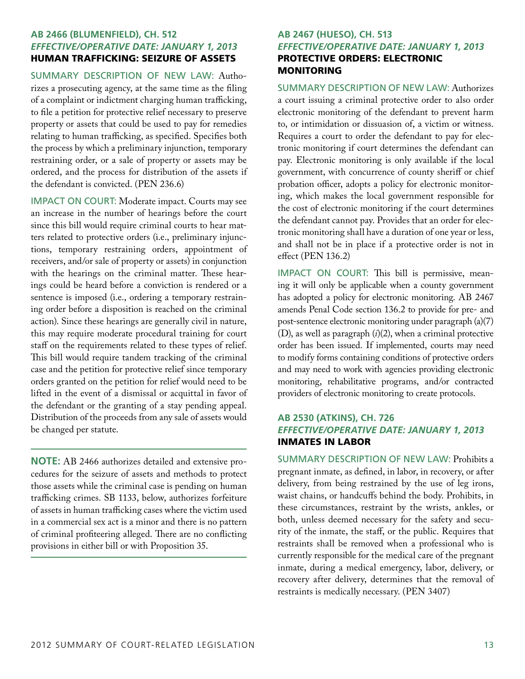## **AB 2466 (Blumenfield), CH. 512** *Effective/Operative Date: January 1, 2013* Human trafficking: seizure of assets

Summary Description of New Law: Authorizes a prosecuting agency, at the same time as the filing of a complaint or indictment charging human trafficking, to file a petition for protective relief necessary to preserve property or assets that could be used to pay for remedies relating to human trafficking, as specified. Specifies both the process by which a preliminary injunction, temporary restraining order, or a sale of property or assets may be ordered, and the process for distribution of the assets if the defendant is convicted. (PEN 236.6)

IMPACT ON COURT: Moderate impact. Courts may see an increase in the number of hearings before the court since this bill would require criminal courts to hear matters related to protective orders (i.e., preliminary injunctions, temporary restraining orders, appointment of receivers, and/or sale of property or assets) in conjunction with the hearings on the criminal matter. These hearings could be heard before a conviction is rendered or a sentence is imposed (i.e., ordering a temporary restraining order before a disposition is reached on the criminal action). Since these hearings are generally civil in nature, this may require moderate procedural training for court staff on the requirements related to these types of relief. This bill would require tandem tracking of the criminal case and the petition for protective relief since temporary orders granted on the petition for relief would need to be lifted in the event of a dismissal or acquittal in favor of the defendant or the granting of a stay pending appeal. Distribution of the proceeds from any sale of assets would be changed per statute.

**NOTE:** AB 2466 authorizes detailed and extensive procedures for the seizure of assets and methods to protect those assets while the criminal case is pending on human trafficking crimes. SB 1133, below, authorizes forfeiture of assets in human trafficking cases where the victim used in a commercial sex act is a minor and there is no pattern of criminal profiteering alleged. There are no conflicting provisions in either bill or with Proposition 35.

## **AB 2467 (Hueso), CH. 513** *Effective/Operative Date: January 1, 2013* Protective orders: electronic **MONITORING**

Summary Description of New Law: Authorizes a court issuing a criminal protective order to also order electronic monitoring of the defendant to prevent harm to, or intimidation or dissuasion of, a victim or witness. Requires a court to order the defendant to pay for electronic monitoring if court determines the defendant can pay. Electronic monitoring is only available if the local government, with concurrence of county sheriff or chief probation officer, adopts a policy for electronic monitoring, which makes the local government responsible for the cost of electronic monitoring if the court determines the defendant cannot pay. Provides that an order for electronic monitoring shall have a duration of one year or less, and shall not be in place if a protective order is not in effect (PEN 136.2)

Impact on Court: This bill is permissive, meaning it will only be applicable when a county government has adopted a policy for electronic monitoring. AB 2467 amends Penal Code section 136.2 to provide for pre- and post-sentence electronic monitoring under paragraph (a)(7) (D), as well as paragraph (*i*)(2), when a criminal protective order has been issued. If implemented, courts may need to modify forms containing conditions of protective orders and may need to work with agencies providing electronic monitoring, rehabilitative programs, and/or contracted providers of electronic monitoring to create protocols.

## **AB 2530 (Atkins), CH. 726** *Effective/Operative Date: January 1, 2013* Inmates in labor

Summary Description of New Law: Prohibits a pregnant inmate, as defined, in labor, in recovery, or after delivery, from being restrained by the use of leg irons, waist chains, or handcuffs behind the body. Prohibits, in these circumstances, restraint by the wrists, ankles, or both, unless deemed necessary for the safety and security of the inmate, the staff, or the public. Requires that restraints shall be removed when a professional who is currently responsible for the medical care of the pregnant inmate, during a medical emergency, labor, delivery, or recovery after delivery, determines that the removal of restraints is medically necessary. (PEN 3407)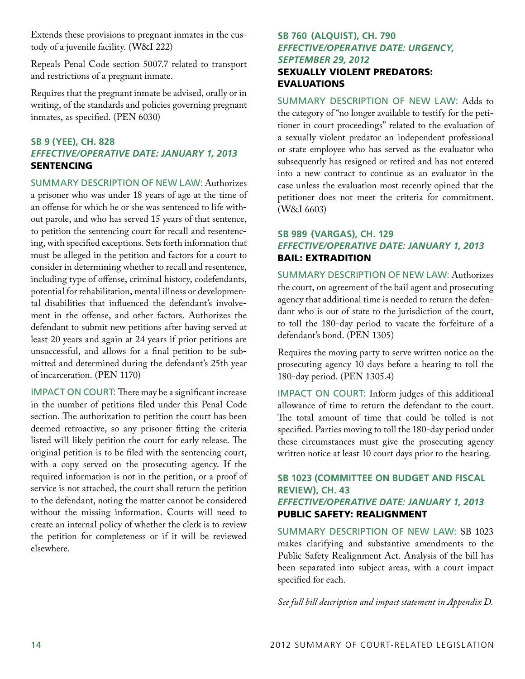Extends these provisions to pregnant inmates in the custody of a juvenile facility. (W&I 222)

Repeals Penal Code section 5007.7 related to transport and restrictions of a pregnant inmate.

Requires that the pregnant inmate be advised, orally or in writing, of the standards and policies governing pregnant inmates, as specified. (PEN 6030)

## **SB 9 (Yee), CH. 828** *Effective/Operative Date: January 1, 2013*  **SENTENCING**

Summary Description of New Law: Authorizes a prisoner who was under 18 years of age at the time of an offense for which he or she was sentenced to life without parole, and who has served 15 years of that sentence, to petition the sentencing court for recall and resentencing, with specified exceptions. Sets forth information that must be alleged in the petition and factors for a court to consider in determining whether to recall and resentence, including type of offense, criminal history, codefendants, potential for rehabilitation, mental illness or developmental disabilities that influenced the defendant's involvement in the offense, and other factors. Authorizes the defendant to submit new petitions after having served at least 20 years and again at 24 years if prior petitions are unsuccessful, and allows for a final petition to be submitted and determined during the defendant's 25th year of incarceration. (PEN 1170)

IMPACT ON COURT: There may be a significant increase in the number of petitions filed under this Penal Code section. The authorization to petition the court has been deemed retroactive, so any prisoner fitting the criteria listed will likely petition the court for early release. The original petition is to be filed with the sentencing court, with a copy served on the prosecuting agency. If the required information is not in the petition, or a proof of service is not attached, the court shall return the petition to the defendant, noting the matter cannot be considered without the missing information. Courts will need to create an internal policy of whether the clerk is to review the petition for completeness or if it will be reviewed elsewhere.

## **SB 760 (Alquist), CH. 790** *Effective/Operative Date: Urgency, September 29, 2012* Sexually violent predators: **EVALUATIONS**

SUMMARY DESCRIPTION OF NEW LAW: Adds to the category of "no longer available to testify for the petitioner in court proceedings" related to the evaluation of a sexually violent predator an independent professional or state employee who has served as the evaluator who subsequently has resigned or retired and has not entered into a new contract to continue as an evaluator in the case unless the evaluation most recently opined that the petitioner does not meet the criteria for commitment. (W&I 6603)

## **SB 989 (Vargas), CH. 129** *Effective/Operative Date: January 1, 2013* Bail: extradition

Summary Description of New Law: Authorizes the court, on agreement of the bail agent and prosecuting agency that additional time is needed to return the defendant who is out of state to the jurisdiction of the court, to toll the 180-day period to vacate the forfeiture of a defendant's bond. (PEN 1305)

Requires the moving party to serve written notice on the prosecuting agency 10 days before a hearing to toll the 180-day period. (PEN 1305.4)

IMPACT ON COURT: Inform judges of this additional allowance of time to return the defendant to the court. The total amount of time that could be tolled is not specified. Parties moving to toll the 180-day period under these circumstances must give the prosecuting agency written notice at least 10 court days prior to the hearing.

## **SB 1023 (Committee on Budget and Fiscal Review), CH. 43** *Effective/Operative Date: January 1, 2013* Public safety: realignment

Summary Description of New Law: SB 1023 makes clarifying and substantive amendments to the Public Safety Realignment Act. Analysis of the bill has been separated into subject areas, with a court impact specified for each.

*See full bill description and impact statement in Appendix D.*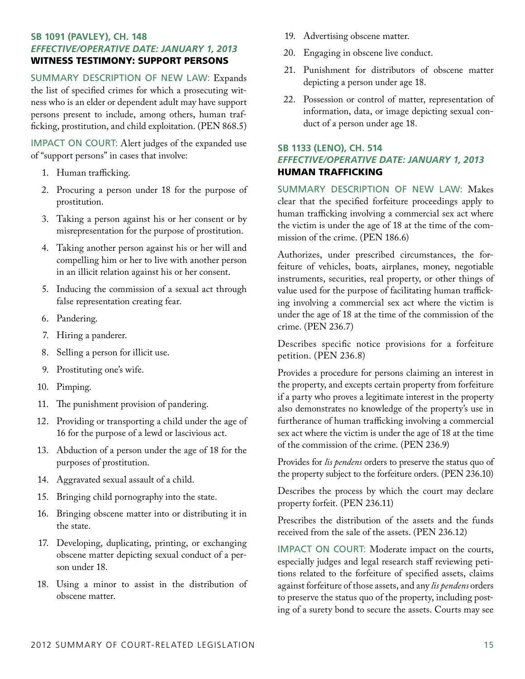## **SB 1091 (Pavley), CH. 148** *Effective/Operative Date: January 1, 2013* Witness testimony: support persons

Summary Description of New Law: Expands the list of specified crimes for which a prosecuting witness who is an elder or dependent adult may have support persons present to include, among others, human trafficking, prostitution, and child exploitation. (PEN 868.5)

IMPACT ON COURT: Alert judges of the expanded use of "support persons" in cases that involve:

- 1. Human trafficking.
- 2. Procuring a person under 18 for the purpose of prostitution.
- 3. Taking a person against his or her consent or by misrepresentation for the purpose of prostitution.
- 4. Taking another person against his or her will and compelling him or her to live with another person in an illicit relation against his or her consent.
- 5. Inducing the commission of a sexual act through false representation creating fear.
- 6. Pandering.
- 7. Hiring a panderer.
- 8. Selling a person for illicit use.
- 9. Prostituting one's wife.
- 10. Pimping.
- 11. The punishment provision of pandering.
- 12. Providing or transporting a child under the age of 16 for the purpose of a lewd or lascivious act.
- 13. Abduction of a person under the age of 18 for the purposes of prostitution.
- 14. Aggravated sexual assault of a child.
- 15. Bringing child pornography into the state.
- 16. Bringing obscene matter into or distributing it in the state.
- 17. Developing, duplicating, printing, or exchanging obscene matter depicting sexual conduct of a person under 18.
- 18. Using a minor to assist in the distribution of obscene matter.
- 19. Advertising obscene matter.
- 20. Engaging in obscene live conduct.
- 21. Punishment for distributors of obscene matter depicting a person under age 18.
- 22. Possession or control of matter, representation of information, data, or image depicting sexual conduct of a person under age 18.

## **SB 1133 (Leno), CH. 514** *Effective/Operative Date: January 1, 2013* Human trafficking

Summary Description of New Law: Makes clear that the specified forfeiture proceedings apply to human trafficking involving a commercial sex act where the victim is under the age of 18 at the time of the commission of the crime. (PEN 186.6)

Authorizes, under prescribed circumstances, the forfeiture of vehicles, boats, airplanes, money, negotiable instruments, securities, real property, or other things of value used for the purpose of facilitating human trafficking involving a commercial sex act where the victim is under the age of 18 at the time of the commission of the crime. (PEN 236.7)

Describes specific notice provisions for a forfeiture petition. (PEN 236.8)

Provides a procedure for persons claiming an interest in the property, and excepts certain property from forfeiture if a party who proves a legitimate interest in the property also demonstrates no knowledge of the property's use in furtherance of human trafficking involving a commercial sex act where the victim is under the age of 18 at the time of the commission of the crime. (PEN 236.9)

Provides for *lis pendens* orders to preserve the status quo of the property subject to the forfeiture orders. (PEN 236.10)

Describes the process by which the court may declare property forfeit. (PEN 236.11)

Prescribes the distribution of the assets and the funds received from the sale of the assets. (PEN 236.12)

IMPACT ON COURT: Moderate impact on the courts, especially judges and legal research staff reviewing petitions related to the forfeiture of specified assets, claims against forfeiture of those assets, and any *lis pendens* orders to preserve the status quo of the property, including posting of a surety bond to secure the assets. Courts may see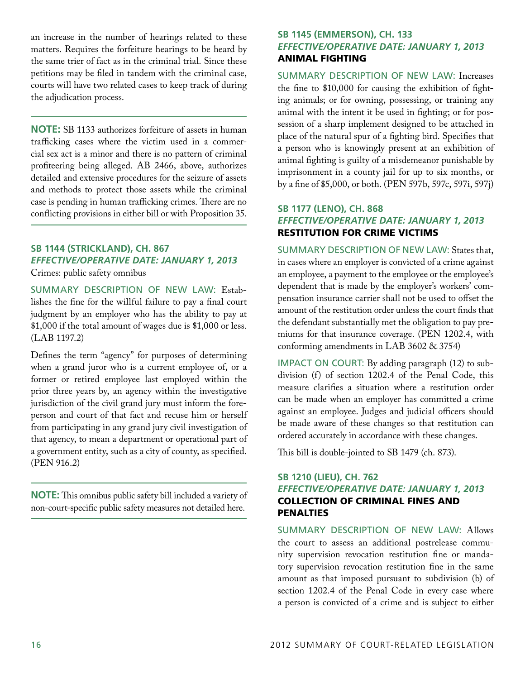an increase in the number of hearings related to these matters. Requires the forfeiture hearings to be heard by the same trier of fact as in the criminal trial. Since these petitions may be filed in tandem with the criminal case, courts will have two related cases to keep track of during the adjudication process.

**NOTE:** SB 1133 authorizes forfeiture of assets in human trafficking cases where the victim used in a commercial sex act is a minor and there is no pattern of criminal profiteering being alleged. AB 2466, above, authorizes detailed and extensive procedures for the seizure of assets and methods to protect those assets while the criminal case is pending in human trafficking crimes. There are no conflicting provisions in either bill or with Proposition 35.

## **SB 1144 (Strickland), CH. 867** *Effective/Operative Date: January 1, 2013*

Crimes: public safety omnibus

Summary Description of New Law: Establishes the fine for the willful failure to pay a final court judgment by an employer who has the ability to pay at \$1,000 if the total amount of wages due is \$1,000 or less. (LAB 1197.2)

Defines the term "agency" for purposes of determining when a grand juror who is a current employee of, or a former or retired employee last employed within the prior three years by, an agency within the investigative jurisdiction of the civil grand jury must inform the foreperson and court of that fact and recuse him or herself from participating in any grand jury civil investigation of that agency, to mean a department or operational part of a government entity, such as a city of county, as specified. (PEN 916.2)

**NOTE:** This omnibus public safety bill included a variety of non-court-specific public safety measures not detailed here.

## **SB 1145 (Emmerson), CH. 133** *Effective/Operative Date: January 1, 2013* Animal fighting

Summary Description of New Law: Increases the fine to \$10,000 for causing the exhibition of fighting animals; or for owning, possessing, or training any animal with the intent it be used in fighting; or for possession of a sharp implement designed to be attached in place of the natural spur of a fighting bird. Specifies that a person who is knowingly present at an exhibition of animal fighting is guilty of a misdemeanor punishable by imprisonment in a county jail for up to six months, or by a fine of \$5,000, or both. (PEN 597b, 597c, 597i, 597j)

## **SB 1177 (Leno), CH. 868** *Effective/Operative Date: January 1, 2013* Restitution for crime victims

Summary Description of New Law: States that, in cases where an employer is convicted of a crime against an employee, a payment to the employee or the employee's dependent that is made by the employer's workers' compensation insurance carrier shall not be used to offset the amount of the restitution order unless the court finds that the defendant substantially met the obligation to pay premiums for that insurance coverage. (PEN 1202.4, with conforming amendments in LAB 3602 & 3754)

IMPACT ON COURT: By adding paragraph (12) to subdivision (f) of section 1202.4 of the Penal Code, this measure clarifies a situation where a restitution order can be made when an employer has committed a crime against an employee. Judges and judicial officers should be made aware of these changes so that restitution can ordered accurately in accordance with these changes.

This bill is double-jointed to SB 1479 (ch. 873).

## **SB 1210 (Lieu), CH. 762** *Effective/Operative Date: January 1, 2013* Collection of criminal fines and penalties

Summary Description of New Law: Allows the court to assess an additional postrelease community supervision revocation restitution fine or mandatory supervision revocation restitution fine in the same amount as that imposed pursuant to subdivision (b) of section 1202.4 of the Penal Code in every case where a person is convicted of a crime and is subject to either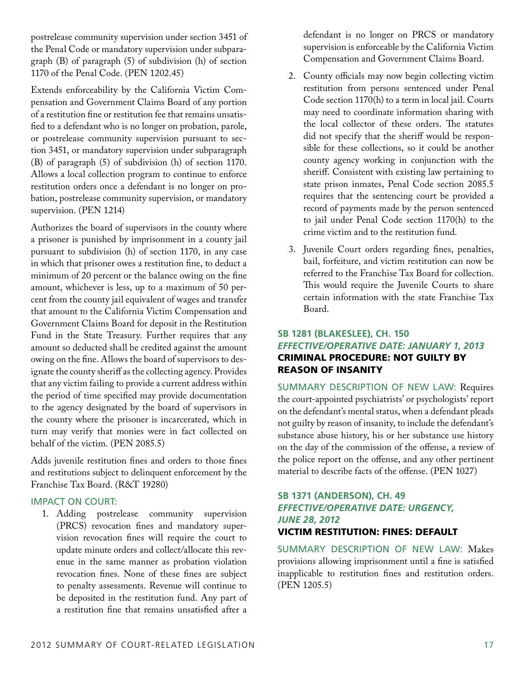postrelease community supervision under section 3451 of the Penal Code or mandatory supervision under subparagraph (B) of paragraph (5) of subdivision (h) of section 1170 of the Penal Code. (PEN 1202.45)

Extends enforceability by the California Victim Compensation and Government Claims Board of any portion of a restitution fine or restitution fee that remains unsatisfied to a defendant who is no longer on probation, parole, or postrelease community supervision pursuant to section 3451, or mandatory supervision under subparagraph (B) of paragraph (5) of subdivision (h) of section 1170. Allows a local collection program to continue to enforce restitution orders once a defendant is no longer on probation, postrelease community supervision, or mandatory supervision. (PEN 1214)

Authorizes the board of supervisors in the county where a prisoner is punished by imprisonment in a county jail pursuant to subdivision (h) of section 1170, in any case in which that prisoner owes a restitution fine, to deduct a minimum of 20 percent or the balance owing on the fine amount, whichever is less, up to a maximum of 50 percent from the county jail equivalent of wages and transfer that amount to the California Victim Compensation and Government Claims Board for deposit in the Restitution Fund in the State Treasury. Further requires that any amount so deducted shall be credited against the amount owing on the fine. Allows the board of supervisors to designate the county sheriff as the collecting agency. Provides that any victim failing to provide a current address within the period of time specified may provide documentation to the agency designated by the board of supervisors in the county where the prisoner is incarcerated, which in turn may verify that monies were in fact collected on behalf of the victim. (PEN 2085.5)

Adds juvenile restitution fines and orders to those fines and restitutions subject to delinquent enforcement by the Franchise Tax Board. (R&T 19280)

## Impact on Court:

 1. Adding postrelease community supervision (PRCS) revocation fines and mandatory supervision revocation fines will require the court to update minute orders and collect/allocate this revenue in the same manner as probation violation revocation fines. None of these fines are subject to penalty assessments. Revenue will continue to be deposited in the restitution fund. Any part of a restitution fine that remains unsatisfied after a

defendant is no longer on PRCS or mandatory supervision is enforceable by the California Victim Compensation and Government Claims Board.

- 2. County officials may now begin collecting victim restitution from persons sentenced under Penal Code section 1170(h) to a term in local jail. Courts may need to coordinate information sharing with the local collector of these orders. The statutes did not specify that the sheriff would be responsible for these collections, so it could be another county agency working in conjunction with the sheriff. Consistent with existing law pertaining to state prison inmates, Penal Code section 2085.5 requires that the sentencing court be provided a record of payments made by the person sentenced to jail under Penal Code section 1170(h) to the crime victim and to the restitution fund.
- 3. Juvenile Court orders regarding fines, penalties, bail, forfeiture, and victim restitution can now be referred to the Franchise Tax Board for collection. This would require the Juvenile Courts to share certain information with the state Franchise Tax Board.

## **SB 1281 (Blakeslee), CH. 150** *Effective/Operative Date: January 1, 2013* Criminal procedure: not guilty by reason of insanity

Summary Description of New Law: Requires the court-appointed psychiatrists' or psychologists' report on the defendant's mental status, when a defendant pleads not guilty by reason of insanity, to include the defendant's substance abuse history, his or her substance use history on the day of the commission of the offense, a review of the police report on the offense, and any other pertinent material to describe facts of the offense. (PEN 1027)

## **SB 1371 (Anderson), CH. 49** *Effective/Operative Date: Urgency, June 28, 2012* Victim restitution: fines: default

Summary Description of New Law: Makes provisions allowing imprisonment until a fine is satisfied inapplicable to restitution fines and restitution orders. (PEN 1205.5)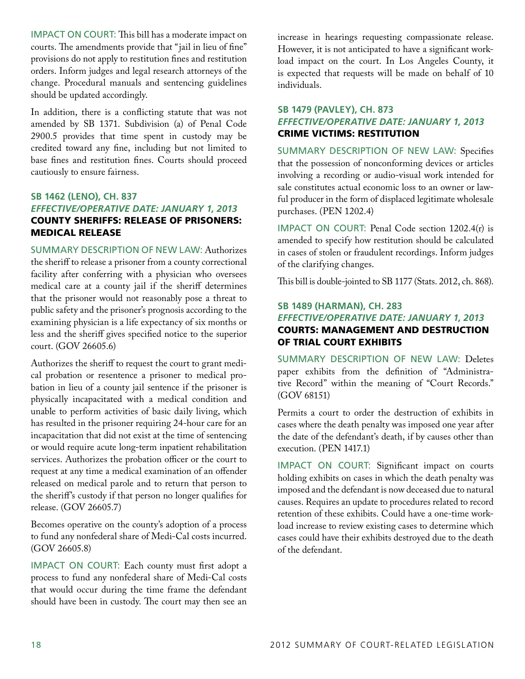IMPACT ON COURT: This bill has a moderate impact on courts. The amendments provide that "jail in lieu of fine" provisions do not apply to restitution fines and restitution orders. Inform judges and legal research attorneys of the change. Procedural manuals and sentencing guidelines should be updated accordingly.

In addition, there is a conflicting statute that was not amended by SB 1371. Subdivision (a) of Penal Code 2900.5 provides that time spent in custody may be credited toward any fine, including but not limited to base fines and restitution fines. Courts should proceed cautiously to ensure fairness.

## **SB 1462 (Leno), CH. 837** *Effective/Operative Date: January 1, 2013* County sheriffs: release of prisoners: medical release

Summary Description of New Law: Authorizes the sheriff to release a prisoner from a county correctional facility after conferring with a physician who oversees medical care at a county jail if the sheriff determines that the prisoner would not reasonably pose a threat to public safety and the prisoner's prognosis according to the examining physician is a life expectancy of six months or less and the sheriff gives specified notice to the superior court. (GOV 26605.6)

Authorizes the sheriff to request the court to grant medical probation or resentence a prisoner to medical probation in lieu of a county jail sentence if the prisoner is physically incapacitated with a medical condition and unable to perform activities of basic daily living, which has resulted in the prisoner requiring 24-hour care for an incapacitation that did not exist at the time of sentencing or would require acute long-term inpatient rehabilitation services. Authorizes the probation officer or the court to request at any time a medical examination of an offender released on medical parole and to return that person to the sheriff's custody if that person no longer qualifies for release. (GOV 26605.7)

Becomes operative on the county's adoption of a process to fund any nonfederal share of Medi-Cal costs incurred. (GOV 26605.8)

IMPACT ON COURT: Each county must first adopt a process to fund any nonfederal share of Medi-Cal costs that would occur during the time frame the defendant should have been in custody. The court may then see an

increase in hearings requesting compassionate release. However, it is not anticipated to have a significant workload impact on the court. In Los Angeles County, it is expected that requests will be made on behalf of 10 individuals.

## **SB 1479 (Pavley), CH. 873** *Effective/Operative Date: January 1, 2013* Crime victims: restitution

Summary Description of New Law: Specifies that the possession of nonconforming devices or articles involving a recording or audio-visual work intended for sale constitutes actual economic loss to an owner or lawful producer in the form of displaced legitimate wholesale purchases. (PEN 1202.4)

Impact on Court: Penal Code section 1202.4(r) is amended to specify how restitution should be calculated in cases of stolen or fraudulent recordings. Inform judges of the clarifying changes.

This bill is double-jointed to SB 1177 (Stats. 2012, ch. 868).

## **SB 1489 (Harman), CH. 283** *Effective/Operative Date: January 1, 2013* Courts: management and destruction of trial court exhibits

Summary Description of New Law: Deletes paper exhibits from the definition of "Administrative Record" within the meaning of "Court Records." (GOV 68151)

Permits a court to order the destruction of exhibits in cases where the death penalty was imposed one year after the date of the defendant's death, if by causes other than execution. (PEN 1417.1)

Impact on Court: Significant impact on courts holding exhibits on cases in which the death penalty was imposed and the defendant is now deceased due to natural causes. Requires an update to procedures related to record retention of these exhibits. Could have a one-time workload increase to review existing cases to determine which cases could have their exhibits destroyed due to the death of the defendant.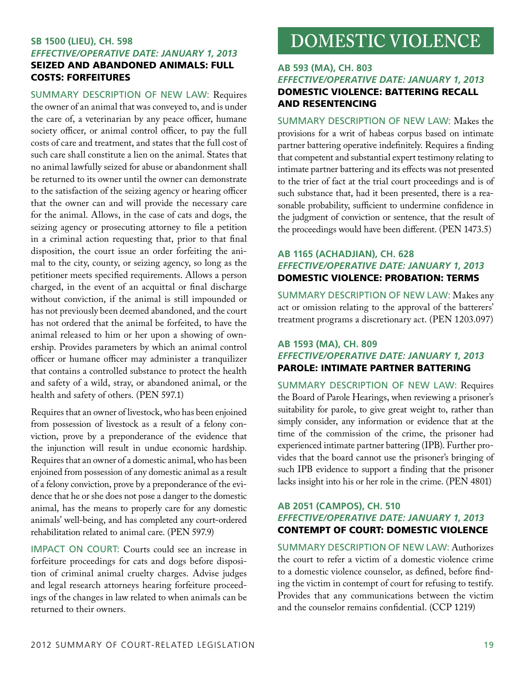## **SB 1500 (Lieu), CH. 598** *Effective/Operative Date: January 1, 2013* Seized and abandoned animals: full costs: forfeitures

Summary Description of New Law: Requires the owner of an animal that was conveyed to, and is under the care of, a veterinarian by any peace officer, humane society officer, or animal control officer, to pay the full costs of care and treatment, and states that the full cost of such care shall constitute a lien on the animal. States that no animal lawfully seized for abuse or abandonment shall be returned to its owner until the owner can demonstrate to the satisfaction of the seizing agency or hearing officer that the owner can and will provide the necessary care for the animal. Allows, in the case of cats and dogs, the seizing agency or prosecuting attorney to file a petition in a criminal action requesting that, prior to that final disposition, the court issue an order forfeiting the animal to the city, county, or seizing agency, so long as the petitioner meets specified requirements. Allows a person charged, in the event of an acquittal or final discharge without conviction, if the animal is still impounded or has not previously been deemed abandoned, and the court has not ordered that the animal be forfeited, to have the animal released to him or her upon a showing of ownership. Provides parameters by which an animal control officer or humane officer may administer a tranquilizer that contains a controlled substance to protect the health and safety of a wild, stray, or abandoned animal, or the health and safety of others. (PEN 597.1)

Requires that an owner of livestock, who has been enjoined from possession of livestock as a result of a felony conviction, prove by a preponderance of the evidence that the injunction will result in undue economic hardship. Requires that an owner of a domestic animal, who has been enjoined from possession of any domestic animal as a result of a felony conviction, prove by a preponderance of the evidence that he or she does not pose a danger to the domestic animal, has the means to properly care for any domestic animals' well-being, and has completed any court-ordered rehabilitation related to animal care. (PEN 597.9)

Impact on Court: Courts could see an increase in forfeiture proceedings for cats and dogs before disposition of criminal animal cruelty charges. Advise judges and legal research attorneys hearing forfeiture proceedings of the changes in law related to when animals can be returned to their owners.

# **DOMESTIC VIOLENCE**

## **AB 593 (Ma), CH. 803** *Effective/Operative Date: January 1, 2013* Domestic violence: battering recall and resentencing

Summary Description of New Law: Makes the provisions for a writ of habeas corpus based on intimate partner battering operative indefinitely. Requires a finding that competent and substantial expert testimony relating to intimate partner battering and its effects was not presented to the trier of fact at the trial court proceedings and is of such substance that, had it been presented, there is a reasonable probability, sufficient to undermine confidence in the judgment of conviction or sentence, that the result of the proceedings would have been different. (PEN 1473.5)

## **AB 1165 (Achadjian), CH. 628** *Effective/Operative Date: January 1, 2013* Domestic violence: probation: terms

Summary Description of New Law: Makes any act or omission relating to the approval of the batterers' treatment programs a discretionary act. (PEN 1203.097)

## **AB 1593 (Ma), CH. 809** *Effective/Operative Date: January 1, 2013* Parole: intimate partner battering

Summary Description of New Law: Requires the Board of Parole Hearings, when reviewing a prisoner's suitability for parole, to give great weight to, rather than simply consider, any information or evidence that at the time of the commission of the crime, the prisoner had experienced intimate partner battering (IPB). Further provides that the board cannot use the prisoner's bringing of such IPB evidence to support a finding that the prisoner lacks insight into his or her role in the crime. (PEN 4801)

## **AB 2051 (Campos), CH. 510** *Effective/Operative Date: January 1, 2013* Contempt of court: domestic violence

Summary Description of New Law: Authorizes the court to refer a victim of a domestic violence crime to a domestic violence counselor, as defined, before finding the victim in contempt of court for refusing to testify. Provides that any communications between the victim and the counselor remains confidential. (CCP 1219)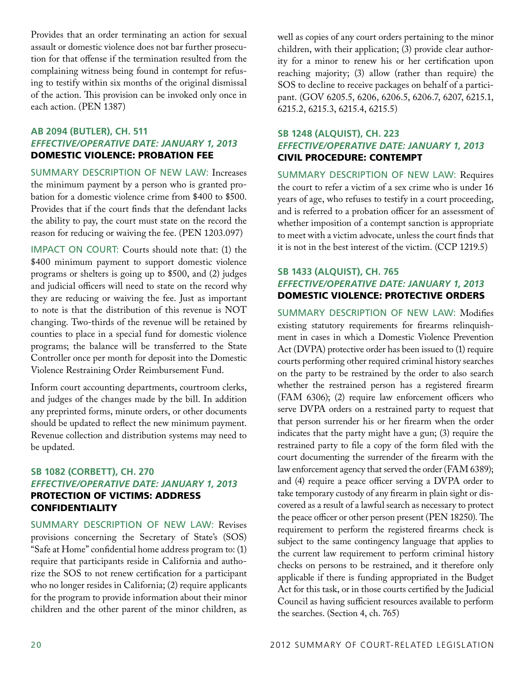Provides that an order terminating an action for sexual assault or domestic violence does not bar further prosecution for that offense if the termination resulted from the complaining witness being found in contempt for refusing to testify within six months of the original dismissal of the action. This provision can be invoked only once in each action. (PEN 1387)

## **AB 2094 (Butler), CH. 511** *Effective/Operative Date: January 1, 2013* Domestic violence: probation fee

Summary Description of New Law: Increases the minimum payment by a person who is granted probation for a domestic violence crime from \$400 to \$500. Provides that if the court finds that the defendant lacks the ability to pay, the court must state on the record the reason for reducing or waiving the fee. (PEN 1203.097)

Impact on Court: Courts should note that: (1) the \$400 minimum payment to support domestic violence programs or shelters is going up to \$500, and (2) judges and judicial officers will need to state on the record why they are reducing or waiving the fee. Just as important to note is that the distribution of this revenue is NOT changing. Two-thirds of the revenue will be retained by counties to place in a special fund for domestic violence programs; the balance will be transferred to the State Controller once per month for deposit into the Domestic Violence Restraining Order Reimbursement Fund.

Inform court accounting departments, courtroom clerks, and judges of the changes made by the bill. In addition any preprinted forms, minute orders, or other documents should be updated to reflect the new minimum payment. Revenue collection and distribution systems may need to be updated.

## **SB 1082 (Corbett), CH. 270** *Effective/Operative Date: January 1, 2013* Protection of victims: address **CONFIDENTIALITY**

Summary Description of New Law: Revises provisions concerning the Secretary of State's (SOS) "Safe at Home" confidential home address program to: (1) require that participants reside in California and authorize the SOS to not renew certification for a participant who no longer resides in California; (2) require applicants for the program to provide information about their minor children and the other parent of the minor children, as well as copies of any court orders pertaining to the minor children, with their application; (3) provide clear authority for a minor to renew his or her certification upon reaching majority; (3) allow (rather than require) the SOS to decline to receive packages on behalf of a participant. (GOV 6205.5, 6206, 6206.5, 6206.7, 6207, 6215.1, 6215.2, 6215.3, 6215.4, 6215.5)

## **SB 1248 (Alquist), CH. 223** *Effective/Operative Date: January 1, 2013* Civil procedure: contempt

Summary Description of New Law: Requires the court to refer a victim of a sex crime who is under 16 years of age, who refuses to testify in a court proceeding, and is referred to a probation officer for an assessment of whether imposition of a contempt sanction is appropriate to meet with a victim advocate, unless the court finds that it is not in the best interest of the victim. (CCP 1219.5)

## **SB 1433 (Alquist), CH. 765** *Effective/Operative Date: January 1, 2013*  Domestic violence: protective orders

Summary Description of New Law: Modifies existing statutory requirements for firearms relinquishment in cases in which a Domestic Violence Prevention Act (DVPA) protective order has been issued to (1) require courts performing other required criminal history searches on the party to be restrained by the order to also search whether the restrained person has a registered firearm (FAM 6306); (2) require law enforcement officers who serve DVPA orders on a restrained party to request that that person surrender his or her firearm when the order indicates that the party might have a gun; (3) require the restrained party to file a copy of the form filed with the court documenting the surrender of the firearm with the law enforcement agency that served the order (FAM 6389); and (4) require a peace officer serving a DVPA order to take temporary custody of any firearm in plain sight or discovered as a result of a lawful search as necessary to protect the peace officer or other person present (PEN 18250). The requirement to perform the registered firearms check is subject to the same contingency language that applies to the current law requirement to perform criminal history checks on persons to be restrained, and it therefore only applicable if there is funding appropriated in the Budget Act for this task, or in those courts certified by the Judicial Council as having sufficient resources available to perform the searches. (Section 4, ch. 765)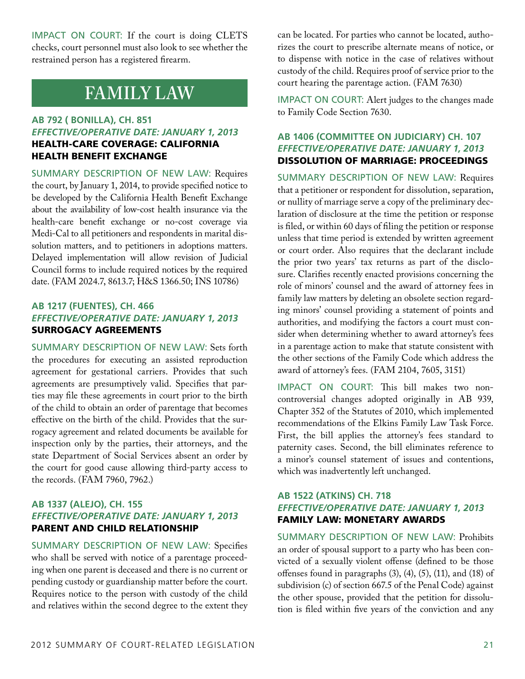IMPACT ON COURT: If the court is doing CLETS checks, court personnel must also look to see whether the restrained person has a registered firearm.

## **FAMILY LAW**

## **AB 792 ( Bonilla), CH. 851** *Effective/Operative Date: January 1, 2013* Health-care coverage: California Health Benefit Exchange

Summary Description of New Law: Requires the court, by January 1, 2014, to provide specified notice to be developed by the California Health Benefit Exchange about the availability of low-cost health insurance via the health-care benefit exchange or no-cost coverage via Medi-Cal to all petitioners and respondents in marital dissolution matters, and to petitioners in adoptions matters. Delayed implementation will allow revision of Judicial Council forms to include required notices by the required date. (FAM 2024.7, 8613.7; H&S 1366.50; INS 10786)

## **AB 1217 (Fuentes), CH. 466** *Effective/Operative Date: January 1, 2013* Surrogacy agreements

Summary Description of New Law: Sets forth the procedures for executing an assisted reproduction agreement for gestational carriers. Provides that such agreements are presumptively valid. Specifies that parties may file these agreements in court prior to the birth of the child to obtain an order of parentage that becomes effective on the birth of the child. Provides that the surrogacy agreement and related documents be available for inspection only by the parties, their attorneys, and the state Department of Social Services absent an order by the court for good cause allowing third-party access to the records. (FAM 7960, 7962.)

## **AB 1337 (Alejo), CH. 155** *Effective/Operative Date: January 1, 2013* Parent and child relationship

Summary Description of New Law: Specifies who shall be served with notice of a parentage proceeding when one parent is deceased and there is no current or pending custody or guardianship matter before the court. Requires notice to the person with custody of the child and relatives within the second degree to the extent they can be located. For parties who cannot be located, authorizes the court to prescribe alternate means of notice, or to dispense with notice in the case of relatives without custody of the child. Requires proof of service prior to the court hearing the parentage action. (FAM 7630)

IMPACT ON COURT: Alert judges to the changes made to Family Code Section 7630.

## **AB 1406 (Committee on Judiciary) CH. 107** *Effective/Operative Date: January 1, 2013* Dissolution of marriage: proceedings

Summary Description of New Law: Requires that a petitioner or respondent for dissolution, separation, or nullity of marriage serve a copy of the preliminary declaration of disclosure at the time the petition or response is filed, or within 60 days of filing the petition or response unless that time period is extended by written agreement or court order. Also requires that the declarant include the prior two years' tax returns as part of the disclosure. Clarifies recently enacted provisions concerning the role of minors' counsel and the award of attorney fees in family law matters by deleting an obsolete section regarding minors' counsel providing a statement of points and authorities, and modifying the factors a court must consider when determining whether to award attorney's fees in a parentage action to make that statute consistent with the other sections of the Family Code which address the award of attorney's fees. (FAM 2104, 7605, 3151)

IMPACT ON COURT: This bill makes two noncontroversial changes adopted originally in AB 939, Chapter 352 of the Statutes of 2010, which implemented recommendations of the Elkins Family Law Task Force. First, the bill applies the attorney's fees standard to paternity cases. Second, the bill eliminates reference to a minor's counsel statement of issues and contentions, which was inadvertently left unchanged.

## **AB 1522 (Atkins) CH. 718** *Effective/Operative Date: January 1, 2013* Family law: monetary awards

Summary Description of New Law: Prohibits an order of spousal support to a party who has been convicted of a sexually violent offense (defined to be those offenses found in paragraphs (3), (4), (5), (11), and (18) of subdivision (c) of section 667.5 of the Penal Code) against the other spouse, provided that the petition for dissolution is filed within five years of the conviction and any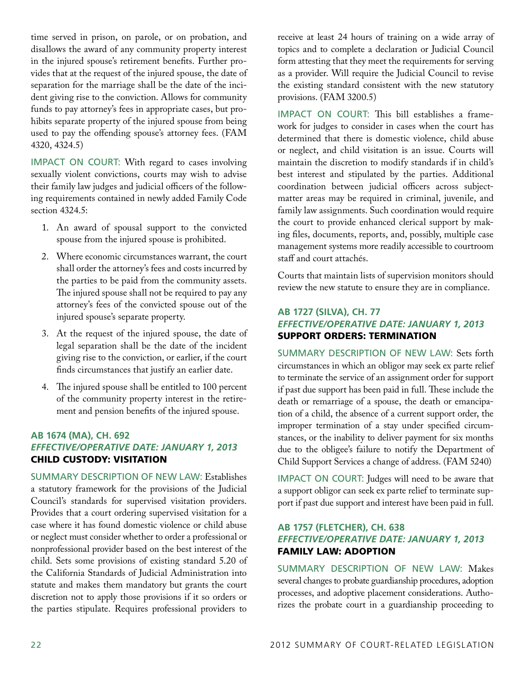time served in prison, on parole, or on probation, and disallows the award of any community property interest in the injured spouse's retirement benefits. Further provides that at the request of the injured spouse, the date of separation for the marriage shall be the date of the incident giving rise to the conviction. Allows for community funds to pay attorney's fees in appropriate cases, but prohibits separate property of the injured spouse from being used to pay the offending spouse's attorney fees. (FAM 4320, 4324.5)

IMPACT ON COURT: With regard to cases involving sexually violent convictions, courts may wish to advise their family law judges and judicial officers of the following requirements contained in newly added Family Code section 4324.5:

- 1. An award of spousal support to the convicted spouse from the injured spouse is prohibited.
- 2. Where economic circumstances warrant, the court shall order the attorney's fees and costs incurred by the parties to be paid from the community assets. The injured spouse shall not be required to pay any attorney's fees of the convicted spouse out of the injured spouse's separate property.
- 3. At the request of the injured spouse, the date of legal separation shall be the date of the incident giving rise to the conviction, or earlier, if the court finds circumstances that justify an earlier date.
- 4. The injured spouse shall be entitled to 100 percent of the community property interest in the retirement and pension benefits of the injured spouse.

## **AB 1674 (Ma), CH. 692** *Effective/Operative Date: January 1, 2013* Child custody: visitation

Summary Description of New Law: Establishes a statutory framework for the provisions of the Judicial Council's standards for supervised visitation providers. Provides that a court ordering supervised visitation for a case where it has found domestic violence or child abuse or neglect must consider whether to order a professional or nonprofessional provider based on the best interest of the child. Sets some provisions of existing standard 5.20 of the California Standards of Judicial Administration into statute and makes them mandatory but grants the court discretion not to apply those provisions if it so orders or the parties stipulate. Requires professional providers to

receive at least 24 hours of training on a wide array of topics and to complete a declaration or Judicial Council form attesting that they meet the requirements for serving as a provider. Will require the Judicial Council to revise the existing standard consistent with the new statutory provisions. (FAM 3200.5)

Impact on Court: This bill establishes a framework for judges to consider in cases when the court has determined that there is domestic violence, child abuse or neglect, and child visitation is an issue. Courts will maintain the discretion to modify standards if in child's best interest and stipulated by the parties. Additional coordination between judicial officers across subjectmatter areas may be required in criminal, juvenile, and family law assignments. Such coordination would require the court to provide enhanced clerical support by making files, documents, reports, and, possibly, multiple case management systems more readily accessible to courtroom staff and court attachés.

Courts that maintain lists of supervision monitors should review the new statute to ensure they are in compliance.

## **AB 1727 (Silva), CH. 77** *Effective/Operative Date: January 1, 2013* Support orders: termination

Summary Description of New Law: Sets forth circumstances in which an obligor may seek ex parte relief to terminate the service of an assignment order for support if past due support has been paid in full. These include the death or remarriage of a spouse, the death or emancipation of a child, the absence of a current support order, the improper termination of a stay under specified circumstances, or the inability to deliver payment for six months due to the obligee's failure to notify the Department of Child Support Services a change of address. (FAM 5240)

IMPACT ON COURT: Judges will need to be aware that a support obligor can seek ex parte relief to terminate support if past due support and interest have been paid in full.

## **AB 1757 (Fletcher), CH. 638** *Effective/Operative Date: January 1, 2013* Family law: adoption

Summary Description of New Law: Makes several changes to probate guardianship procedures, adoption processes, and adoptive placement considerations. Authorizes the probate court in a guardianship proceeding to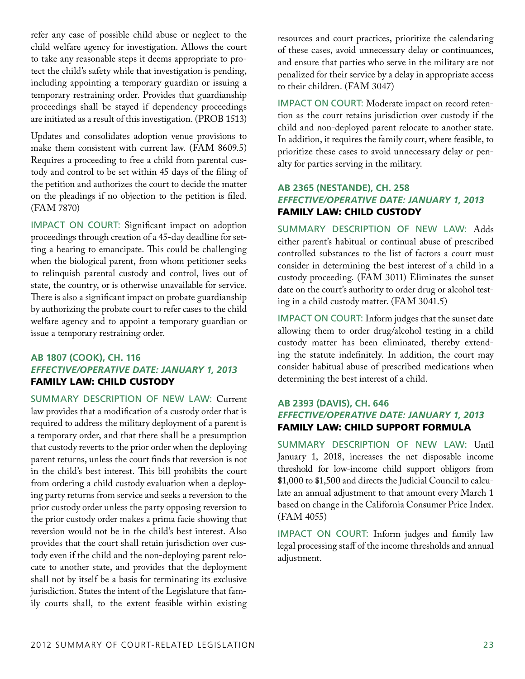refer any case of possible child abuse or neglect to the child welfare agency for investigation. Allows the court to take any reasonable steps it deems appropriate to protect the child's safety while that investigation is pending, including appointing a temporary guardian or issuing a temporary restraining order. Provides that guardianship proceedings shall be stayed if dependency proceedings are initiated as a result of this investigation. (PROB 1513)

Updates and consolidates adoption venue provisions to make them consistent with current law. (FAM 8609.5) Requires a proceeding to free a child from parental custody and control to be set within 45 days of the filing of the petition and authorizes the court to decide the matter on the pleadings if no objection to the petition is filed. (FAM 7870)

IMPACT ON COURT: Significant impact on adoption proceedings through creation of a 45-day deadline for setting a hearing to emancipate. This could be challenging when the biological parent, from whom petitioner seeks to relinquish parental custody and control, lives out of state, the country, or is otherwise unavailable for service. There is also a significant impact on probate guardianship by authorizing the probate court to refer cases to the child welfare agency and to appoint a temporary guardian or issue a temporary restraining order.

## **AB 1807 (Cook), CH. 116** *Effective/Operative Date: January 1, 2013* Family law: child custody

Summary Description of New Law: Current law provides that a modification of a custody order that is required to address the military deployment of a parent is a temporary order, and that there shall be a presumption that custody reverts to the prior order when the deploying parent returns, unless the court finds that reversion is not in the child's best interest. This bill prohibits the court from ordering a child custody evaluation when a deploying party returns from service and seeks a reversion to the prior custody order unless the party opposing reversion to the prior custody order makes a prima facie showing that reversion would not be in the child's best interest. Also provides that the court shall retain jurisdiction over custody even if the child and the non-deploying parent relocate to another state, and provides that the deployment shall not by itself be a basis for terminating its exclusive jurisdiction. States the intent of the Legislature that family courts shall, to the extent feasible within existing resources and court practices, prioritize the calendaring of these cases, avoid unnecessary delay or continuances, and ensure that parties who serve in the military are not penalized for their service by a delay in appropriate access to their children. (FAM 3047)

IMPACT ON COURT: Moderate impact on record retention as the court retains jurisdiction over custody if the child and non-deployed parent relocate to another state. In addition, it requires the family court, where feasible, to prioritize these cases to avoid unnecessary delay or penalty for parties serving in the military.

## **AB 2365 (Nestande), CH. 258** *Effective/Operative Date: January 1, 2013* Family law: child custody

Summary Description of New Law: Adds either parent's habitual or continual abuse of prescribed controlled substances to the list of factors a court must consider in determining the best interest of a child in a custody proceeding. (FAM 3011) Eliminates the sunset date on the court's authority to order drug or alcohol testing in a child custody matter. (FAM 3041.5)

IMPACT ON COURT: Inform judges that the sunset date allowing them to order drug/alcohol testing in a child custody matter has been eliminated, thereby extending the statute indefinitely. In addition, the court may consider habitual abuse of prescribed medications when determining the best interest of a child.

## **AB 2393 (Davis), CH. 646** *Effective/Operative Date: January 1, 2013* Family law: child support formula

Summary Description of New Law: Until January 1, 2018, increases the net disposable income threshold for low-income child support obligors from \$1,000 to \$1,500 and directs the Judicial Council to calculate an annual adjustment to that amount every March 1 based on change in the California Consumer Price Index. (FAM 4055)

Impact on Court: Inform judges and family law legal processing staff of the income thresholds and annual adjustment.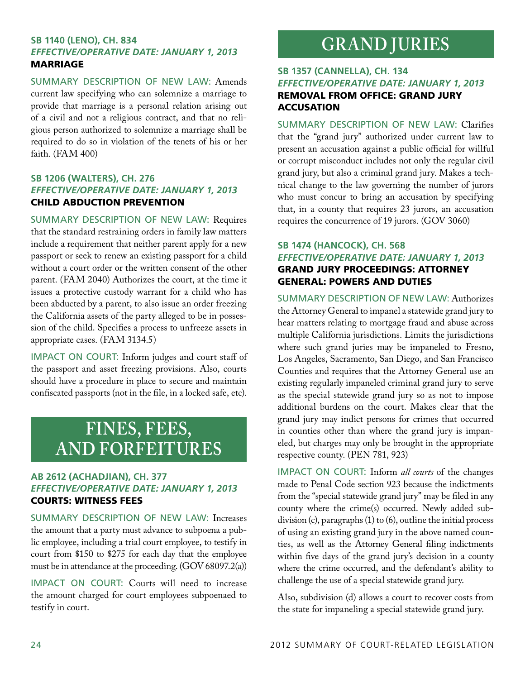## **SB 1140 (Leno), CH. 834** *Effective/Operative Date: January 1, 2013* **MARRIAGE**

Summary Description of New Law: Amends current law specifying who can solemnize a marriage to provide that marriage is a personal relation arising out of a civil and not a religious contract, and that no religious person authorized to solemnize a marriage shall be required to do so in violation of the tenets of his or her faith. (FAM 400)

## **SB 1206 (Walters), CH. 276** *Effective/Operative Date: January 1, 2013*  Child abduction prevention

Summary Description of New Law: Requires that the standard restraining orders in family law matters include a requirement that neither parent apply for a new passport or seek to renew an existing passport for a child without a court order or the written consent of the other parent. (FAM 2040) Authorizes the court, at the time it issues a protective custody warrant for a child who has been abducted by a parent, to also issue an order freezing the California assets of the party alleged to be in possession of the child. Specifies a process to unfreeze assets in appropriate cases. (FAM 3134.5)

IMPACT ON COURT: Inform judges and court staff of the passport and asset freezing provisions. Also, courts should have a procedure in place to secure and maintain confiscated passports (not in the file, in a locked safe, etc).

## **FINES, FEES, and FORFEITURES**

## **AB 2612 (Achadjian), CH. 377** *Effective/Operative Date: January 1, 2013* Courts: witness fees

Summary Description of New Law: Increases the amount that a party must advance to subpoena a public employee, including a trial court employee, to testify in court from \$150 to \$275 for each day that the employee must be in attendance at the proceeding. (GOV 68097.2(a))

IMPACT ON COURT: Courts will need to increase the amount charged for court employees subpoenaed to testify in court.

## **GRAND JURIES**

## **SB 1357 (Cannella), CH. 134** *Effective/Operative Date: January 1, 2013* Removal from office: grand jury **ACCUSATION**

Summary Description of New Law: Clarifies that the "grand jury" authorized under current law to present an accusation against a public official for willful or corrupt misconduct includes not only the regular civil grand jury, but also a criminal grand jury. Makes a technical change to the law governing the number of jurors who must concur to bring an accusation by specifying that, in a county that requires 23 jurors, an accusation requires the concurrence of 19 jurors. (GOV 3060)

## **SB 1474 (Hancock), CH. 568** *Effective/Operative Date: January 1, 2013* Grand jury proceedings: Attorney General: powers and duties

Summary Description of New Law: Authorizes the Attorney General to impanel a statewide grand jury to hear matters relating to mortgage fraud and abuse across multiple California jurisdictions. Limits the jurisdictions where such grand juries may be impaneled to Fresno, Los Angeles, Sacramento, San Diego, and San Francisco Counties and requires that the Attorney General use an existing regularly impaneled criminal grand jury to serve as the special statewide grand jury so as not to impose additional burdens on the court. Makes clear that the grand jury may indict persons for crimes that occurred in counties other than where the grand jury is impaneled, but charges may only be brought in the appropriate respective county. (PEN 781, 923)

Impact on Court: Inform *all courts* of the changes made to Penal Code section 923 because the indictments from the "special statewide grand jury" may be filed in any county where the crime(s) occurred. Newly added subdivision (c), paragraphs (1) to (6), outline the initial process of using an existing grand jury in the above named counties, as well as the Attorney General filing indictments within five days of the grand jury's decision in a county where the crime occurred, and the defendant's ability to challenge the use of a special statewide grand jury.

Also, subdivision (d) allows a court to recover costs from the state for impaneling a special statewide grand jury.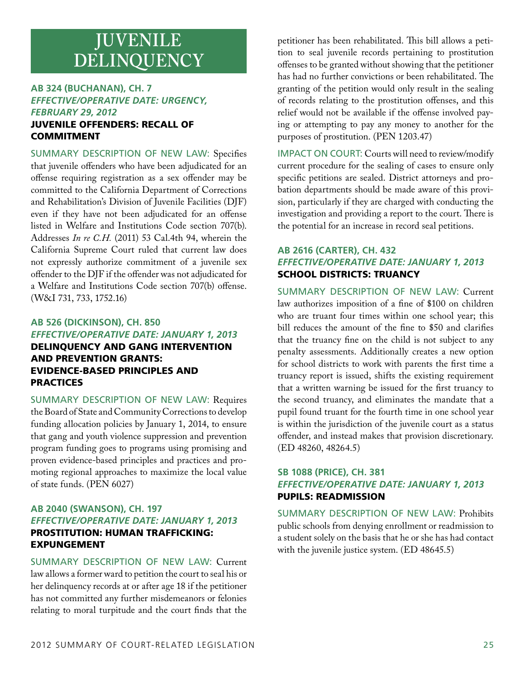## **JUVENILE DELINQUENCY**

## **AB 324 (Buchanan), CH. 7** *Effective/Operative Date: Urgency, February 29, 2012*

## Juvenile offenders: recall of **COMMITMENT**

Summary Description of New Law: Specifies that juvenile offenders who have been adjudicated for an offense requiring registration as a sex offender may be committed to the California Department of Corrections and Rehabilitation's Division of Juvenile Facilities (DJF) even if they have not been adjudicated for an offense listed in Welfare and Institutions Code section 707(b). Addresses *In re C.H.* (2011) 53 Cal.4th 94, wherein the California Supreme Court ruled that current law does not expressly authorize commitment of a juvenile sex offender to the DJF if the offender was not adjudicated for a Welfare and Institutions Code section 707(b) offense. (W&I 731, 733, 1752.16)

## **AB 526 (Dickinson), CH. 850** *Effective/Operative Date: January 1, 2013* Delinquency and gang intervention and prevention grants: evidence-based principles and **PRACTICES**

Summary Description of New Law: Requires the Board of State and Community Corrections to develop funding allocation policies by January 1, 2014, to ensure that gang and youth violence suppression and prevention program funding goes to programs using promising and proven evidence-based principles and practices and promoting regional approaches to maximize the local value of state funds. (PEN 6027)

## **AB 2040 (Swanson), CH. 197** *Effective/Operative Date: January 1, 2013*  Prostitution: human trafficking: expungement

Summary Description of New Law: Current law allows a former ward to petition the court to seal his or her delinquency records at or after age 18 if the petitioner has not committed any further misdemeanors or felonies relating to moral turpitude and the court finds that the

petitioner has been rehabilitated. This bill allows a petition to seal juvenile records pertaining to prostitution offenses to be granted without showing that the petitioner has had no further convictions or been rehabilitated. The granting of the petition would only result in the sealing of records relating to the prostitution offenses, and this relief would not be available if the offense involved paying or attempting to pay any money to another for the purposes of prostitution. (PEN 1203.47)

Impact on Court: Courts will need to review/modify current procedure for the sealing of cases to ensure only specific petitions are sealed. District attorneys and probation departments should be made aware of this provision, particularly if they are charged with conducting the investigation and providing a report to the court. There is the potential for an increase in record seal petitions.

## **AB 2616 (Carter), CH. 432** *Effective/Operative Date: January 1, 2013* School districts: truancy

Summary Description of New Law: Current law authorizes imposition of a fine of \$100 on children who are truant four times within one school year; this bill reduces the amount of the fine to \$50 and clarifies that the truancy fine on the child is not subject to any penalty assessments. Additionally creates a new option for school districts to work with parents the first time a truancy report is issued, shifts the existing requirement that a written warning be issued for the first truancy to the second truancy, and eliminates the mandate that a pupil found truant for the fourth time in one school year is within the jurisdiction of the juvenile court as a status offender, and instead makes that provision discretionary. (ED 48260, 48264.5)

## **SB 1088 (Price), CH. 381** *Effective/Operative Date: January 1, 2013* Pupils: readmission

Summary Description of New Law: Prohibits public schools from denying enrollment or readmission to a student solely on the basis that he or she has had contact with the juvenile justice system. (ED 48645.5)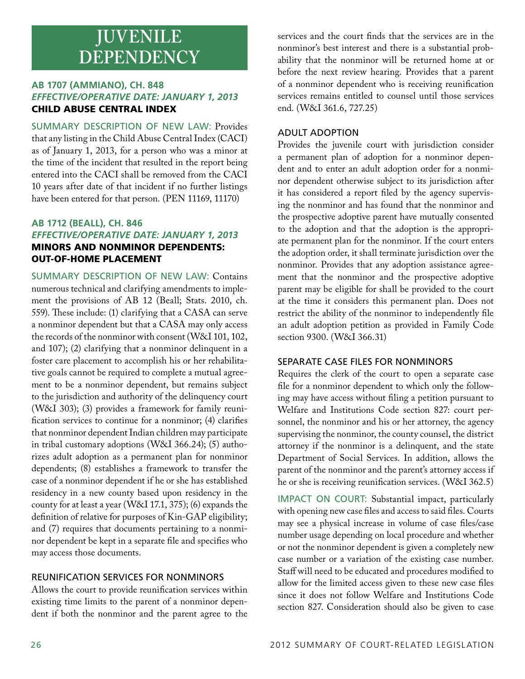## **JUVENILE DEPENDENCY**

## **AB 1707 (Ammiano), CH. 848** *Effective/Operative Date: January 1, 2013* Child Abuse Central Index

Summary Description of New Law: Provides that any listing in the Child Abuse Central Index (CACI) as of January 1, 2013, for a person who was a minor at the time of the incident that resulted in the report being entered into the CACI shall be removed from the CACI 10 years after date of that incident if no further listings have been entered for that person. (PEN 11169, 11170)

## **AB 1712 (Beall), CH. 846** *Effective/Operative Date: January 1, 2013*  Minors and nonminor dependents: out-of-home placement

Summary Description of New Law: Contains numerous technical and clarifying amendments to implement the provisions of AB 12 (Beall; Stats. 2010, ch. 559). These include: (1) clarifying that a CASA can serve a nonminor dependent but that a CASA may only access the records of the nonminor with consent (W&I 101, 102, and 107); (2) clarifying that a nonminor delinquent in a foster care placement to accomplish his or her rehabilitative goals cannot be required to complete a mutual agreement to be a nonminor dependent, but remains subject to the jurisdiction and authority of the delinquency court (W&I 303); (3) provides a framework for family reunification services to continue for a nonminor; (4) clarifies that nonminor dependent Indian children may participate in tribal customary adoptions (W&I 366.24); (5) authorizes adult adoption as a permanent plan for nonminor dependents; (8) establishes a framework to transfer the case of a nonminor dependent if he or she has established residency in a new county based upon residency in the county for at least a year (W&I 17.1, 375); (6) expands the definition of relative for purposes of Kin-GAP eligibility; and (7) requires that documents pertaining to a nonminor dependent be kept in a separate file and specifies who may access those documents.

## Reunification Services for Nonminors

Allows the court to provide reunification services within existing time limits to the parent of a nonminor dependent if both the nonminor and the parent agree to the

services and the court finds that the services are in the nonminor's best interest and there is a substantial probability that the nonminor will be returned home at or before the next review hearing. Provides that a parent of a nonminor dependent who is receiving reunification services remains entitled to counsel until those services end. (W&I 361.6, 727.25)

## Adult Adoption

Provides the juvenile court with jurisdiction consider a permanent plan of adoption for a nonminor dependent and to enter an adult adoption order for a nonminor dependent otherwise subject to its jurisdiction after it has considered a report filed by the agency supervising the nonminor and has found that the nonminor and the prospective adoptive parent have mutually consented to the adoption and that the adoption is the appropriate permanent plan for the nonminor. If the court enters the adoption order, it shall terminate jurisdiction over the nonminor. Provides that any adoption assistance agreement that the nonminor and the prospective adoptive parent may be eligible for shall be provided to the court at the time it considers this permanent plan. Does not restrict the ability of the nonminor to independently file an adult adoption petition as provided in Family Code section 9300. (W&I 366.31)

## Separate Case Files for Nonminors

Requires the clerk of the court to open a separate case file for a nonminor dependent to which only the following may have access without filing a petition pursuant to Welfare and Institutions Code section 827: court personnel, the nonminor and his or her attorney, the agency supervising the nonminor, the county counsel, the district attorney if the nonminor is a delinquent, and the state Department of Social Services. In addition, allows the parent of the nonminor and the parent's attorney access if he or she is receiving reunification services. (W&I 362.5)

IMPACT ON COURT: Substantial impact, particularly with opening new case files and access to said files. Courts may see a physical increase in volume of case files/case number usage depending on local procedure and whether or not the nonminor dependent is given a completely new case number or a variation of the existing case number. Staff will need to be educated and procedures modified to allow for the limited access given to these new case files since it does not follow Welfare and Institutions Code section 827. Consideration should also be given to case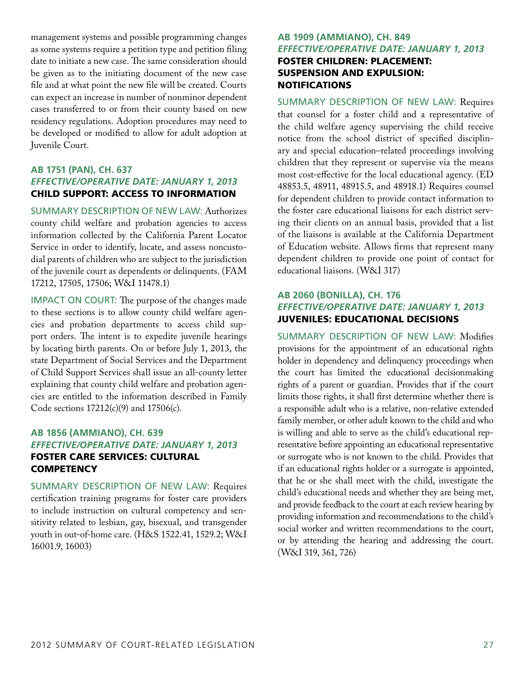management systems and possible programming changes as some systems require a petition type and petition filing date to initiate a new case. The same consideration should be given as to the initiating document of the new case file and at what point the new file will be created. Courts can expect an increase in number of nonminor dependent cases transferred to or from their county based on new residency regulations. Adoption procedures may need to be developed or modified to allow for adult adoption at Juvenile Court.

## **AB 1751 (Pan), CH. 637** *Effective/Operative Date: January 1, 2013* Child support: access to information

Summary Description of New Law: Authorizes county child welfare and probation agencies to access information collected by the California Parent Locator Service in order to identify, locate, and assess noncustodial parents of children who are subject to the jurisdiction of the juvenile court as dependents or delinquents. (FAM 17212, 17505, 17506; W&I 11478.1)

IMPACT ON COURT: The purpose of the changes made to these sections is to allow county child welfare agencies and probation departments to access child support orders. The intent is to expedite juvenile hearings by locating birth parents. On or before July 1, 2013, the state Department of Social Services and the Department of Child Support Services shall issue an all-county letter explaining that county child welfare and probation agencies are entitled to the information described in Family Code sections 17212(c)(9) and 17506(c).

## **AB 1856 (Ammiano), CH. 639** *Effective/Operative Date: January 1, 2013* Foster care services: cultural **COMPETENCY**

Summary Description of New Law: Requires certification training programs for foster care providers to include instruction on cultural competency and sensitivity related to lesbian, gay, bisexual, and transgender youth in out-of-home care. (H&S 1522.41, 1529.2; W&I 16001.9, 16003)

## **AB 1909 (Ammiano), CH. 849** *Effective/Operative Date: January 1, 2013* Foster children: placement: suspension and expulsion: **NOTIFICATIONS**

Summary Description of New Law: Requires that counsel for a foster child and a representative of the child welfare agency supervising the child receive notice from the school district of specified disciplinary and special education–related proceedings involving children that they represent or supervise via the means most cost-effective for the local educational agency. (ED 48853.5, 48911, 48915.5, and 48918.1) Requires counsel for dependent children to provide contact information to the foster care educational liaisons for each district serving their clients on an annual basis, provided that a list of the liaisons is available at the California Department of Education website. Allows firms that represent many dependent children to provide one point of contact for educational liaisons. (W&I 317)

## **AB 2060 (Bonilla), CH. 176** *Effective/Operative Date: January 1, 2013* Juveniles: educational decisions

Summary Description of New Law: Modifies provisions for the appointment of an educational rights holder in dependency and delinquency proceedings when the court has limited the educational decisionmaking rights of a parent or guardian. Provides that if the court limits those rights, it shall first determine whether there is a responsible adult who is a relative, non-relative extended family member, or other adult known to the child and who is willing and able to serve as the child's educational representative before appointing an educational representative or surrogate who is not known to the child. Provides that if an educational rights holder or a surrogate is appointed, that he or she shall meet with the child, investigate the child's educational needs and whether they are being met, and provide feedback to the court at each review hearing by providing information and recommendations to the child's social worker and written recommendations to the court, or by attending the hearing and addressing the court. (W&I 319, 361, 726)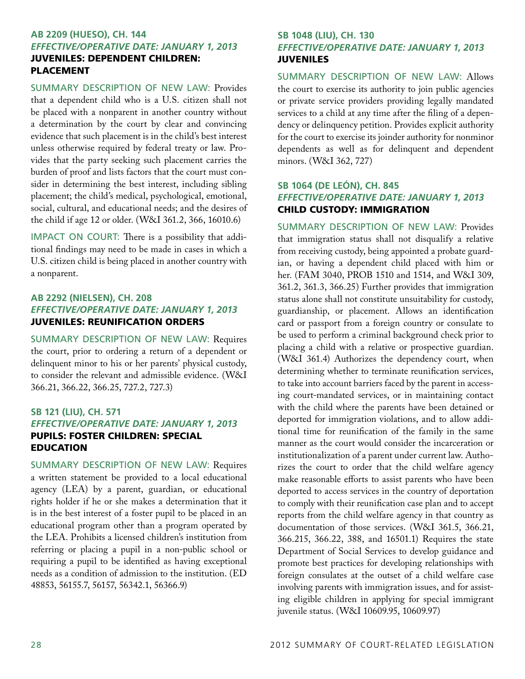### **AB 2209 (Hueso), CH. 144** *Effective/Operative Date: January 1, 2013*  Juveniles: dependent children: **PLACEMENT**  $\overline{\phantom{a}}$

Summary Description of New Law: Provides that a dependent child who is a U.S. citizen shall not be placed with a nonparent in another country without a determination by the court by clear and convincing evidence that such placement is in the child's best interest unless otherwise required by federal treaty or law. Provides that the party seeking such placement carries the burden of proof and lists factors that the court must consider in determining the best interest, including sibling placement; the child's medical, psychological, emotional, social, cultural, and educational needs; and the desires of the child if age 12 or older. (W&I 361.2, 366, 16010.6)

IMPACT ON COURT: There is a possibility that additional findings may need to be made in cases in which a U.S. citizen child is being placed in another country with a nonparent.

## **AB 2292 (Nielsen), CH. 208** *Effective/Operative Date: January 1, 2013* Juveniles: reunification orders

Summary Description of New Law: Requires the court, prior to ordering a return of a dependent or delinquent minor to his or her parents' physical custody, to consider the relevant and admissible evidence. (W&I 366.21, 366.22, 366.25, 727.2, 727.3)

## **SB 121 (Liu), CH. 571** *Effective/Operative Date: January 1, 2013* Pupils: foster children: special **EDUCATION**

Summary Description of New Law: Requires a written statement be provided to a local educational agency (LEA) by a parent, guardian, or educational rights holder if he or she makes a determination that it is in the best interest of a foster pupil to be placed in an educational program other than a program operated by the LEA. Prohibits a licensed children's institution from referring or placing a pupil in a non-public school or requiring a pupil to be identified as having exceptional needs as a condition of admission to the institution. (ED 48853, 56155.7, 56157, 56342.1, 56366.9)

## **SB 1048 (Liu), CH. 130** *Effective/Operative Date: January 1, 2013* Juveniles

Summary Description of New Law: Allows the court to exercise its authority to join public agencies or private service providers providing legally mandated services to a child at any time after the filing of a dependency or delinquency petition. Provides explicit authority for the court to exercise its joinder authority for nonminor dependents as well as for delinquent and dependent minors. (W&I 362, 727)

## **SB 1064 (De León), CH. 845** *Effective/Operative Date: January 1, 2013*  Child custody: immigration

Summary Description of New Law: Provides that immigration status shall not disqualify a relative from receiving custody, being appointed a probate guardian, or having a dependent child placed with him or her. (FAM 3040, PROB 1510 and 1514, and W&I 309, 361.2, 361.3, 366.25) Further provides that immigration status alone shall not constitute unsuitability for custody, guardianship, or placement. Allows an identification card or passport from a foreign country or consulate to be used to perform a criminal background check prior to placing a child with a relative or prospective guardian. (W&I 361.4) Authorizes the dependency court, when determining whether to terminate reunification services, to take into account barriers faced by the parent in accessing court-mandated services, or in maintaining contact with the child where the parents have been detained or deported for immigration violations, and to allow additional time for reunification of the family in the same manner as the court would consider the incarceration or institutionalization of a parent under current law. Authorizes the court to order that the child welfare agency make reasonable efforts to assist parents who have been deported to access services in the country of deportation to comply with their reunification case plan and to accept reports from the child welfare agency in that country as documentation of those services. (W&I 361.5, 366.21, 366.215, 366.22, 388, and 16501.1) Requires the state Department of Social Services to develop guidance and promote best practices for developing relationships with foreign consulates at the outset of a child welfare case involving parents with immigration issues, and for assisting eligible children in applying for special immigrant juvenile status. (W&I 10609.95, 10609.97)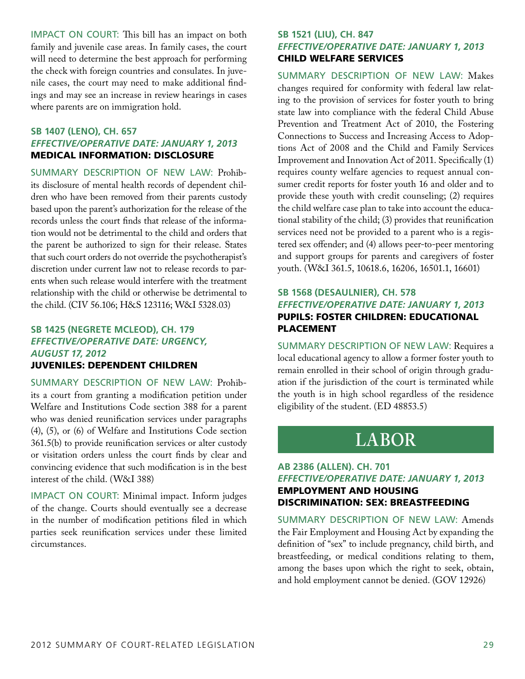IMPACT ON COURT: This bill has an impact on both family and juvenile case areas. In family cases, the court will need to determine the best approach for performing the check with foreign countries and consulates. In juvenile cases, the court may need to make additional findings and may see an increase in review hearings in cases where parents are on immigration hold.

## **SB 1407 (Leno), CH. 657** *Effective/Operative Date: January 1, 2013* Medical information: disclosure

Summary Description of New Law: Prohibits disclosure of mental health records of dependent children who have been removed from their parents custody based upon the parent's authorization for the release of the records unless the court finds that release of the information would not be detrimental to the child and orders that the parent be authorized to sign for their release. States that such court orders do not override the psychotherapist's discretion under current law not to release records to parents when such release would interfere with the treatment relationship with the child or otherwise be detrimental to the child. (CIV 56.106; H&S 123116; W&I 5328.03)

## **SB 1425 (Negrete McLeod), CH. 179** *Effective/Operative Date: Urgency, August 17, 2012*

## Juveniles: dependent children

Summary Description of New Law: Prohibits a court from granting a modification petition under Welfare and Institutions Code section 388 for a parent who was denied reunification services under paragraphs (4), (5), or (6) of Welfare and Institutions Code section 361.5(b) to provide reunification services or alter custody or visitation orders unless the court finds by clear and convincing evidence that such modification is in the best interest of the child. (W&I 388)

IMPACT ON COURT: Minimal impact. Inform judges of the change. Courts should eventually see a decrease in the number of modification petitions filed in which parties seek reunification services under these limited circumstances.

## **SB 1521 (Liu), CH. 847** *Effective/Operative Date: January 1, 2013* Child welfare services

Summary Description of New Law: Makes changes required for conformity with federal law relating to the provision of services for foster youth to bring state law into compliance with the federal Child Abuse Prevention and Treatment Act of 2010, the Fostering Connections to Success and Increasing Access to Adoptions Act of 2008 and the Child and Family Services Improvement and Innovation Act of 2011. Specifically (1) requires county welfare agencies to request annual consumer credit reports for foster youth 16 and older and to provide these youth with credit counseling; (2) requires the child welfare case plan to take into account the educational stability of the child; (3) provides that reunification services need not be provided to a parent who is a registered sex offender; and (4) allows peer-to-peer mentoring and support groups for parents and caregivers of foster youth. (W&I 361.5, 10618.6, 16206, 16501.1, 16601)

### **SB 1568 (DeSaulnier), CH. 578** *Effective/Operative Date: January 1, 2013* Pupils: foster children: educational **PLACEMENT**  $\overline{\phantom{a}}$

Summary Description of New Law: Requires a local educational agency to allow a former foster youth to remain enrolled in their school of origin through graduation if the jurisdiction of the court is terminated while the youth is in high school regardless of the residence eligibility of the student. (ED 48853.5)

## **LABOR**

## **AB 2386 (Allen). CH. 701** *Effective/Operative Date: January 1, 2013* Employment and housing discrimination: sex: breastfeeding

Summary Description of New Law: Amends the Fair Employment and Housing Act by expanding the definition of "sex" to include pregnancy, child birth, and breastfeeding, or medical conditions relating to them, among the bases upon which the right to seek, obtain, and hold employment cannot be denied. (GOV 12926)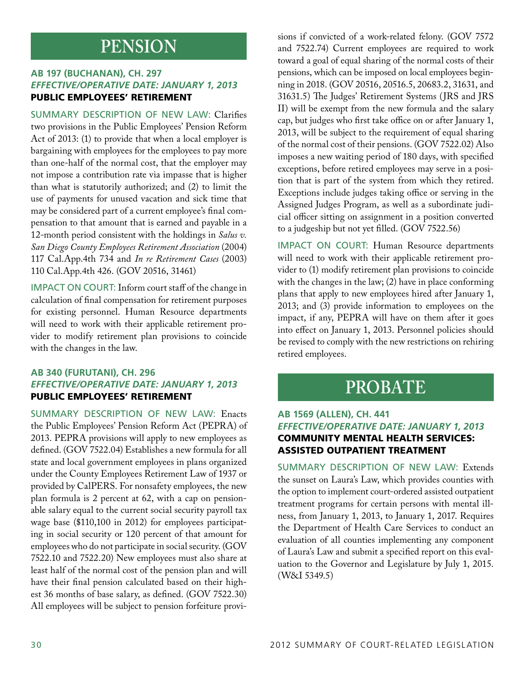## **PENSION**

## **AB 197 (Buchanan), CH. 297** *Effective/Operative Date: January 1, 2013* Public employees' retirement

Summary Description of New Law: Clarifies two provisions in the Public Employees' Pension Reform Act of 2013: (1) to provide that when a local employer is bargaining with employees for the employees to pay more than one-half of the normal cost, that the employer may not impose a contribution rate via impasse that is higher than what is statutorily authorized; and (2) to limit the use of payments for unused vacation and sick time that may be considered part of a current employee's final compensation to that amount that is earned and payable in a 12-month period consistent with the holdings in *Salus v. San Diego County Employees Retirement Association* (2004) 117 Cal.App.4th 734 and *In re Retirement Cases* (2003) 110 Cal.App.4th 426. (GOV 20516, 31461)

Impact on Court: Inform court staff of the change in calculation of final compensation for retirement purposes for existing personnel. Human Resource departments will need to work with their applicable retirement provider to modify retirement plan provisions to coincide with the changes in the law.

## **AB 340 (Furutani), CH. 296** *Effective/Operative Date: January 1, 2013*  Public employees' retirement

Summary Description of New Law: Enacts the Public Employees' Pension Reform Act (PEPRA) of 2013. PEPRA provisions will apply to new employees as defined. (GOV 7522.04) Establishes a new formula for all state and local government employees in plans organized under the County Employees Retirement Law of 1937 or provided by CalPERS. For nonsafety employees, the new plan formula is 2 percent at 62, with a cap on pensionable salary equal to the current social security payroll tax wage base (\$110,100 in 2012) for employees participating in social security or 120 percent of that amount for employees who do not participate in social security. (GOV 7522.10 and 7522.20) New employees must also share at least half of the normal cost of the pension plan and will have their final pension calculated based on their highest 36 months of base salary, as defined. (GOV 7522.30) All employees will be subject to pension forfeiture provisions if convicted of a work-related felony. (GOV 7572 and 7522.74) Current employees are required to work toward a goal of equal sharing of the normal costs of their pensions, which can be imposed on local employees beginning in 2018. (GOV 20516, 20516.5, 20683.2, 31631, and 31631.5) The Judges' Retirement Systems (JRS and JRS II) will be exempt from the new formula and the salary cap, but judges who first take office on or after January 1, 2013, will be subject to the requirement of equal sharing of the normal cost of their pensions. (GOV 7522.02) Also imposes a new waiting period of 180 days, with specified exceptions, before retired employees may serve in a position that is part of the system from which they retired. Exceptions include judges taking office or serving in the Assigned Judges Program, as well as a subordinate judicial officer sitting on assignment in a position converted to a judgeship but not yet filled. (GOV 7522.56)

IMPACT ON COURT: Human Resource departments will need to work with their applicable retirement provider to (1) modify retirement plan provisions to coincide with the changes in the law; (2) have in place conforming plans that apply to new employees hired after January 1, 2013; and (3) provide information to employees on the impact, if any, PEPRA will have on them after it goes into effect on January 1, 2013. Personnel policies should be revised to comply with the new restrictions on rehiring retired employees.

## **PROBATE**

## **AB 1569 (Allen), CH. 441** *Effective/Operative Date: January 1, 2013* Community mental health services: assisted outpatient treatment

Summary Description of New Law: Extends the sunset on Laura's Law, which provides counties with the option to implement court-ordered assisted outpatient treatment programs for certain persons with mental illness, from January 1, 2013, to January 1, 2017. Requires the Department of Health Care Services to conduct an evaluation of all counties implementing any component of Laura's Law and submit a specified report on this evaluation to the Governor and Legislature by July 1, 2015. (W&I 5349.5)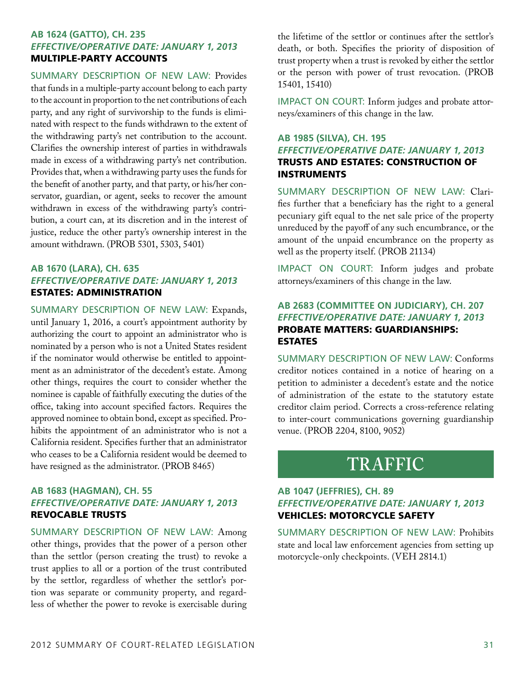## **AB 1624 (Gatto), CH. 235** *Effective/Operative Date: January 1, 2013* Multiple-party accounts

Summary Description of New Law: Provides that funds in a multiple-party account belong to each party to the account in proportion to the net contributions of each party, and any right of survivorship to the funds is eliminated with respect to the funds withdrawn to the extent of the withdrawing party's net contribution to the account. Clarifies the ownership interest of parties in withdrawals made in excess of a withdrawing party's net contribution. Provides that, when a withdrawing party uses the funds for the benefit of another party, and that party, or his/her conservator, guardian, or agent, seeks to recover the amount withdrawn in excess of the withdrawing party's contribution, a court can, at its discretion and in the interest of justice, reduce the other party's ownership interest in the amount withdrawn. (PROB 5301, 5303, 5401)

## **AB 1670 (Lara), CH. 635** *Effective/Operative Date: January 1, 2013* Estates: administration

Summary Description of New Law: Expands, until January 1, 2016, a court's appointment authority by authorizing the court to appoint an administrator who is nominated by a person who is not a United States resident if the nominator would otherwise be entitled to appointment as an administrator of the decedent's estate. Among other things, requires the court to consider whether the nominee is capable of faithfully executing the duties of the office, taking into account specified factors. Requires the approved nominee to obtain bond, except as specified. Prohibits the appointment of an administrator who is not a California resident. Specifies further that an administrator who ceases to be a California resident would be deemed to have resigned as the administrator. (PROB 8465)

## **AB 1683 (Hagman), CH. 55** *Effective/Operative Date: January 1, 2013* Revocable trusts

Summary Description of New Law: Among other things, provides that the power of a person other than the settlor (person creating the trust) to revoke a trust applies to all or a portion of the trust contributed by the settlor, regardless of whether the settlor's portion was separate or community property, and regardless of whether the power to revoke is exercisable during the lifetime of the settlor or continues after the settlor's death, or both. Specifies the priority of disposition of trust property when a trust is revoked by either the settlor or the person with power of trust revocation. (PROB 15401, 15410)

IMPACT ON COURT: Inform judges and probate attorneys/examiners of this change in the law.

## **AB 1985 (Silva), CH. 195** *Effective/Operative Date: January 1, 2013* Trusts and estates: construction of instruments

Summary Description of New Law: Clarifies further that a beneficiary has the right to a general pecuniary gift equal to the net sale price of the property unreduced by the payoff of any such encumbrance, or the amount of the unpaid encumbrance on the property as well as the property itself. (PROB 21134)

Impact on Court: Inform judges and probate attorneys/examiners of this change in the law.

### **AB 2683 (Committee on Judiciary), CH. 207** *Effective/Operative Date: January 1, 2013* Probate matters: guardianships: **ESTATES** estates

Summary Description of New Law: Conforms creditor notices contained in a notice of hearing on a petition to administer a decedent's estate and the notice of administration of the estate to the statutory estate creditor claim period. Corrects a cross-reference relating to inter-court communications governing guardianship venue. (PROB 2204, 8100, 9052)

## **TRAFFIC**

## **AB 1047 (Jeffries), CH. 89** *Effective/Operative Date: January 1, 2013* Vehicles: motorcycle safety

Summary Description of New Law: Prohibits state and local law enforcement agencies from setting up motorcycle-only checkpoints. (VEH 2814.1)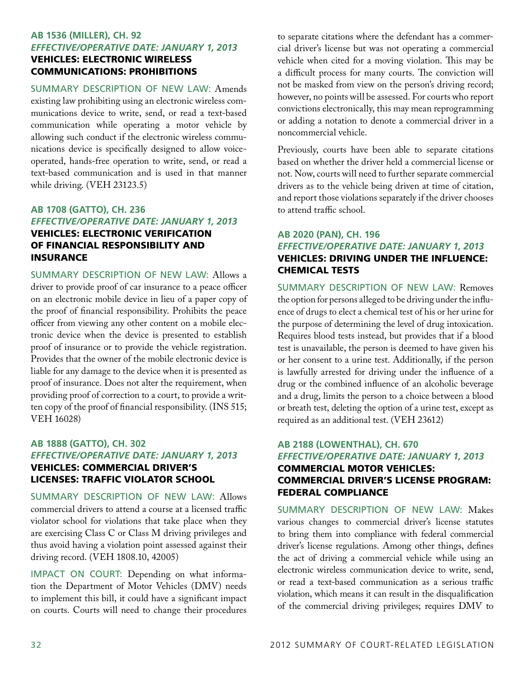## **AB 1536 (Miller), CH. 92** *Effective/Operative Date: January 1, 2013* Vehicles: electronic wireless communications: prohibitions

Summary Description of New Law: Amends existing law prohibiting using an electronic wireless communications device to write, send, or read a text-based communication while operating a motor vehicle by allowing such conduct if the electronic wireless communications device is specifically designed to allow voiceoperated, hands-free operation to write, send, or read a text-based communication and is used in that manner while driving. (VEH 23123.5)

## **AB 1708 (Gatto), CH. 236** *Effective/Operative Date: January 1, 2013* Vehicles: electronic verification of financial responsibility and **INSURANCE**

Summary Description of New Law: Allows a driver to provide proof of car insurance to a peace officer on an electronic mobile device in lieu of a paper copy of the proof of financial responsibility. Prohibits the peace officer from viewing any other content on a mobile electronic device when the device is presented to establish proof of insurance or to provide the vehicle registration. Provides that the owner of the mobile electronic device is liable for any damage to the device when it is presented as proof of insurance. Does not alter the requirement, when providing proof of correction to a court, to provide a written copy of the proof of financial responsibility. (INS 515; VEH 16028)

## **AB 1888 (Gatto), CH. 302** *Effective/Operative Date: January 1, 2013* Vehicles: commercial driver's licenses: traffic violator school

Summary Description of New Law: Allows commercial drivers to attend a course at a licensed traffic violator school for violations that take place when they are exercising Class C or Class M driving privileges and thus avoid having a violation point assessed against their driving record. (VEH 1808.10, 42005)

IMPACT ON COURT: Depending on what information the Department of Motor Vehicles (DMV) needs to implement this bill, it could have a significant impact on courts. Courts will need to change their procedures

to separate citations where the defendant has a commercial driver's license but was not operating a commercial vehicle when cited for a moving violation. This may be a difficult process for many courts. The conviction will not be masked from view on the person's driving record; however, no points will be assessed. For courts who report convictions electronically, this may mean reprogramming or adding a notation to denote a commercial driver in a noncommercial vehicle.

Previously, courts have been able to separate citations based on whether the driver held a commercial license or not. Now, courts will need to further separate commercial drivers as to the vehicle being driven at time of citation, and report those violations separately if the driver chooses to attend traffic school.

## **AB 2020 (Pan), CH. 196** *Effective/Operative Date: January 1, 2013* Vehicles: driving under the influence: chemical tests

Summary Description of New Law: Removes the option for persons alleged to be driving under the influence of drugs to elect a chemical test of his or her urine for the purpose of determining the level of drug intoxication. Requires blood tests instead, but provides that if a blood test is unavailable, the person is deemed to have given his or her consent to a urine test. Additionally, if the person is lawfully arrested for driving under the influence of a drug or the combined influence of an alcoholic beverage and a drug, limits the person to a choice between a blood or breath test, deleting the option of a urine test, except as required as an additional test. (VEH 23612)

## **AB 2188 (Lowenthal), CH. 670** *Effective/Operative Date: January 1, 2013* Commercial motor vehicles: commercial driver's license program: federal compliance

Summary Description of New Law: Makes various changes to commercial driver's license statutes to bring them into compliance with federal commercial driver's license regulations. Among other things, defines the act of driving a commercial vehicle while using an electronic wireless communication device to write, send, or read a text-based communication as a serious traffic violation, which means it can result in the disqualification of the commercial driving privileges; requires DMV to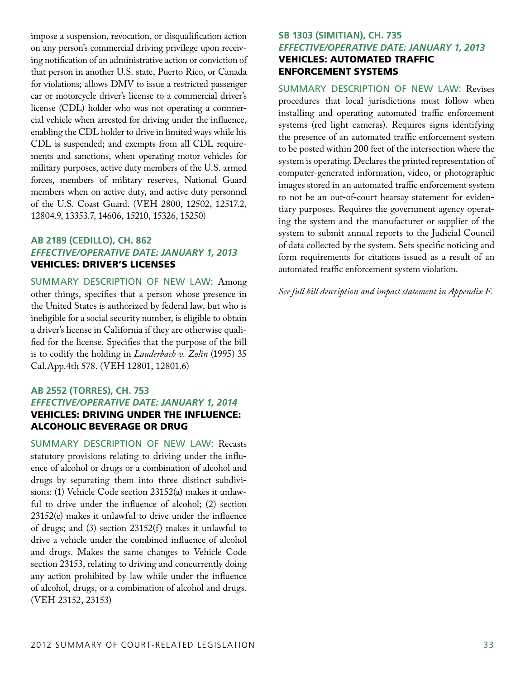impose a suspension, revocation, or disqualification action on any person's commercial driving privilege upon receiving notification of an administrative action or conviction of that person in another U.S. state, Puerto Rico, or Canada for violations; allows DMV to issue a restricted passenger car or motorcycle driver's license to a commercial driver's license (CDL) holder who was not operating a commercial vehicle when arrested for driving under the influence, enabling the CDL holder to drive in limited ways while his CDL is suspended; and exempts from all CDL requirements and sanctions, when operating motor vehicles for military purposes, active duty members of the U.S. armed forces, members of military reserves, National Guard members when on active duty, and active duty personnel of the U.S. Coast Guard. (VEH 2800, 12502, 12517.2, 12804.9, 13353.7, 14606, 15210, 15326, 15250)

## **AB 2189 (Cedillo), CH. 862** *Effective/Operative Date: January 1, 2013* Vehicles: driver's licenses

Summary Description of New Law: Among other things, specifies that a person whose presence in the United States is authorized by federal law, but who is ineligible for a social security number, is eligible to obtain a driver's license in California if they are otherwise qualified for the license. Specifies that the purpose of the bill is to codify the holding in *Lauderbach v. Zolin* (1995) 35 Cal.App.4th 578. (VEH 12801, 12801.6)

## **AB 2552 (Torres), CH. 753** *Effective/Operative Date: January 1, 2014* Vehicles: driving under the influence: alcoholic beverage or drug

Summary Description of New Law: Recasts statutory provisions relating to driving under the influence of alcohol or drugs or a combination of alcohol and drugs by separating them into three distinct subdivisions: (1) Vehicle Code section 23152(a) makes it unlawful to drive under the influence of alcohol; (2) section 23152(e) makes it unlawful to drive under the influence of drugs; and (3) section 23152(f) makes it unlawful to drive a vehicle under the combined influence of alcohol and drugs. Makes the same changes to Vehicle Code section 23153, relating to driving and concurrently doing any action prohibited by law while under the influence of alcohol, drugs, or a combination of alcohol and drugs. (VEH 23152, 23153)

## **SB 1303 (Simitian), CH. 735** *Effective/Operative Date: January 1, 2013* Vehicles: automated traffic enforcement systems

Summary Description of New Law: Revises procedures that local jurisdictions must follow when installing and operating automated traffic enforcement systems (red light cameras). Requires signs identifying the presence of an automated traffic enforcement system to be posted within 200 feet of the intersection where the system is operating. Declares the printed representation of computer-generated information, video, or photographic images stored in an automated traffic enforcement system to not be an out-of-court hearsay statement for evidentiary purposes. Requires the government agency operating the system and the manufacturer or supplier of the system to submit annual reports to the Judicial Council of data collected by the system. Sets specific noticing and form requirements for citations issued as a result of an automated traffic enforcement system violation.

*See full bill description and impact statement in Appendix F.*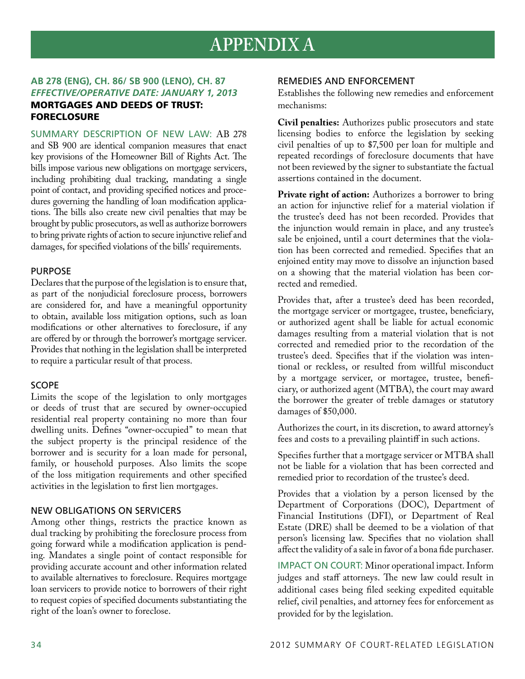## **APPENDIX A**

## **AB 278 (Eng), CH. 86/ SB 900 (Leno), CH. 87** *Effective/Operative Date: January 1, 2013* Mortgages and deeds of trust: **FORECLOSURE**

Summary Description of New Law: AB 278 and SB 900 are identical companion measures that enact key provisions of the Homeowner Bill of Rights Act. The bills impose various new obligations on mortgage servicers, including prohibiting dual tracking, mandating a single point of contact, and providing specified notices and procedures governing the handling of loan modification applications. The bills also create new civil penalties that may be brought by public prosecutors, as well as authorize borrowers to bring private rights of action to secure injunctive relief and damages, for specified violations of the bills' requirements.

## **PURPOSE**

Declares that the purpose of the legislation is to ensure that, as part of the nonjudicial foreclosure process, borrowers are considered for, and have a meaningful opportunity to obtain, available loss mitigation options, such as loan modifications or other alternatives to foreclosure, if any are offered by or through the borrower's mortgage servicer. Provides that nothing in the legislation shall be interpreted to require a particular result of that process.

## Scope

Limits the scope of the legislation to only mortgages or deeds of trust that are secured by owner-occupied residential real property containing no more than four dwelling units. Defines "owner-occupied" to mean that the subject property is the principal residence of the borrower and is security for a loan made for personal, family, or household purposes. Also limits the scope of the loss mitigation requirements and other specified activities in the legislation to first lien mortgages.

## New obligations on servicers

Among other things, restricts the practice known as dual tracking by prohibiting the foreclosure process from going forward while a modification application is pending. Mandates a single point of contact responsible for providing accurate account and other information related to available alternatives to foreclosure. Requires mortgage loan servicers to provide notice to borrowers of their right to request copies of specified documents substantiating the right of the loan's owner to foreclose.

## Remedies and enforcement

Establishes the following new remedies and enforcement mechanisms:

**Civil penalties:** Authorizes public prosecutors and state licensing bodies to enforce the legislation by seeking civil penalties of up to \$7,500 per loan for multiple and repeated recordings of foreclosure documents that have not been reviewed by the signer to substantiate the factual assertions contained in the document.

**Private right of action:** Authorizes a borrower to bring an action for injunctive relief for a material violation if the trustee's deed has not been recorded. Provides that the injunction would remain in place, and any trustee's sale be enjoined, until a court determines that the violation has been corrected and remedied. Specifies that an enjoined entity may move to dissolve an injunction based on a showing that the material violation has been corrected and remedied.

Provides that, after a trustee's deed has been recorded, the mortgage servicer or mortgagee, trustee, beneficiary, or authorized agent shall be liable for actual economic damages resulting from a material violation that is not corrected and remedied prior to the recordation of the trustee's deed. Specifies that if the violation was intentional or reckless, or resulted from willful misconduct by a mortgage servicer, or mortagee, trustee, beneficiary, or authorized agent (MTBA), the court may award the borrower the greater of treble damages or statutory damages of \$50,000.

Authorizes the court, in its discretion, to award attorney's fees and costs to a prevailing plaintiff in such actions.

Specifies further that a mortgage servicer or MTBA shall not be liable for a violation that has been corrected and remedied prior to recordation of the trustee's deed.

Provides that a violation by a person licensed by the Department of Corporations (DOC), Department of Financial Institutions (DFI), or Department of Real Estate (DRE) shall be deemed to be a violation of that person's licensing law. Specifies that no violation shall affect the validity of a sale in favor of a bona fide purchaser.

IMPACT ON COURT: Minor operational impact. Inform judges and staff attorneys. The new law could result in additional cases being filed seeking expedited equitable relief, civil penalties, and attorney fees for enforcement as provided for by the legislation.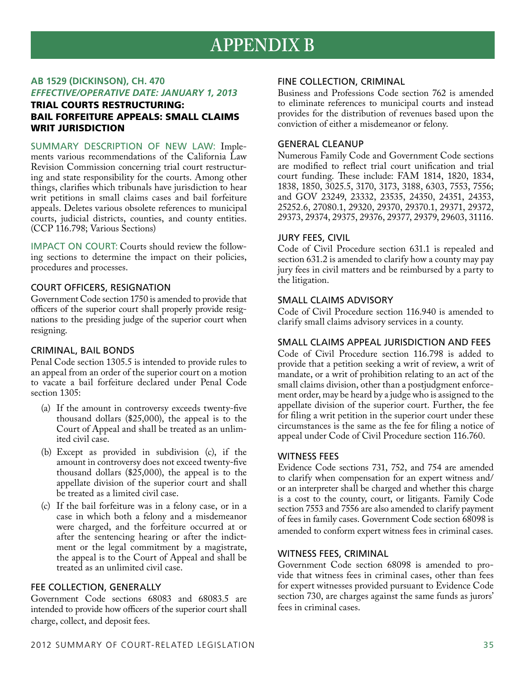## **APPENDIX B**

## **AB 1529 (Dickinson), CH. 470** *Effective/Operative Date: January 1, 2013*

## Trial courts restructuring: bail forfeiture appeals: small claims WRIT JURISDICTION

Summary Description of New Law: Implements various recommendations of the California Law Revision Commission concerning trial court restructuring and state responsibility for the courts. Among other things, clarifies which tribunals have jurisdiction to hear writ petitions in small claims cases and bail forfeiture appeals. Deletes various obsolete references to municipal courts, judicial districts, counties, and county entities. (CCP 116.798; Various Sections)

Impact on Court: Courts should review the following sections to determine the impact on their policies, procedures and processes.

## Court officers, resignation

Government Code section 1750 is amended to provide that officers of the superior court shall properly provide resignations to the presiding judge of the superior court when resigning.

## Criminal, bail bonds

Penal Code section 1305.5 is intended to provide rules to an appeal from an order of the superior court on a motion to vacate a bail forfeiture declared under Penal Code section 1305:

- (a) If the amount in controversy exceeds twenty-five thousand dollars (\$25,000), the appeal is to the Court of Appeal and shall be treated as an unlimited civil case.
- (b) Except as provided in subdivision (c), if the amount in controversy does not exceed twenty-five thousand dollars (\$25,000), the appeal is to the appellate division of the superior court and shall be treated as a limited civil case.
- (c) If the bail forfeiture was in a felony case, or in a case in which both a felony and a misdemeanor were charged, and the forfeiture occurred at or after the sentencing hearing or after the indictment or the legal commitment by a magistrate, the appeal is to the Court of Appeal and shall be treated as an unlimited civil case.

## Fee collection, generally

Government Code sections 68083 and 68083.5 are intended to provide how officers of the superior court shall charge, collect, and deposit fees.

## Fine collection, criminal

Business and Professions Code section 762 is amended to eliminate references to municipal courts and instead provides for the distribution of revenues based upon the conviction of either a misdemeanor or felony.

## General cleanup

Numerous Family Code and Government Code sections are modified to reflect trial court unification and trial court funding. These include: FAM 1814, 1820, 1834, 1838, 1850, 3025.5, 3170, 3173, 3188, 6303, 7553, 7556; and GOV 23249, 23332, 23535, 24350, 24351, 24353, 25252.6, 27080.1, 29320, 29370, 29370.1, 29371, 29372, 29373, 29374, 29375, 29376, 29377, 29379, 29603, 31116.

## Jury fees, civil

Code of Civil Procedure section 631.1 is repealed and section 631.2 is amended to clarify how a county may pay jury fees in civil matters and be reimbursed by a party to the litigation.

### Small claims advisory

Code of Civil Procedure section 116.940 is amended to clarify small claims advisory services in a county.

### Small claims appeal jurisdiction and fees

Code of Civil Procedure section 116.798 is added to provide that a petition seeking a writ of review, a writ of mandate, or a writ of prohibition relating to an act of the small claims division, other than a postjudgment enforcement order, may be heard by a judge who is assigned to the appellate division of the superior court. Further, the fee for filing a writ petition in the superior court under these circumstances is the same as the fee for filing a notice of appeal under Code of Civil Procedure section 116.760.

### WITNESS FEES

Evidence Code sections 731, 752, and 754 are amended to clarify when compensation for an expert witness and/ or an interpreter shall be charged and whether this charge is a cost to the county, court, or litigants. Family Code section 7553 and 7556 are also amended to clarify payment of fees in family cases. Government Code section 68098 is amended to conform expert witness fees in criminal cases.

## Witness fees, criminal

Government Code section 68098 is amended to provide that witness fees in criminal cases, other than fees for expert witnesses provided pursuant to Evidence Code section 730, are charges against the same funds as jurors' fees in criminal cases.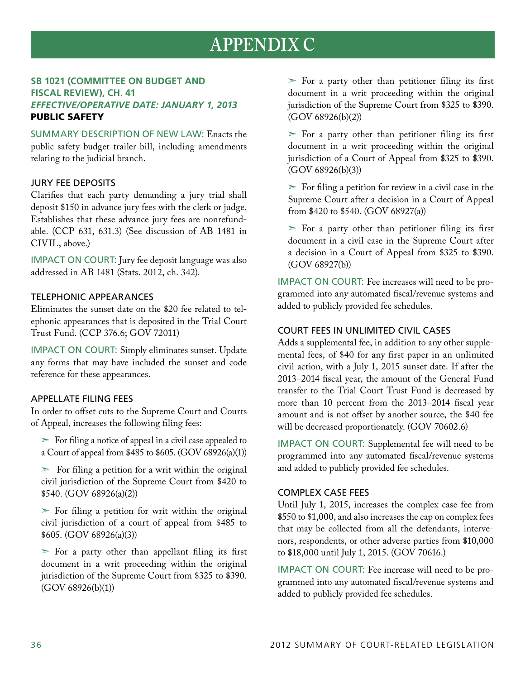## **APPENDIX C**

## **SB 1021 (Committee on Budget and Fiscal Review), CH. 41** *Effective/Operative Date: January 1, 2013* Public safety

Summary Description of New Law: Enacts the public safety budget trailer bill, including amendments relating to the judicial branch.

## Jury fee deposits

Clarifies that each party demanding a jury trial shall deposit \$150 in advance jury fees with the clerk or judge. Establishes that these advance jury fees are nonrefundable. (CCP 631, 631.3) (See discussion of AB 1481 in CIVIL, above.)

IMPACT ON COURT: Jury fee deposit language was also addressed in AB 1481 (Stats. 2012, ch. 342).

## Telephonic appearances

Eliminates the sunset date on the \$20 fee related to telephonic appearances that is deposited in the Trial Court Trust Fund. (CCP 376.6; GOV 72011)

IMPACT ON COURT: Simply eliminates sunset. Update any forms that may have included the sunset and code reference for these appearances.

## Appellate filing fees

In order to offset cuts to the Supreme Court and Courts of Appeal, increases the following filing fees:

 $\triangleright$  For filing a notice of appeal in a civil case appealed to a Court of appeal from \$485 to \$605. (GOV 68926(a)(1))

 $\geq$  For filing a petition for a writ within the original civil jurisdiction of the Supreme Court from \$420 to \$540. (GOV 68926(a)(2))

 $\triangleright$  For filing a petition for writ within the original civil jurisdiction of a court of appeal from \$485 to \$605. (GOV 68926(a)(3))

 $\triangleright$  For a party other than appellant filing its first document in a writ proceeding within the original jurisdiction of the Supreme Court from \$325 to \$390.  $(GOV 68926(b)(1))$ 

 $\triangleright$  For a party other than petitioner filing its first document in a writ proceeding within the original jurisdiction of the Supreme Court from \$325 to \$390. (GOV 68926(b)(2))

 $\triangleright$  For a party other than petitioner filing its first document in a writ proceeding within the original jurisdiction of a Court of Appeal from \$325 to \$390. (GOV 68926(b)(3))

 $\triangleright$  For filing a petition for review in a civil case in the Supreme Court after a decision in a Court of Appeal from \$420 to \$540. (GOV 68927(a))

 $\triangleright$  For a party other than petitioner filing its first document in a civil case in the Supreme Court after a decision in a Court of Appeal from \$325 to \$390. (GOV 68927(b))

Impact on Court: Fee increases will need to be programmed into any automated fiscal/revenue systems and added to publicly provided fee schedules.

## Court fees in unlimited civil cases

Adds a supplemental fee, in addition to any other supplemental fees, of \$40 for any first paper in an unlimited civil action, with a July 1, 2015 sunset date. If after the 2013–2014 fiscal year, the amount of the General Fund transfer to the Trial Court Trust Fund is decreased by more than 10 percent from the 2013–2014 fiscal year amount and is not offset by another source, the \$40 fee will be decreased proportionately. (GOV 70602.6)

Impact on Court: Supplemental fee will need to be programmed into any automated fiscal/revenue systems and added to publicly provided fee schedules.

## Complex case fees

Until July 1, 2015, increases the complex case fee from \$550 to \$1,000, and also increases the cap on complex fees that may be collected from all the defendants, intervenors, respondents, or other adverse parties from \$10,000 to \$18,000 until July 1, 2015. (GOV 70616.)

IMPACT ON COURT: Fee increase will need to be programmed into any automated fiscal/revenue systems and added to publicly provided fee schedules.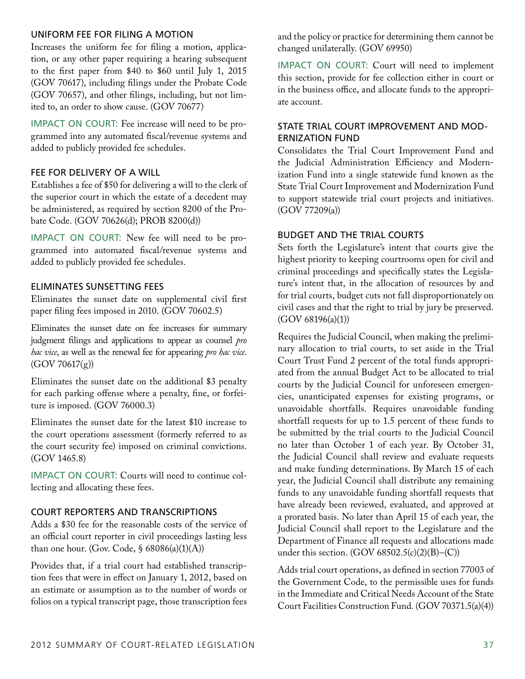## Uniform fee for filing a motion

Increases the uniform fee for filing a motion, application, or any other paper requiring a hearing subsequent to the first paper from \$40 to \$60 until July 1, 2015 (GOV 70617), including filings under the Probate Code (GOV 70657), and other filings, including, but not limited to, an order to show cause. (GOV 70677)

IMPACT ON COURT: Fee increase will need to be programmed into any automated fiscal/revenue systems and added to publicly provided fee schedules.

## Fee for delivery of a will

Establishes a fee of \$50 for delivering a will to the clerk of the superior court in which the estate of a decedent may be administered, as required by section 8200 of the Probate Code. (GOV 70626(d); PROB 8200(d))

IMPACT ON COURT: New fee will need to be programmed into automated fiscal/revenue systems and added to publicly provided fee schedules.

## Eliminates sunsetting fees

Eliminates the sunset date on supplemental civil first paper filing fees imposed in 2010. (GOV 70602.5)

Eliminates the sunset date on fee increases for summary judgment filings and applications to appear as counsel *pro hac vice*, as well as the renewal fee for appearing *pro hac vice*.  $(GOV 70617(g))$ 

Eliminates the sunset date on the additional \$3 penalty for each parking offense where a penalty, fine, or forfeiture is imposed. (GOV 76000.3)

Eliminates the sunset date for the latest \$10 increase to the court operations assessment (formerly referred to as the court security fee) imposed on criminal convictions. (GOV 1465.8)

Impact on Court: Courts will need to continue collecting and allocating these fees.

## Court reporters and transcriptions

Adds a \$30 fee for the reasonable costs of the service of an official court reporter in civil proceedings lasting less than one hour. (Gov. Code,  $\S 68086(a)(1)(A)$ )

Provides that, if a trial court had established transcription fees that were in effect on January 1, 2012, based on an estimate or assumption as to the number of words or folios on a typical transcript page, those transcription fees and the policy or practice for determining them cannot be changed unilaterally. (GOV 69950)

IMPACT ON COURT: Court will need to implement this section, provide for fee collection either in court or in the business office, and allocate funds to the appropriate account.

## State Trial Court Improvement and Modernization Fund

Consolidates the Trial Court Improvement Fund and the Judicial Administration Efficiency and Modernization Fund into a single statewide fund known as the State Trial Court Improvement and Modernization Fund to support statewide trial court projects and initiatives. (GOV 77209(a))

## Budget and the trial courts

Sets forth the Legislature's intent that courts give the highest priority to keeping courtrooms open for civil and criminal proceedings and specifically states the Legislature's intent that, in the allocation of resources by and for trial courts, budget cuts not fall disproportionately on civil cases and that the right to trial by jury be preserved.  $(GOV 68196(a)(1))$ 

Requires the Judicial Council, when making the preliminary allocation to trial courts, to set aside in the Trial Court Trust Fund 2 percent of the total funds appropriated from the annual Budget Act to be allocated to trial courts by the Judicial Council for unforeseen emergencies, unanticipated expenses for existing programs, or unavoidable shortfalls. Requires unavoidable funding shortfall requests for up to 1.5 percent of these funds to be submitted by the trial courts to the Judicial Council no later than October 1 of each year. By October 31, the Judicial Council shall review and evaluate requests and make funding determinations. By March 15 of each year, the Judicial Council shall distribute any remaining funds to any unavoidable funding shortfall requests that have already been reviewed, evaluated, and approved at a prorated basis. No later than April 15 of each year, the Judicial Council shall report to the Legislature and the Department of Finance all requests and allocations made under this section.  $(GOV 68502.5(c)(2)(B)–(C))$ 

Adds trial court operations, as defined in section 77003 of the Government Code, to the permissible uses for funds in the Immediate and Critical Needs Account of the State Court Facilities Construction Fund. (GOV 70371.5(a)(4))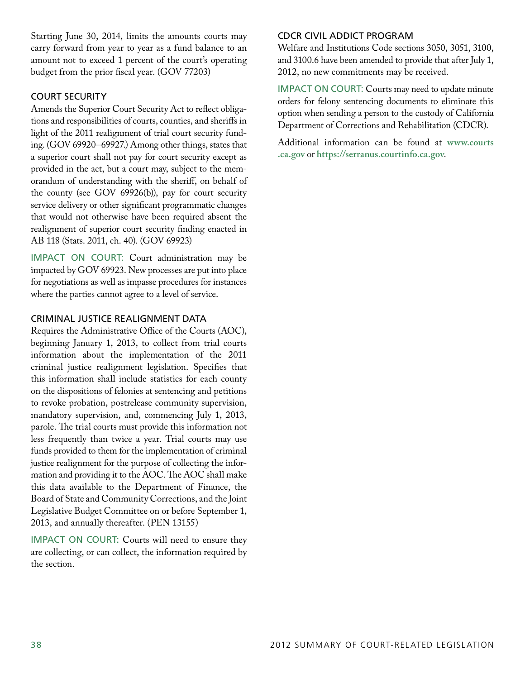Starting June 30, 2014, limits the amounts courts may carry forward from year to year as a fund balance to an amount not to exceed 1 percent of the court's operating budget from the prior fiscal year. (GOV 77203)

## Court security

Amends the Superior Court Security Act to reflect obligations and responsibilities of courts, counties, and sheriffs in light of the 2011 realignment of trial court security funding. (GOV 69920–69927.) Among other things, states that a superior court shall not pay for court security except as provided in the act, but a court may, subject to the memorandum of understanding with the sheriff, on behalf of the county (see GOV 69926(b)), pay for court security service delivery or other significant programmatic changes that would not otherwise have been required absent the realignment of superior court security finding enacted in AB 118 (Stats. 2011, ch. 40). (GOV 69923)

IMPACT ON COURT: Court administration may be impacted by GOV 69923. New processes are put into place for negotiations as well as impasse procedures for instances where the parties cannot agree to a level of service.

## Criminal justice realignment data

Requires the Administrative Office of the Courts (AOC), beginning January 1, 2013, to collect from trial courts information about the implementation of the 2011 criminal justice realignment legislation. Specifies that this information shall include statistics for each county on the dispositions of felonies at sentencing and petitions to revoke probation, postrelease community supervision, mandatory supervision, and, commencing July 1, 2013, parole. The trial courts must provide this information not less frequently than twice a year. Trial courts may use funds provided to them for the implementation of criminal justice realignment for the purpose of collecting the information and providing it to the AOC. The AOC shall make this data available to the Department of Finance, the Board of State and Community Corrections, and the Joint Legislative Budget Committee on or before September 1, 2013, and annually thereafter. (PEN 13155)

IMPACT ON COURT: Courts will need to ensure they are collecting, or can collect, the information required by the section.

## CDCR Civil Addict Program

Welfare and Institutions Code sections 3050, 3051, 3100, and 3100.6 have been amended to provide that after July 1, 2012, no new commitments may be received.

IMPACT ON COURT: Courts may need to update minute orders for felony sentencing documents to eliminate this option when sending a person to the custody of California Department of Corrections and Rehabilitation (CDCR).

Additional information can be found at **www.courts .ca.gov** or **https://serranus.courtinfo.ca.gov**.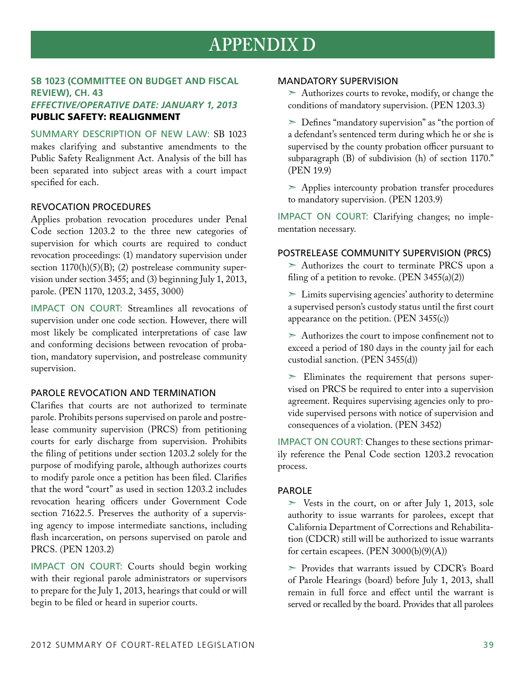## **APPENDIX D**

## **SB 1023 (Committee on Budget and Fiscal Review), CH. 43** *Effective/Operative Date: January 1, 2013* Public safety: realignment

Summary Description of New Law: SB 1023 makes clarifying and substantive amendments to the Public Safety Realignment Act. Analysis of the bill has been separated into subject areas with a court impact specified for each.

## Revocation procedures

Applies probation revocation procedures under Penal Code section 1203.2 to the three new categories of supervision for which courts are required to conduct revocation proceedings: (1) mandatory supervision under section  $1170(h)(5)(B)$ ; (2) postrelease community supervision under section 3455; and (3) beginning July 1, 2013, parole. (PEN 1170, 1203.2, 3455, 3000)

Impact on Court: Streamlines all revocations of supervision under one code section. However, there will most likely be complicated interpretations of case law and conforming decisions between revocation of probation, mandatory supervision, and postrelease community supervision.

## PAROLE REVOCATION AND TERMINATION

Clarifies that courts are not authorized to terminate parole. Prohibits persons supervised on parole and postrelease community supervision (PRCS) from petitioning courts for early discharge from supervision. Prohibits the filing of petitions under section 1203.2 solely for the purpose of modifying parole, although authorizes courts to modify parole once a petition has been filed. Clarifies that the word "court" as used in section 1203.2 includes revocation hearing officers under Government Code section 71622.5. Preserves the authority of a supervising agency to impose intermediate sanctions, including flash incarceration, on persons supervised on parole and PRCS. (PEN 1203.2)

Impact on Court: Courts should begin working with their regional parole administrators or supervisors to prepare for the July 1, 2013, hearings that could or will begin to be filed or heard in superior courts.

### Mandatory supervision

 $\geq$  Authorizes courts to revoke, modify, or change the conditions of mandatory supervision. (PEN 1203.3)

➣ Defines "mandatory supervision" as "the portion of a defendant's sentenced term during which he or she is supervised by the county probation officer pursuant to subparagraph (B) of subdivision (h) of section 1170." (PEN 19.9)

➣ Applies intercounty probation transfer procedures to mandatory supervision. (PEN 1203.9)

Impact on Court: Clarifying changes; no implementation necessary.

### Postrelease Community Supervision (PRCS)

 $\geq$  Authorizes the court to terminate PRCS upon a filing of a petition to revoke.  $(PEN 3455(a)(2))$ 

 $\geq$  Limits supervising agencies' authority to determine a supervised person's custody status until the first court appearance on the petition. (PEN 3455(c))

 $\geq$  Authorizes the court to impose confinement not to exceed a period of 180 days in the county jail for each custodial sanction. (PEN 3455(d))

 $\geq$  Eliminates the requirement that persons supervised on PRCS be required to enter into a supervision agreement. Requires supervising agencies only to provide supervised persons with notice of supervision and consequences of a violation. (PEN 3452)

IMPACT ON COURT: Changes to these sections primarily reference the Penal Code section 1203.2 revocation process.

## **PAROLE**

 $\geq$  Vests in the court, on or after July 1, 2013, sole authority to issue warrants for parolees, except that California Department of Corrections and Rehabilitation (CDCR) still will be authorized to issue warrants for certain escapees. (PEN 3000(b)(9)(A))

➣ Provides that warrants issued by CDCR's Board of Parole Hearings (board) before July 1, 2013, shall remain in full force and effect until the warrant is served or recalled by the board. Provides that all parolees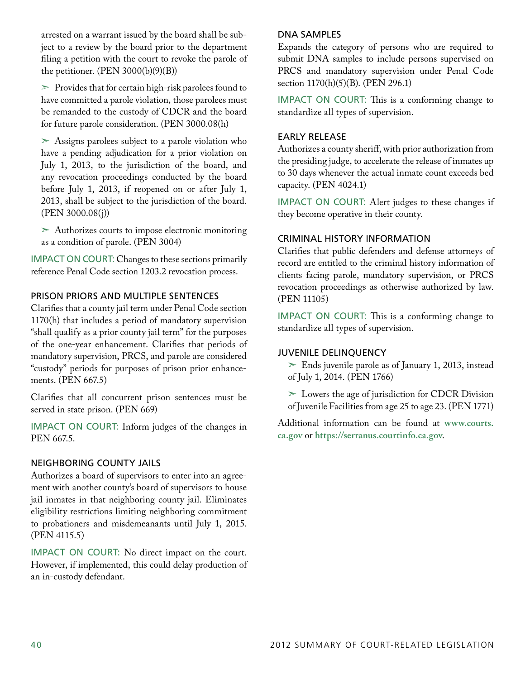arrested on a warrant issued by the board shall be subject to a review by the board prior to the department filing a petition with the court to revoke the parole of the petitioner.  $(PEN 3000(b)(9)(B))$ 

 $\geq$  Provides that for certain high-risk parolees found to have committed a parole violation, those parolees must be remanded to the custody of CDCR and the board for future parole consideration. (PEN 3000.08(h)

➣ Assigns parolees subject to a parole violation who have a pending adjudication for a prior violation on July 1, 2013, to the jurisdiction of the board, and any revocation proceedings conducted by the board before July 1, 2013, if reopened on or after July 1, 2013, shall be subject to the jurisdiction of the board. (PEN 3000.08(j))

➣ Authorizes courts to impose electronic monitoring as a condition of parole. (PEN 3004)

IMPACT ON COURT: Changes to these sections primarily reference Penal Code section 1203.2 revocation process.

## Prison priors and multiple sentences

Clarifies that a county jail term under Penal Code section 1170(h) that includes a period of mandatory supervision "shall qualify as a prior county jail term" for the purposes of the one-year enhancement. Clarifies that periods of mandatory supervision, PRCS, and parole are considered "custody" periods for purposes of prison prior enhancements. (PEN 667.5)

Clarifies that all concurrent prison sentences must be served in state prison. (PEN 669)

IMPACT ON COURT: Inform judges of the changes in PEN 667.5.

## Neighboring county jails

Authorizes a board of supervisors to enter into an agreement with another county's board of supervisors to house jail inmates in that neighboring county jail. Eliminates eligibility restrictions limiting neighboring commitment to probationers and misdemeanants until July 1, 2015. (PEN 4115.5)

IMPACT ON COURT: No direct impact on the court. However, if implemented, this could delay production of an in-custody defendant.

## DNA samples

Expands the category of persons who are required to submit DNA samples to include persons supervised on PRCS and mandatory supervision under Penal Code section 1170(h)(5)(B). (PEN 296.1)

IMPACT ON COURT: This is a conforming change to standardize all types of supervision.

## Early release

Authorizes a county sheriff, with prior authorization from the presiding judge, to accelerate the release of inmates up to 30 days whenever the actual inmate count exceeds bed capacity. (PEN 4024.1)

IMPACT ON COURT: Alert judges to these changes if they become operative in their county.

## Criminal history information

Clarifies that public defenders and defense attorneys of record are entitled to the criminal history information of clients facing parole, mandatory supervision, or PRCS revocation proceedings as otherwise authorized by law. (PEN 11105)

Impact on Court: This is a conforming change to standardize all types of supervision.

## Juvenile delinquency

 $\ge$  Ends juvenile parole as of January 1, 2013, instead of July 1, 2014. (PEN 1766)

➣ Lowers the age of jurisdiction for CDCR Division of Juvenile Facilities from age 25 to age 23. (PEN 1771)

Additional information can be found at **www.courts. ca.gov** or **https://serranus.courtinfo.ca.gov**.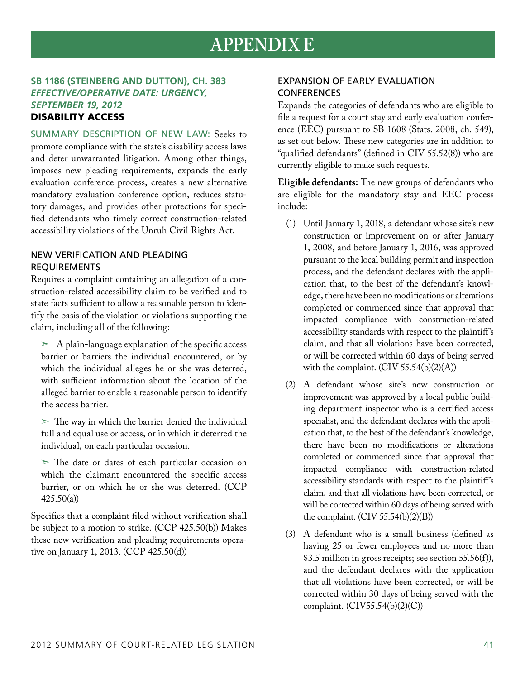## **APPENDIX E**

## **SB 1186 (Steinberg and Dutton), CH. 383** *Effective/Operative Date: Urgency, September 19, 2012* Disability access

Summary Description of New Law: Seeks to promote compliance with the state's disability access laws and deter unwarranted litigation. Among other things, imposes new pleading requirements, expands the early evaluation conference process, creates a new alternative mandatory evaluation conference option, reduces statutory damages, and provides other protections for specified defendants who timely correct construction-related accessibility violations of the Unruh Civil Rights Act.

## New verification and pleading **REQUIREMENTS**

Requires a complaint containing an allegation of a construction-related accessibility claim to be verified and to state facts sufficient to allow a reasonable person to identify the basis of the violation or violations supporting the claim, including all of the following:

- $>$  A plain-language explanation of the specific access barrier or barriers the individual encountered, or by which the individual alleges he or she was deterred, with sufficient information about the location of the alleged barrier to enable a reasonable person to identify the access barrier.
- $\geq$  The way in which the barrier denied the individual full and equal use or access, or in which it deterred the individual, on each particular occasion.
- ➣ The date or dates of each particular occasion on which the claimant encountered the specific access barrier, or on which he or she was deterred. (CCP 425.50(a))

Specifies that a complaint filed without verification shall be subject to a motion to strike. (CCP 425.50(b)) Makes these new verification and pleading requirements operative on January 1, 2013. (CCP 425.50(d))

## Expansion of early evaluation **CONFERENCES**

Expands the categories of defendants who are eligible to file a request for a court stay and early evaluation conference (EEC) pursuant to SB 1608 (Stats. 2008, ch. 549), as set out below. These new categories are in addition to "qualified defendants" (defined in CIV 55.52(8)) who are currently eligible to make such requests.

**Eligible defendants:** The new groups of defendants who are eligible for the mandatory stay and EEC process include:

- (1) Until January 1, 2018, a defendant whose site's new construction or improvement on or after January 1, 2008, and before January 1, 2016, was approved pursuant to the local building permit and inspection process, and the defendant declares with the application that, to the best of the defendant's knowledge, there have been no modifications or alterations completed or commenced since that approval that impacted compliance with construction-related accessibility standards with respect to the plaintiff's claim, and that all violations have been corrected, or will be corrected within 60 days of being served with the complaint.  $(CIV 55.54(b)(2)(A))$
- (2) A defendant whose site's new construction or improvement was approved by a local public building department inspector who is a certified access specialist, and the defendant declares with the application that, to the best of the defendant's knowledge, there have been no modifications or alterations completed or commenced since that approval that impacted compliance with construction-related accessibility standards with respect to the plaintiff's claim, and that all violations have been corrected, or will be corrected within 60 days of being served with the complaint.  $(CIV 55.54(b)(2)(B))$
- (3) A defendant who is a small business (defined as having 25 or fewer employees and no more than \$3.5 million in gross receipts; see section 55.56(f)), and the defendant declares with the application that all violations have been corrected, or will be corrected within 30 days of being served with the complaint. (CIV55.54(b)(2)(C))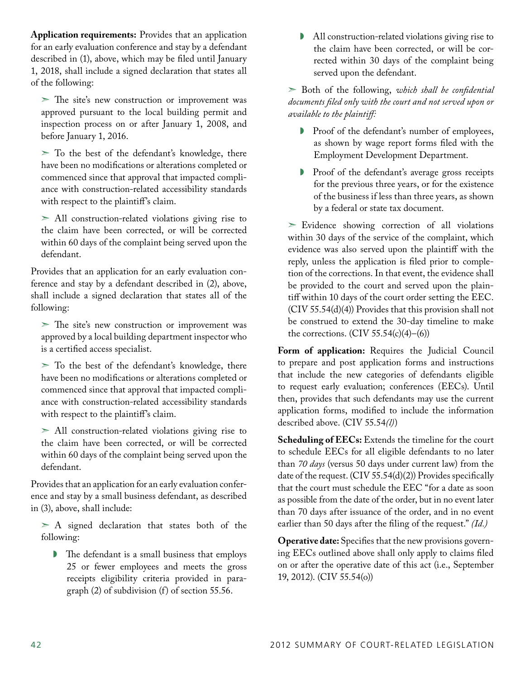**Application requirements:** Provides that an application for an early evaluation conference and stay by a defendant described in (1), above, which may be filed until January 1, 2018, shall include a signed declaration that states all of the following:

 $>$  The site's new construction or improvement was approved pursuant to the local building permit and inspection process on or after January 1, 2008, and before January 1, 2016.

 $\geq$  To the best of the defendant's knowledge, there have been no modifications or alterations completed or commenced since that approval that impacted compliance with construction-related accessibility standards with respect to the plaintiff's claim.

 $>$  All construction-related violations giving rise to the claim have been corrected, or will be corrected within 60 days of the complaint being served upon the defendant.

Provides that an application for an early evaluation conference and stay by a defendant described in (2), above, shall include a signed declaration that states all of the following:

➣ The site's new construction or improvement was approved by a local building department inspector who is a certified access specialist.

➣ To the best of the defendant's knowledge, there have been no modifications or alterations completed or commenced since that approval that impacted compliance with construction-related accessibility standards with respect to the plaintiff's claim.

 $>$  All construction-related violations giving rise to the claim have been corrected, or will be corrected within 60 days of the complaint being served upon the defendant.

Provides that an application for an early evaluation conference and stay by a small business defendant, as described in (3), above, shall include:

➣ A signed declaration that states both of the following:

◗ The defendant is a small business that employs 25 or fewer employees and meets the gross receipts eligibility criteria provided in paragraph (2) of subdivision (f) of section 55.56.

◗ All construction-related violations giving rise to the claim have been corrected, or will be corrected within 30 days of the complaint being served upon the defendant.

➣ Both of the following, *which shall be confidential documents filed only with the court and not served upon or available to the plaintiff:*

- ◗ Proof of the defendant's number of employees, as shown by wage report forms filed with the Employment Development Department.
- ◗ Proof of the defendant's average gross receipts for the previous three years, or for the existence of the business if less than three years, as shown by a federal or state tax document.

 $\ge$  Evidence showing correction of all violations within 30 days of the service of the complaint, which evidence was also served upon the plaintiff with the reply, unless the application is filed prior to completion of the corrections. In that event, the evidence shall be provided to the court and served upon the plaintiff within 10 days of the court order setting the EEC. (CIV 55.54(d)(4)) Provides that this provision shall not be construed to extend the 30-day timeline to make the corrections.  $(CIV 55.54(c)(4)–(6))$ 

**Form of application:** Requires the Judicial Council to prepare and post application forms and instructions that include the new categories of defendants eligible to request early evaluation; conferences (EECs). Until then, provides that such defendants may use the current application forms, modified to include the information described above. (CIV 55.54*(l)*)

**Scheduling of EECs:** Extends the timeline for the court to schedule EECs for all eligible defendants to no later than *70 days* (versus 50 days under current law) from the date of the request. (CIV 55.54(d)(2)) Provides specifically that the court must schedule the EEC "for a date as soon as possible from the date of the order, but in no event later than 70 days after issuance of the order, and in no event earlier than 50 days after the filing of the request." *(Id.)*

**Operative date:** Specifies that the new provisions governing EECs outlined above shall only apply to claims filed on or after the operative date of this act (i.e., September 19, 2012). (CIV 55.54(o))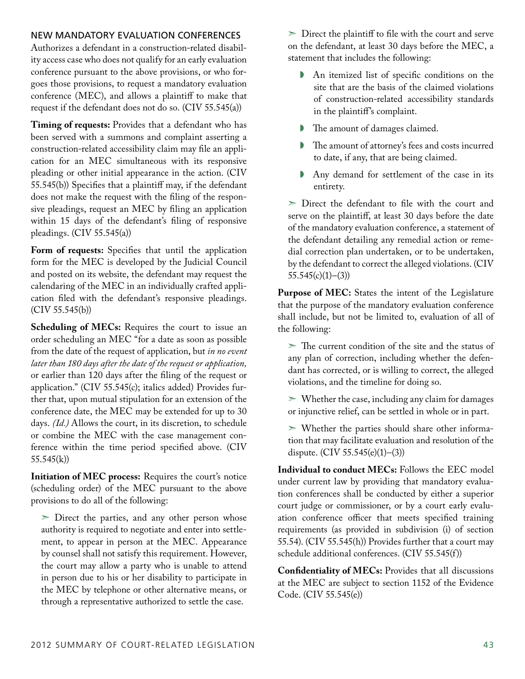## New mandatory evaluation conferences

Authorizes a defendant in a construction-related disability access case who does not qualify for an early evaluation conference pursuant to the above provisions, or who forgoes those provisions, to request a mandatory evaluation conference (MEC), and allows a plaintiff to make that request if the defendant does not do so. (CIV 55.545(a))

**Timing of requests:** Provides that a defendant who has been served with a summons and complaint asserting a construction-related accessibility claim may file an application for an MEC simultaneous with its responsive pleading or other initial appearance in the action. (CIV 55.545(b)) Specifies that a plaintiff may, if the defendant does not make the request with the filing of the responsive pleadings, request an MEC by filing an application within 15 days of the defendant's filing of responsive pleadings.  $(CIV 55.545(a))$ 

Form of requests: Specifies that until the application form for the MEC is developed by the Judicial Council and posted on its website, the defendant may request the calendaring of the MEC in an individually crafted application filed with the defendant's responsive pleadings. (CIV 55.545(b))

**Scheduling of MECs:** Requires the court to issue an order scheduling an MEC "for a date as soon as possible from the date of the request of application, but *in no event later than 180 days after the date of the request or application,* or earlier than 120 days after the filing of the request or application." (CIV 55.545(c); italics added) Provides further that, upon mutual stipulation for an extension of the conference date, the MEC may be extended for up to 30 days. *(Id.)* Allows the court, in its discretion, to schedule or combine the MEC with the case management conference within the time period specified above. (CIV 55.545(k))

**Initiation of MEC process:** Requires the court's notice (scheduling order) of the MEC pursuant to the above provisions to do all of the following:

 $\geq$  Direct the parties, and any other person whose authority is required to negotiate and enter into settlement, to appear in person at the MEC. Appearance by counsel shall not satisfy this requirement. However, the court may allow a party who is unable to attend in person due to his or her disability to participate in the MEC by telephone or other alternative means, or through a representative authorized to settle the case.

➣ Direct the plaintiff to file with the court and serve on the defendant, at least 30 days before the MEC, a statement that includes the following:

- ◗ An itemized list of specific conditions on the site that are the basis of the claimed violations of construction-related accessibility standards in the plaintiff's complaint.
- The amount of damages claimed.
- ◗ The amount of attorney's fees and costs incurred to date, if any, that are being claimed.
- ◗ Any demand for settlement of the case in its entirety.

➣ Direct the defendant to file with the court and serve on the plaintiff, at least 30 days before the date of the mandatory evaluation conference, a statement of the defendant detailing any remedial action or remedial correction plan undertaken, or to be undertaken, by the defendant to correct the alleged violations. (CIV  $55.545(c)(1)–(3)$ 

**Purpose of MEC:** States the intent of the Legislature that the purpose of the mandatory evaluation conference shall include, but not be limited to, evaluation of all of the following:

 $\geq$  The current condition of the site and the status of any plan of correction, including whether the defendant has corrected, or is willing to correct, the alleged violations, and the timeline for doing so.

 $\geq$  Whether the case, including any claim for damages or injunctive relief, can be settled in whole or in part.

 $>$  Whether the parties should share other information that may facilitate evaluation and resolution of the dispute. (CIV 55.545(e)(1)–(3))

**Individual to conduct MECs:** Follows the EEC model under current law by providing that mandatory evaluation conferences shall be conducted by either a superior court judge or commissioner, or by a court early evaluation conference officer that meets specified training requirements (as provided in subdivision (i) of section 55.54). (CIV 55.545(h)) Provides further that a court may schedule additional conferences. (CIV 55.545(f))

**Confidentiality of MECs:** Provides that all discussions at the MEC are subject to section 1152 of the Evidence Code. (CIV 55.545(e))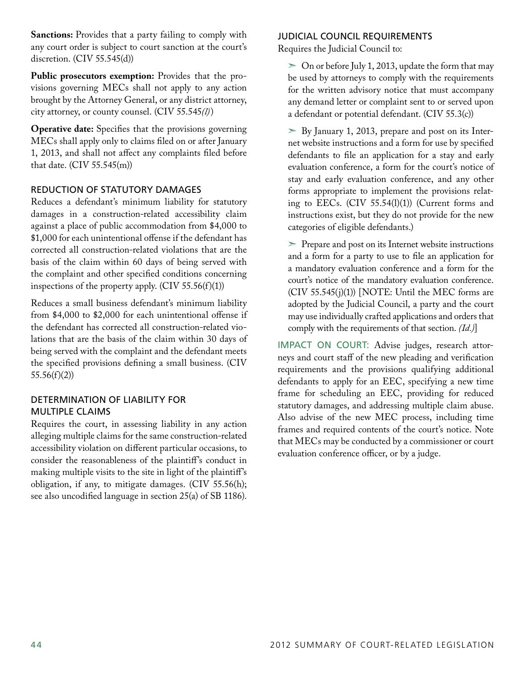**Sanctions:** Provides that a party failing to comply with any court order is subject to court sanction at the court's discretion. (CIV 55.545(d))

**Public prosecutors exemption:** Provides that the provisions governing MECs shall not apply to any action brought by the Attorney General, or any district attorney, city attorney, or county counsel. (CIV 55.545*(l)*)

**Operative date:** Specifies that the provisions governing MECs shall apply only to claims filed on or after January 1, 2013, and shall not affect any complaints filed before that date. (CIV 55.545(m))

## Reduction of statutory damages

Reduces a defendant's minimum liability for statutory damages in a construction-related accessibility claim against a place of public accommodation from \$4,000 to \$1,000 for each unintentional offense if the defendant has corrected all construction-related violations that are the basis of the claim within 60 days of being served with the complaint and other specified conditions concerning inspections of the property apply.  $(CIV 55.56(f)(1))$ 

Reduces a small business defendant's minimum liability from \$4,000 to \$2,000 for each unintentional offense if the defendant has corrected all construction-related violations that are the basis of the claim within 30 days of being served with the complaint and the defendant meets the specified provisions defining a small business. (CIV  $55.56(f)(2)$ 

## Determination of liability for multiple claims

Requires the court, in assessing liability in any action alleging multiple claims for the same construction-related accessibility violation on different particular occasions, to consider the reasonableness of the plaintiff's conduct in making multiple visits to the site in light of the plaintiff's obligation, if any, to mitigate damages. (CIV 55.56(h); see also uncodified language in section 25(a) of SB 1186).

## Judicial Council requirements

Requires the Judicial Council to:

 $>$  On or before July 1, 2013, update the form that may be used by attorneys to comply with the requirements for the written advisory notice that must accompany any demand letter or complaint sent to or served upon a defendant or potential defendant. (CIV 55.3(c))

➣ By January 1, 2013, prepare and post on its Internet website instructions and a form for use by specified defendants to file an application for a stay and early evaluation conference, a form for the court's notice of stay and early evaluation conference, and any other forms appropriate to implement the provisions relating to EECs. (CIV 55.54(l)(1)) (Current forms and instructions exist, but they do not provide for the new categories of eligible defendants.)

➣ Prepare and post on its Internet website instructions and a form for a party to use to file an application for a mandatory evaluation conference and a form for the court's notice of the mandatory evaluation conference. (CIV 55.545(j)(1)) [NOTE: Until the MEC forms are adopted by the Judicial Council, a party and the court may use individually crafted applications and orders that comply with the requirements of that section. *(Id.)*]

IMPACT ON COURT: Advise judges, research attorneys and court staff of the new pleading and verification requirements and the provisions qualifying additional defendants to apply for an EEC, specifying a new time frame for scheduling an EEC, providing for reduced statutory damages, and addressing multiple claim abuse. Also advise of the new MEC process, including time frames and required contents of the court's notice. Note that MECs may be conducted by a commissioner or court evaluation conference officer, or by a judge.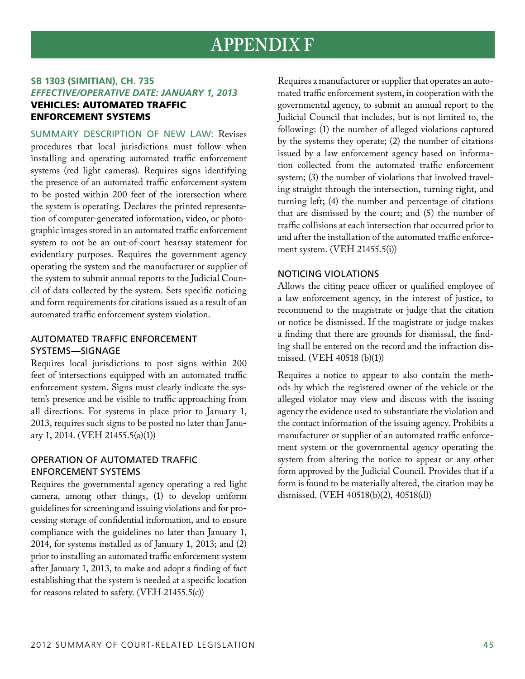## **APPENDIX F**

## **SB 1303 (Simitian), CH. 735** *Effective/Operative Date: January 1, 2013* Vehicles: automated traffic enforcement systems

Summary Description of New Law: Revises procedures that local jurisdictions must follow when installing and operating automated traffic enforcement systems (red light cameras). Requires signs identifying the presence of an automated traffic enforcement system to be posted within 200 feet of the intersection where the system is operating. Declares the printed representation of computer-generated information, video, or photographic images stored in an automated traffic enforcement system to not be an out-of-court hearsay statement for evidentiary purposes. Requires the government agency operating the system and the manufacturer or supplier of the system to submit annual reports to the Judicial Council of data collected by the system. Sets specific noticing and form requirements for citations issued as a result of an automated traffic enforcement system violation.

## Automated traffic enforcement systems—signage

Requires local jurisdictions to post signs within 200 feet of intersections equipped with an automated traffic enforcement system. Signs must clearly indicate the system's presence and be visible to traffic approaching from all directions. For systems in place prior to January 1, 2013, requires such signs to be posted no later than January 1, 2014. (VEH 21455.5(a)(1))

## Operation of automated traffic enforcement systems

Requires the governmental agency operating a red light camera, among other things, (1) to develop uniform guidelines for screening and issuing violations and for processing storage of confidential information, and to ensure compliance with the guidelines no later than January 1, 2014, for systems installed as of January 1, 2013; and (2) prior to installing an automated traffic enforcement system after January 1, 2013, to make and adopt a finding of fact establishing that the system is needed at a specific location for reasons related to safety. (VEH 21455.5(c))

Requires a manufacturer or supplier that operates an automated traffic enforcement system, in cooperation with the governmental agency, to submit an annual report to the Judicial Council that includes, but is not limited to, the following: (1) the number of alleged violations captured by the systems they operate; (2) the number of citations issued by a law enforcement agency based on information collected from the automated traffic enforcement system; (3) the number of violations that involved traveling straight through the intersection, turning right, and turning left; (4) the number and percentage of citations that are dismissed by the court; and (5) the number of traffic collisions at each intersection that occurred prior to and after the installation of the automated traffic enforcement system. (VEH 21455.5(i))

## Noticing violations

Allows the citing peace officer or qualified employee of a law enforcement agency, in the interest of justice, to recommend to the magistrate or judge that the citation or notice be dismissed. If the magistrate or judge makes a finding that there are grounds for dismissal, the finding shall be entered on the record and the infraction dismissed. (VEH 40518 (b)(1))

Requires a notice to appear to also contain the methods by which the registered owner of the vehicle or the alleged violator may view and discuss with the issuing agency the evidence used to substantiate the violation and the contact information of the issuing agency. Prohibits a manufacturer or supplier of an automated traffic enforcement system or the governmental agency operating the system from altering the notice to appear or any other form approved by the Judicial Council. Provides that if a form is found to be materially altered, the citation may be dismissed. (VEH 40518(b)(2), 40518(d))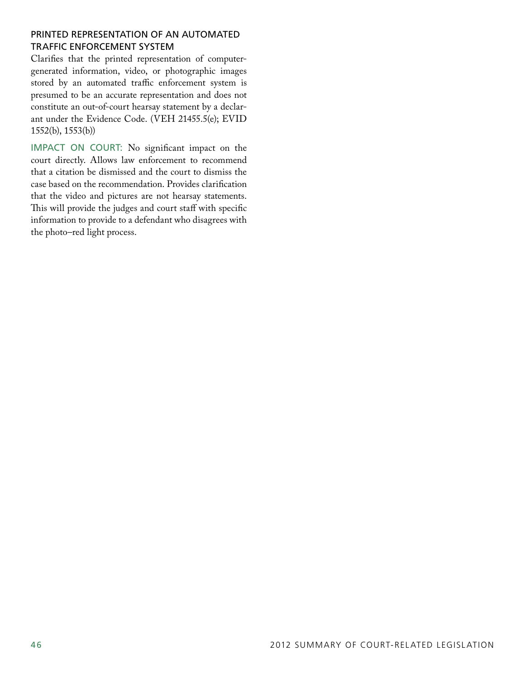## Printed representation of an automated traffic enforcement system

Clarifies that the printed representation of computergenerated information, video, or photographic images stored by an automated traffic enforcement system is presumed to be an accurate representation and does not constitute an out-of-court hearsay statement by a declarant under the Evidence Code. (VEH 21455.5(e); EVID 1552(b), 1553(b))

IMPACT ON COURT: No significant impact on the court directly. Allows law enforcement to recommend that a citation be dismissed and the court to dismiss the case based on the recommendation. Provides clarification that the video and pictures are not hearsay statements. This will provide the judges and court staff with specific information to provide to a defendant who disagrees with the photo–red light process.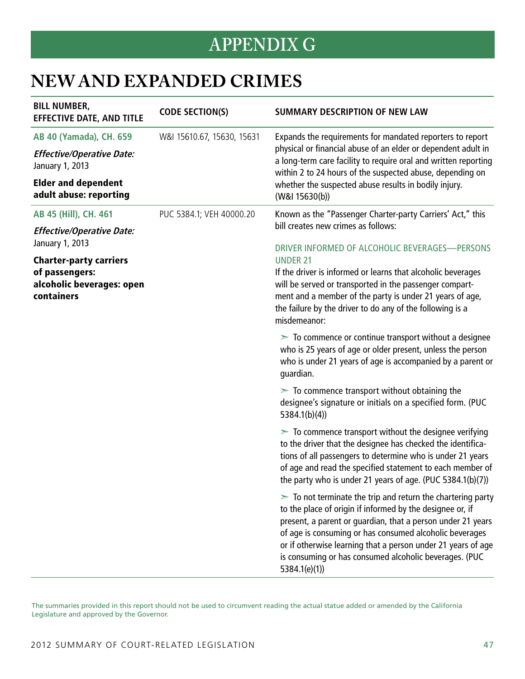## **APPENDIX G**

## **New AND Expanded Crimes**

| <b>BILL NUMBER,</b><br><b>EFFECTIVE DATE, AND TITLE</b>   | <b>CODE SECTION(S)</b>     | <b>SUMMARY DESCRIPTION OF NEW LAW</b>                                                                                                                                                                                                                                                                                                                                                             |
|-----------------------------------------------------------|----------------------------|---------------------------------------------------------------------------------------------------------------------------------------------------------------------------------------------------------------------------------------------------------------------------------------------------------------------------------------------------------------------------------------------------|
| AB 40 (Yamada), CH. 659                                   | W&I 15610.67, 15630, 15631 | Expands the requirements for mandated reporters to report                                                                                                                                                                                                                                                                                                                                         |
| <b>Effective/Operative Date:</b><br>January 1, 2013       |                            | physical or financial abuse of an elder or dependent adult in<br>a long-term care facility to require oral and written reporting<br>within 2 to 24 hours of the suspected abuse, depending on                                                                                                                                                                                                     |
| <b>Elder and dependent</b><br>adult abuse: reporting      |                            | whether the suspected abuse results in bodily injury.<br>(W&I 15630(b))                                                                                                                                                                                                                                                                                                                           |
| AB 45 (Hill), CH. 461                                     | PUC 5384.1; VEH 40000.20   | Known as the "Passenger Charter-party Carriers' Act," this                                                                                                                                                                                                                                                                                                                                        |
| <b>Effective/Operative Date:</b>                          |                            | bill creates new crimes as follows:                                                                                                                                                                                                                                                                                                                                                               |
| January 1, 2013<br><b>Charter-party carriers</b>          |                            | DRIVER INFORMED OF ALCOHOLIC BEVERAGES-PERSONS<br><b>UNDER 21</b>                                                                                                                                                                                                                                                                                                                                 |
| of passengers:<br>alcoholic beverages: open<br>containers |                            | If the driver is informed or learns that alcoholic beverages<br>will be served or transported in the passenger compart-<br>ment and a member of the party is under 21 years of age,<br>the failure by the driver to do any of the following is a<br>misdemeanor:                                                                                                                                  |
|                                                           |                            | $\geq$ To commence or continue transport without a designee<br>who is 25 years of age or older present, unless the person<br>who is under 21 years of age is accompanied by a parent or<br>guardian.                                                                                                                                                                                              |
|                                                           |                            | $\geq$ To commence transport without obtaining the<br>designee's signature or initials on a specified form. (PUC<br>5384.1(b)(4)                                                                                                                                                                                                                                                                  |
|                                                           |                            | $\geq$ To commence transport without the designee verifying<br>to the driver that the designee has checked the identifica-<br>tions of all passengers to determine who is under 21 years<br>of age and read the specified statement to each member of<br>the party who is under 21 years of age. (PUC 5384.1(b)(7))                                                                               |
|                                                           |                            | $\geq$ To not terminate the trip and return the chartering party<br>to the place of origin if informed by the designee or, if<br>present, a parent or guardian, that a person under 21 years<br>of age is consuming or has consumed alcoholic beverages<br>or if otherwise learning that a person under 21 years of age<br>is consuming or has consumed alcoholic beverages. (PUC<br>5384.1(e)(1) |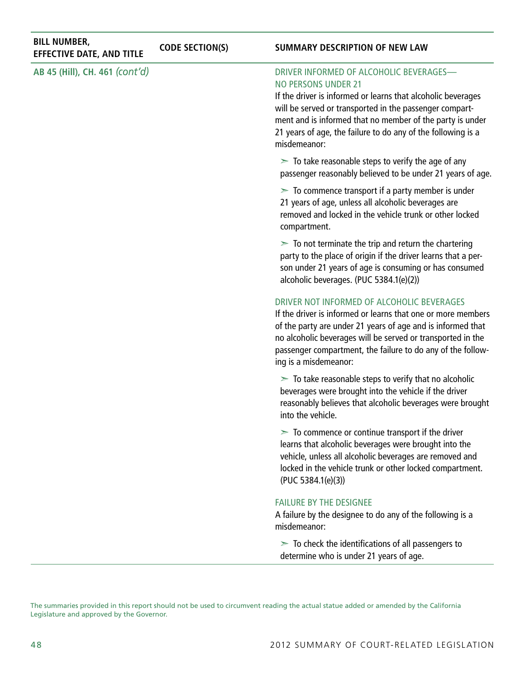| <b>BILL NUMBER,</b><br><b>EFFECTIVE DATE, AND TITLE</b> | <b>CODE SECTION(S)</b> | <b>SUMMARY DESCRIPTION OF NEW LAW</b>                                                                                                                                                                                                                                                                                                         |
|---------------------------------------------------------|------------------------|-----------------------------------------------------------------------------------------------------------------------------------------------------------------------------------------------------------------------------------------------------------------------------------------------------------------------------------------------|
| AB 45 (Hill), CH. 461 (cont'd)                          |                        | DRIVER INFORMED OF ALCOHOLIC BEVERAGES-<br><b>NO PERSONS UNDER 21</b><br>If the driver is informed or learns that alcoholic beverages<br>will be served or transported in the passenger compart-<br>ment and is informed that no member of the party is under<br>21 years of age, the failure to do any of the following is a<br>misdemeanor: |
|                                                         |                        | $\geq$ To take reasonable steps to verify the age of any<br>passenger reasonably believed to be under 21 years of age.                                                                                                                                                                                                                        |
|                                                         |                        | $\geq$ To commence transport if a party member is under<br>21 years of age, unless all alcoholic beverages are<br>removed and locked in the vehicle trunk or other locked<br>compartment.                                                                                                                                                     |
|                                                         |                        | $\geq$ To not terminate the trip and return the chartering<br>party to the place of origin if the driver learns that a per-<br>son under 21 years of age is consuming or has consumed<br>alcoholic beverages. (PUC 5384.1(e)(2))                                                                                                              |
|                                                         |                        | DRIVER NOT INFORMED OF ALCOHOLIC BEVERAGES<br>If the driver is informed or learns that one or more members<br>of the party are under 21 years of age and is informed that<br>no alcoholic beverages will be served or transported in the<br>passenger compartment, the failure to do any of the follow-<br>ing is a misdemeanor:              |
|                                                         |                        | $\geq$ To take reasonable steps to verify that no alcoholic<br>beverages were brought into the vehicle if the driver<br>reasonably believes that alcoholic beverages were brought<br>into the vehicle.                                                                                                                                        |
|                                                         |                        | $\geq$ To commence or continue transport if the driver<br>learns that alcoholic beverages were brought into the<br>vehicle, unless all alcoholic beverages are removed and<br>locked in the vehicle trunk or other locked compartment.<br>(PUC 5384.1(e)(3))                                                                                  |
|                                                         |                        | <b>FAILURE BY THE DESIGNEE</b><br>A failure by the designee to do any of the following is a<br>misdemeanor:                                                                                                                                                                                                                                   |
|                                                         |                        | $\geq$ To check the identifications of all passengers to<br>determine who is under 21 years of age.                                                                                                                                                                                                                                           |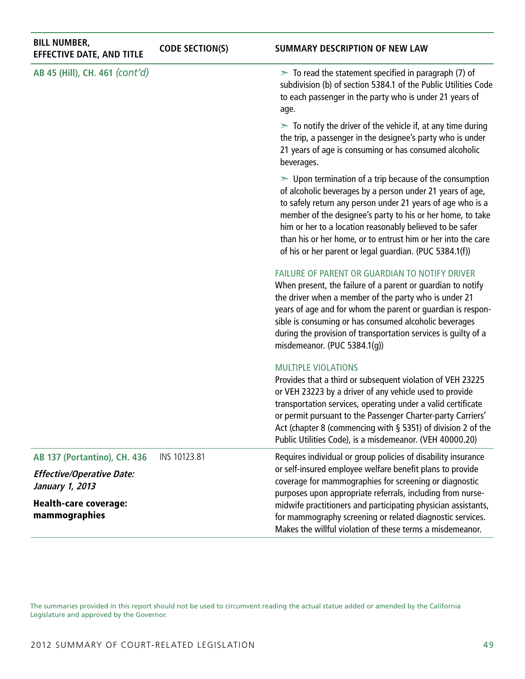| <b>BILL NUMBER,</b><br><b>EFFECTIVE DATE, AND TITLE</b> | <b>CODE SECTION(S)</b> | <b>SUMMARY DESCRIPTION OF NEW LAW</b>                                                                                                                                                                                                                                                                                                                                                                                                        |
|---------------------------------------------------------|------------------------|----------------------------------------------------------------------------------------------------------------------------------------------------------------------------------------------------------------------------------------------------------------------------------------------------------------------------------------------------------------------------------------------------------------------------------------------|
| AB 45 (Hill), CH. 461 (cont'd)                          |                        | $\geq$ To read the statement specified in paragraph (7) of<br>subdivision (b) of section 5384.1 of the Public Utilities Code<br>to each passenger in the party who is under 21 years of<br>age.                                                                                                                                                                                                                                              |
|                                                         |                        | $\geq$ To notify the driver of the vehicle if, at any time during<br>the trip, a passenger in the designee's party who is under<br>21 years of age is consuming or has consumed alcoholic<br>beverages.                                                                                                                                                                                                                                      |
|                                                         |                        | $\geq$ Upon termination of a trip because of the consumption<br>of alcoholic beverages by a person under 21 years of age,<br>to safely return any person under 21 years of age who is a<br>member of the designee's party to his or her home, to take<br>him or her to a location reasonably believed to be safer<br>than his or her home, or to entrust him or her into the care<br>of his or her parent or legal guardian. (PUC 5384.1(f)) |
|                                                         |                        | FAILURE OF PARENT OR GUARDIAN TO NOTIFY DRIVER<br>When present, the failure of a parent or guardian to notify<br>the driver when a member of the party who is under 21<br>years of age and for whom the parent or guardian is respon-<br>sible is consuming or has consumed alcoholic beverages<br>during the provision of transportation services is guilty of a<br>misdemeanor. (PUC 5384.1(g))                                            |
|                                                         |                        | <b>MULTIPLE VIOLATIONS</b><br>Provides that a third or subsequent violation of VEH 23225<br>or VEH 23223 by a driver of any vehicle used to provide<br>transportation services, operating under a valid certificate<br>or permit pursuant to the Passenger Charter-party Carriers'<br>Act (chapter 8 (commencing with § 5351) of division 2 of the<br>Public Utilities Code), is a misdemeanor. (VEH 40000.20)                               |
| <b>AB 137 (Portantino), CH. 436</b>                     | INS 10123.81           | Requires individual or group policies of disability insurance                                                                                                                                                                                                                                                                                                                                                                                |
| <b>Effective/Operative Date:</b><br>January 1, 2013     |                        | or self-insured employee welfare benefit plans to provide<br>coverage for mammographies for screening or diagnostic<br>purposes upon appropriate referrals, including from nurse-                                                                                                                                                                                                                                                            |
| <b>Health-care coverage:</b><br>mammographies           |                        | midwife practitioners and participating physician assistants,<br>for mammography screening or related diagnostic services.<br>Makes the willful violation of these terms a misdemeanor.                                                                                                                                                                                                                                                      |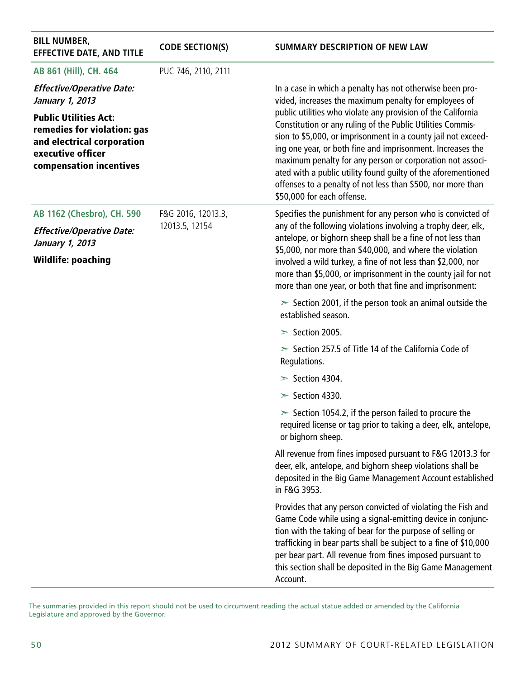| <b>BILL NUMBER,</b><br><b>EFFECTIVE DATE, AND TITLE</b>                                                                                   | <b>CODE SECTION(S)</b> | <b>SUMMARY DESCRIPTION OF NEW LAW</b>                                                                                                                                                                                                                                                                                                                                                                                                                                                |
|-------------------------------------------------------------------------------------------------------------------------------------------|------------------------|--------------------------------------------------------------------------------------------------------------------------------------------------------------------------------------------------------------------------------------------------------------------------------------------------------------------------------------------------------------------------------------------------------------------------------------------------------------------------------------|
| AB 861 (Hill), CH. 464                                                                                                                    | PUC 746, 2110, 2111    |                                                                                                                                                                                                                                                                                                                                                                                                                                                                                      |
| <b>Effective/Operative Date:</b><br>January 1, 2013                                                                                       |                        | In a case in which a penalty has not otherwise been pro-<br>vided, increases the maximum penalty for employees of                                                                                                                                                                                                                                                                                                                                                                    |
| <b>Public Utilities Act:</b><br>remedies for violation: gas<br>and electrical corporation<br>executive officer<br>compensation incentives |                        | public utilities who violate any provision of the California<br>Constitution or any ruling of the Public Utilities Commis-<br>sion to \$5,000, or imprisonment in a county jail not exceed-<br>ing one year, or both fine and imprisonment. Increases the<br>maximum penalty for any person or corporation not associ-<br>ated with a public utility found guilty of the aforementioned<br>offenses to a penalty of not less than \$500, nor more than<br>\$50,000 for each offense. |
| AB 1162 (Chesbro), CH. 590                                                                                                                | F&G 2016, 12013.3,     | Specifies the punishment for any person who is convicted of                                                                                                                                                                                                                                                                                                                                                                                                                          |
| <b>Effective/Operative Date:</b><br>January 1, 2013                                                                                       | 12013.5, 12154         | any of the following violations involving a trophy deer, elk,<br>antelope, or bighorn sheep shall be a fine of not less than<br>\$5,000, nor more than \$40,000, and where the violation                                                                                                                                                                                                                                                                                             |
| <b>Wildlife: poaching</b>                                                                                                                 |                        | involved a wild turkey, a fine of not less than \$2,000, nor<br>more than \$5,000, or imprisonment in the county jail for not<br>more than one year, or both that fine and imprisonment:                                                                                                                                                                                                                                                                                             |
|                                                                                                                                           |                        | $\ge$ Section 2001, if the person took an animal outside the<br>established season.                                                                                                                                                                                                                                                                                                                                                                                                  |
|                                                                                                                                           |                        | $\ge$ Section 2005.                                                                                                                                                                                                                                                                                                                                                                                                                                                                  |
|                                                                                                                                           |                        | $\ge$ Section 257.5 of Title 14 of the California Code of<br>Regulations.                                                                                                                                                                                                                                                                                                                                                                                                            |
|                                                                                                                                           |                        | $\ge$ Section 4304.                                                                                                                                                                                                                                                                                                                                                                                                                                                                  |
|                                                                                                                                           |                        | $\ge$ Section 4330.                                                                                                                                                                                                                                                                                                                                                                                                                                                                  |
|                                                                                                                                           |                        | $\ge$ Section 1054.2, if the person failed to procure the<br>required license or tag prior to taking a deer, elk, antelope,<br>or bighorn sheep.                                                                                                                                                                                                                                                                                                                                     |
|                                                                                                                                           |                        | All revenue from fines imposed pursuant to F&G 12013.3 for<br>deer, elk, antelope, and bighorn sheep violations shall be<br>deposited in the Big Game Management Account established<br>in F&G 3953.                                                                                                                                                                                                                                                                                 |
|                                                                                                                                           |                        | Provides that any person convicted of violating the Fish and<br>Game Code while using a signal-emitting device in conjunc-<br>tion with the taking of bear for the purpose of selling or<br>trafficking in bear parts shall be subject to a fine of \$10,000<br>per bear part. All revenue from fines imposed pursuant to<br>this section shall be deposited in the Big Game Management<br>Account.                                                                                  |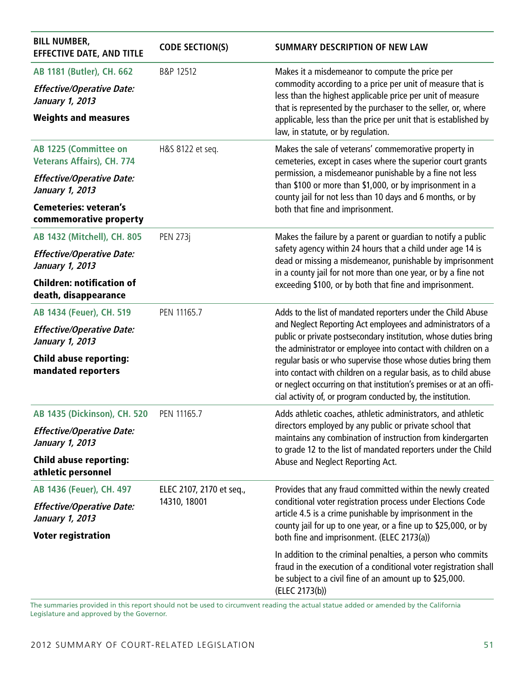| <b>BILL NUMBER,</b><br><b>EFFECTIVE DATE, AND TITLE</b>    | <b>CODE SECTION(S)</b>   | <b>SUMMARY DESCRIPTION OF NEW LAW</b>                                                                                                                                                                                                                                 |  |
|------------------------------------------------------------|--------------------------|-----------------------------------------------------------------------------------------------------------------------------------------------------------------------------------------------------------------------------------------------------------------------|--|
| AB 1181 (Butler), CH. 662                                  | B&P 12512                | Makes it a misdemeanor to compute the price per                                                                                                                                                                                                                       |  |
| <b>Effective/Operative Date:</b><br>January 1, 2013        |                          | commodity according to a price per unit of measure that is<br>less than the highest applicable price per unit of measure<br>that is represented by the purchaser to the seller, or, where                                                                             |  |
| <b>Weights and measures</b>                                |                          | applicable, less than the price per unit that is established by<br>law, in statute, or by regulation.                                                                                                                                                                 |  |
| AB 1225 (Committee on<br><b>Veterans Affairs), CH. 774</b> | H&S 8122 et seq.         | Makes the sale of veterans' commemorative property in<br>cemeteries, except in cases where the superior court grants                                                                                                                                                  |  |
| <b>Effective/Operative Date:</b><br>January 1, 2013        |                          | permission, a misdemeanor punishable by a fine not less<br>than \$100 or more than \$1,000, or by imprisonment in a<br>county jail for not less than 10 days and 6 months, or by                                                                                      |  |
| <b>Cemeteries: veteran's</b><br>commemorative property     |                          | both that fine and imprisonment.                                                                                                                                                                                                                                      |  |
| AB 1432 (Mitchell), CH. 805                                | <b>PEN 273j</b>          | Makes the failure by a parent or guardian to notify a public                                                                                                                                                                                                          |  |
| <b>Effective/Operative Date:</b><br>January 1, 2013        |                          | safety agency within 24 hours that a child under age 14 is<br>dead or missing a misdemeanor, punishable by imprisonment<br>in a county jail for not more than one year, or by a fine not                                                                              |  |
| <b>Children: notification of</b><br>death, disappearance   |                          | exceeding \$100, or by both that fine and imprisonment.                                                                                                                                                                                                               |  |
| AB 1434 (Feuer), CH. 519                                   | PEN 11165.7              | Adds to the list of mandated reporters under the Child Abuse                                                                                                                                                                                                          |  |
| <b>Effective/Operative Date:</b><br>January 1, 2013        |                          | and Neglect Reporting Act employees and administrators of a<br>public or private postsecondary institution, whose duties bring<br>the administrator or employee into contact with children on a                                                                       |  |
| <b>Child abuse reporting:</b><br>mandated reporters        |                          | regular basis or who supervise those whose duties bring them<br>into contact with children on a regular basis, as to child abuse<br>or neglect occurring on that institution's premises or at an offi-<br>cial activity of, or program conducted by, the institution. |  |
| AB 1435 (Dickinson), CH. 520                               | PEN 11165.7              | Adds athletic coaches, athletic administrators, and athletic                                                                                                                                                                                                          |  |
| <b>Effective/Operative Date:</b><br>January 1, 2013        |                          | directors employed by any public or private school that<br>maintains any combination of instruction from kindergarten<br>to grade 12 to the list of mandated reporters under the Child                                                                                |  |
| <b>Child abuse reporting:</b><br>athletic personnel        |                          | Abuse and Neglect Reporting Act.                                                                                                                                                                                                                                      |  |
| AB 1436 (Feuer), CH. 497                                   | ELEC 2107, 2170 et seq., | Provides that any fraud committed within the newly created                                                                                                                                                                                                            |  |
| <b>Effective/Operative Date:</b><br>January 1, 2013        | 14310, 18001             | conditional voter registration process under Elections Code<br>article 4.5 is a crime punishable by imprisonment in the<br>county jail for up to one year, or a fine up to \$25,000, or by                                                                            |  |
| <b>Voter registration</b>                                  |                          | both fine and imprisonment. (ELEC 2173(a))                                                                                                                                                                                                                            |  |
|                                                            |                          | In addition to the criminal penalties, a person who commits<br>fraud in the execution of a conditional voter registration shall<br>be subject to a civil fine of an amount up to \$25,000.<br>(ELEC 2173(b))                                                          |  |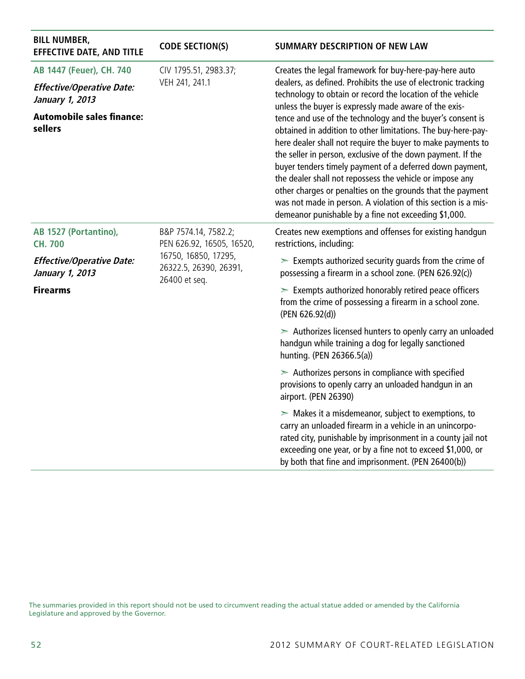| <b>BILL NUMBER,</b><br><b>EFFECTIVE DATE, AND TITLE</b> | <b>CODE SECTION(S)</b>                                                                                               | <b>SUMMARY DESCRIPTION OF NEW LAW</b>                                                                                                                                                                                                                                                                                                                                                                                                                                                                                                                                                                                                                                                                                                                                                                                     |
|---------------------------------------------------------|----------------------------------------------------------------------------------------------------------------------|---------------------------------------------------------------------------------------------------------------------------------------------------------------------------------------------------------------------------------------------------------------------------------------------------------------------------------------------------------------------------------------------------------------------------------------------------------------------------------------------------------------------------------------------------------------------------------------------------------------------------------------------------------------------------------------------------------------------------------------------------------------------------------------------------------------------------|
| AB 1447 (Feuer), CH. 740                                | CIV 1795.51, 2983.37;                                                                                                | Creates the legal framework for buy-here-pay-here auto<br>dealers, as defined. Prohibits the use of electronic tracking<br>technology to obtain or record the location of the vehicle<br>unless the buyer is expressly made aware of the exis-<br>tence and use of the technology and the buyer's consent is<br>obtained in addition to other limitations. The buy-here-pay-<br>here dealer shall not require the buyer to make payments to<br>the seller in person, exclusive of the down payment. If the<br>buyer tenders timely payment of a deferred down payment,<br>the dealer shall not repossess the vehicle or impose any<br>other charges or penalties on the grounds that the payment<br>was not made in person. A violation of this section is a mis-<br>demeanor punishable by a fine not exceeding \$1,000. |
| <b>Effective/Operative Date:</b><br>January 1, 2013     | VEH 241, 241.1                                                                                                       |                                                                                                                                                                                                                                                                                                                                                                                                                                                                                                                                                                                                                                                                                                                                                                                                                           |
| <b>Automobile sales finance:</b><br>sellers             |                                                                                                                      |                                                                                                                                                                                                                                                                                                                                                                                                                                                                                                                                                                                                                                                                                                                                                                                                                           |
| AB 1527 (Portantino),<br><b>CH. 700</b>                 | B&P 7574.14, 7582.2;<br>PEN 626.92, 16505, 16520,<br>16750, 16850, 17295,<br>26322.5, 26390, 26391,<br>26400 et seq. | Creates new exemptions and offenses for existing handgun<br>restrictions, including:                                                                                                                                                                                                                                                                                                                                                                                                                                                                                                                                                                                                                                                                                                                                      |
| <b>Effective/Operative Date:</b><br>January 1, 2013     |                                                                                                                      | $\geq$ Exempts authorized security guards from the crime of<br>possessing a firearm in a school zone. (PEN 626.92(c))                                                                                                                                                                                                                                                                                                                                                                                                                                                                                                                                                                                                                                                                                                     |
| <b>Firearms</b>                                         |                                                                                                                      | $\geq$ Exempts authorized honorably retired peace officers<br>from the crime of possessing a firearm in a school zone.<br>(PEN 626.92(d))                                                                                                                                                                                                                                                                                                                                                                                                                                                                                                                                                                                                                                                                                 |
|                                                         |                                                                                                                      | $\geq$ Authorizes licensed hunters to openly carry an unloaded<br>handgun while training a dog for legally sanctioned<br>hunting. (PEN 26366.5(a))                                                                                                                                                                                                                                                                                                                                                                                                                                                                                                                                                                                                                                                                        |
|                                                         |                                                                                                                      | $\geq$ Authorizes persons in compliance with specified<br>provisions to openly carry an unloaded handgun in an<br>airport. (PEN 26390)                                                                                                                                                                                                                                                                                                                                                                                                                                                                                                                                                                                                                                                                                    |
|                                                         |                                                                                                                      | $\triangleright$ Makes it a misdemeanor, subject to exemptions, to<br>carry an unloaded firearm in a vehicle in an unincorpo-<br>rated city, punishable by imprisonment in a county jail not<br>exceeding one year, or by a fine not to exceed \$1,000, or<br>by both that fine and imprisonment. (PEN 26400(b))                                                                                                                                                                                                                                                                                                                                                                                                                                                                                                          |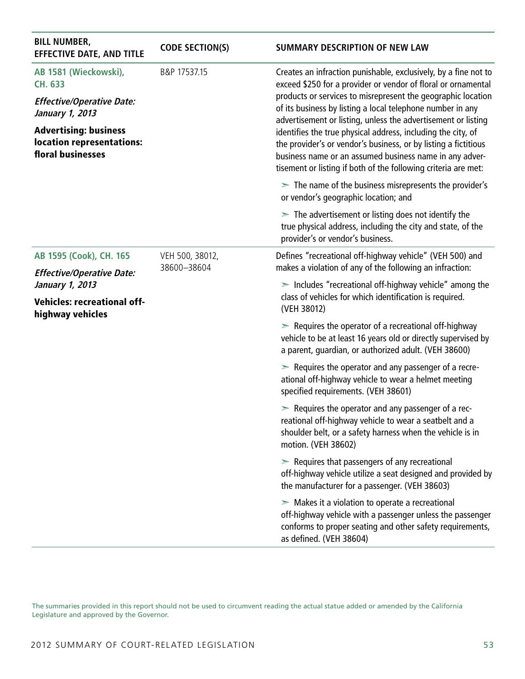| <b>BILL NUMBER,</b><br><b>EFFECTIVE DATE, AND TITLE</b>                        | <b>CODE SECTION(S)</b>         | SUMMARY DESCRIPTION OF NEW LAW                                                                                                                                                                                                                                                                                                                                                                                                                                                                                                                                                                  |  |
|--------------------------------------------------------------------------------|--------------------------------|-------------------------------------------------------------------------------------------------------------------------------------------------------------------------------------------------------------------------------------------------------------------------------------------------------------------------------------------------------------------------------------------------------------------------------------------------------------------------------------------------------------------------------------------------------------------------------------------------|--|
| AB 1581 (Wieckowski),<br><b>CH. 633</b>                                        | B&P 17537.15                   | Creates an infraction punishable, exclusively, by a fine not to<br>exceed \$250 for a provider or vendor of floral or ornamental<br>products or services to misrepresent the geographic location<br>of its business by listing a local telephone number in any<br>advertisement or listing, unless the advertisement or listing<br>identifies the true physical address, including the city, of<br>the provider's or vendor's business, or by listing a fictitious<br>business name or an assumed business name in any adver-<br>tisement or listing if both of the following criteria are met: |  |
| <b>Effective/Operative Date:</b><br>January 1, 2013                            |                                |                                                                                                                                                                                                                                                                                                                                                                                                                                                                                                                                                                                                 |  |
| <b>Advertising: business</b><br>location representations:<br>floral businesses |                                |                                                                                                                                                                                                                                                                                                                                                                                                                                                                                                                                                                                                 |  |
|                                                                                |                                | $\geq$ The name of the business misrepresents the provider's<br>or vendor's geographic location; and                                                                                                                                                                                                                                                                                                                                                                                                                                                                                            |  |
|                                                                                |                                | $\geq$ The advertisement or listing does not identify the<br>true physical address, including the city and state, of the<br>provider's or vendor's business.                                                                                                                                                                                                                                                                                                                                                                                                                                    |  |
| AB 1595 (Cook), CH. 165                                                        | VEH 500, 38012,<br>38600-38604 | Defines "recreational off-highway vehicle" (VEH 500) and<br>makes a violation of any of the following an infraction:                                                                                                                                                                                                                                                                                                                                                                                                                                                                            |  |
| <b>Effective/Operative Date:</b><br>January 1, 2013                            |                                | $\ge$ Includes "recreational off-highway vehicle" among the                                                                                                                                                                                                                                                                                                                                                                                                                                                                                                                                     |  |
| <b>Vehicles: recreational off-</b><br>highway vehicles                         |                                | class of vehicles for which identification is required.<br>(VEH 38012)                                                                                                                                                                                                                                                                                                                                                                                                                                                                                                                          |  |
|                                                                                |                                | $\triangleright$ Requires the operator of a recreational off-highway<br>vehicle to be at least 16 years old or directly supervised by<br>a parent, guardian, or authorized adult. (VEH 38600)                                                                                                                                                                                                                                                                                                                                                                                                   |  |
|                                                                                |                                | $\triangleright$ Requires the operator and any passenger of a recre-<br>ational off-highway vehicle to wear a helmet meeting<br>specified requirements. (VEH 38601)                                                                                                                                                                                                                                                                                                                                                                                                                             |  |
|                                                                                |                                | $\triangleright$ Requires the operator and any passenger of a rec-<br>reational off-highway vehicle to wear a seatbelt and a<br>shoulder belt, or a safety harness when the vehicle is in<br>motion. (VEH 38602)                                                                                                                                                                                                                                                                                                                                                                                |  |
|                                                                                |                                | $\triangleright$ Requires that passengers of any recreational<br>off-highway vehicle utilize a seat designed and provided by<br>the manufacturer for a passenger. (VEH 38603)                                                                                                                                                                                                                                                                                                                                                                                                                   |  |
|                                                                                |                                | $\triangleright$ Makes it a violation to operate a recreational<br>off-highway vehicle with a passenger unless the passenger<br>conforms to proper seating and other safety requirements,<br>as defined. (VEH 38604)                                                                                                                                                                                                                                                                                                                                                                            |  |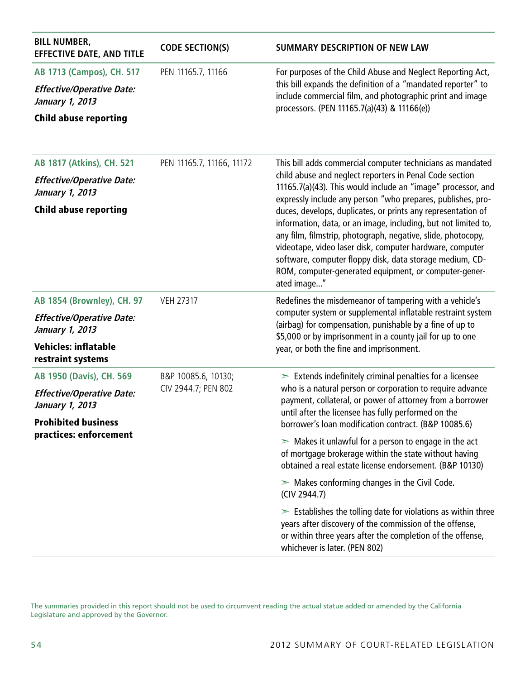| <b>BILL NUMBER,</b><br><b>EFFECTIVE DATE, AND TITLE</b> | <b>CODE SECTION(S)</b>    | <b>SUMMARY DESCRIPTION OF NEW LAW</b>                                                                                                                                                                                                                                                                                                                                                          |  |
|---------------------------------------------------------|---------------------------|------------------------------------------------------------------------------------------------------------------------------------------------------------------------------------------------------------------------------------------------------------------------------------------------------------------------------------------------------------------------------------------------|--|
| AB 1713 (Campos), CH. 517                               | PEN 11165.7, 11166        | For purposes of the Child Abuse and Neglect Reporting Act,                                                                                                                                                                                                                                                                                                                                     |  |
| <b>Effective/Operative Date:</b><br>January 1, 2013     |                           | this bill expands the definition of a "mandated reporter" to<br>include commercial film, and photographic print and image<br>processors. (PEN 11165.7(a)(43) & 11166(e))                                                                                                                                                                                                                       |  |
| <b>Child abuse reporting</b>                            |                           |                                                                                                                                                                                                                                                                                                                                                                                                |  |
| AB 1817 (Atkins), CH. 521                               | PEN 11165.7, 11166, 11172 | This bill adds commercial computer technicians as mandated                                                                                                                                                                                                                                                                                                                                     |  |
| <b>Effective/Operative Date:</b><br>January 1, 2013     |                           | child abuse and neglect reporters in Penal Code section<br>11165.7(a)(43). This would include an "image" processor, and<br>expressly include any person "who prepares, publishes, pro-                                                                                                                                                                                                         |  |
| <b>Child abuse reporting</b>                            |                           | duces, develops, duplicates, or prints any representation of<br>information, data, or an image, including, but not limited to,<br>any film, filmstrip, photograph, negative, slide, photocopy,<br>videotape, video laser disk, computer hardware, computer<br>software, computer floppy disk, data storage medium, CD-<br>ROM, computer-generated equipment, or computer-gener-<br>ated image" |  |
| AB 1854 (Brownley), CH. 97                              | <b>VEH 27317</b>          | Redefines the misdemeanor of tampering with a vehicle's                                                                                                                                                                                                                                                                                                                                        |  |
| <b>Effective/Operative Date:</b><br>January 1, 2013     |                           | computer system or supplemental inflatable restraint system<br>(airbag) for compensation, punishable by a fine of up to<br>\$5,000 or by imprisonment in a county jail for up to one                                                                                                                                                                                                           |  |
| <b>Vehicles: inflatable</b><br>restraint systems        |                           | year, or both the fine and imprisonment.                                                                                                                                                                                                                                                                                                                                                       |  |
| AB 1950 (Davis), CH. 569                                | B&P 10085.6, 10130;       | $\geq$ Extends indefinitely criminal penalties for a licensee<br>who is a natural person or corporation to require advance<br>payment, collateral, or power of attorney from a borrower<br>until after the licensee has fully performed on the                                                                                                                                                 |  |
| <b>Effective/Operative Date:</b><br>January 1, 2013     | CIV 2944.7; PEN 802       |                                                                                                                                                                                                                                                                                                                                                                                                |  |
| <b>Prohibited business</b>                              |                           | borrower's loan modification contract. (B&P 10085.6)                                                                                                                                                                                                                                                                                                                                           |  |
| practices: enforcement                                  |                           | $\triangleright$ Makes it unlawful for a person to engage in the act<br>of mortgage brokerage within the state without having<br>obtained a real estate license endorsement. (B&P 10130)                                                                                                                                                                                                       |  |
|                                                         |                           | $\triangleright$ Makes conforming changes in the Civil Code.<br>(CIV 2944.7)                                                                                                                                                                                                                                                                                                                   |  |
|                                                         |                           | $\geq$ Establishes the tolling date for violations as within three<br>years after discovery of the commission of the offense,<br>or within three years after the completion of the offense,<br>whichever is later. (PEN 802)                                                                                                                                                                   |  |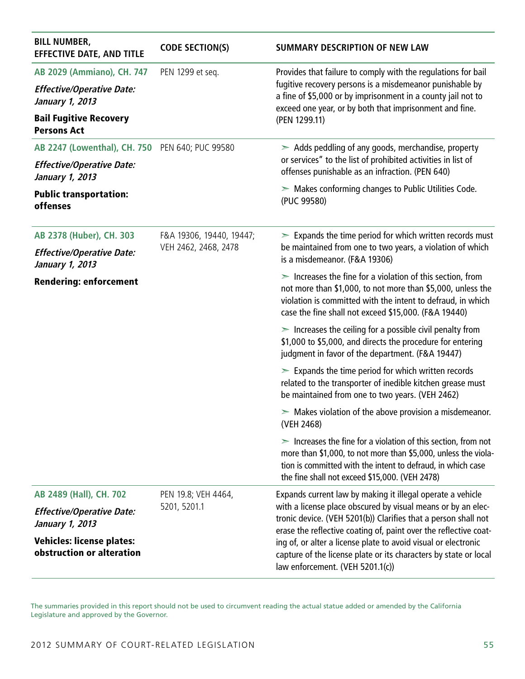| <b>BILL NUMBER,</b><br><b>EFFECTIVE DATE, AND TITLE</b>       | <b>CODE SECTION(S)</b>   | <b>SUMMARY DESCRIPTION OF NEW LAW</b>                                                                                                                                                                                                                                                                                                                                        |
|---------------------------------------------------------------|--------------------------|------------------------------------------------------------------------------------------------------------------------------------------------------------------------------------------------------------------------------------------------------------------------------------------------------------------------------------------------------------------------------|
| AB 2029 (Ammiano), CH. 747                                    | PEN 1299 et seq.         | Provides that failure to comply with the regulations for bail                                                                                                                                                                                                                                                                                                                |
| <b>Effective/Operative Date:</b><br>January 1, 2013           |                          | fugitive recovery persons is a misdemeanor punishable by<br>a fine of \$5,000 or by imprisonment in a county jail not to<br>exceed one year, or by both that imprisonment and fine.                                                                                                                                                                                          |
| <b>Bail Fugitive Recovery</b><br><b>Persons Act</b>           |                          | (PEN 1299.11)                                                                                                                                                                                                                                                                                                                                                                |
| AB 2247 (Lowenthal), CH. 750 PEN 640; PUC 99580               |                          | $\geq$ Adds peddling of any goods, merchandise, property                                                                                                                                                                                                                                                                                                                     |
| <b>Effective/Operative Date:</b><br>January 1, 2013           |                          | or services" to the list of prohibited activities in list of<br>offenses punishable as an infraction. (PEN 640)                                                                                                                                                                                                                                                              |
| <b>Public transportation:</b><br>offenses                     |                          | $\triangleright$ Makes conforming changes to Public Utilities Code.<br>(PUC 99580)                                                                                                                                                                                                                                                                                           |
| AB 2378 (Huber), CH. 303                                      | F&A 19306, 19440, 19447; | $\geq$ Expands the time period for which written records must                                                                                                                                                                                                                                                                                                                |
| <b>Effective/Operative Date:</b><br>January 1, 2013           | VEH 2462, 2468, 2478     | be maintained from one to two years, a violation of which<br>is a misdemeanor. (F&A 19306)                                                                                                                                                                                                                                                                                   |
| <b>Rendering: enforcement</b>                                 |                          | $\ge$ Increases the fine for a violation of this section, from<br>not more than \$1,000, to not more than \$5,000, unless the<br>violation is committed with the intent to defraud, in which<br>case the fine shall not exceed \$15,000. (F&A 19440)                                                                                                                         |
|                                                               |                          | $\geq$ Increases the ceiling for a possible civil penalty from<br>\$1,000 to \$5,000, and directs the procedure for entering<br>judgment in favor of the department. (F&A 19447)                                                                                                                                                                                             |
|                                                               |                          | $\geq$ Expands the time period for which written records<br>related to the transporter of inedible kitchen grease must<br>be maintained from one to two years. (VEH 2462)                                                                                                                                                                                                    |
|                                                               |                          | $\geq$ Makes violation of the above provision a misdemeanor.<br>(VEH 2468)                                                                                                                                                                                                                                                                                                   |
|                                                               |                          | $\geq$ Increases the fine for a violation of this section, from not<br>more than \$1,000, to not more than \$5,000, unless the viola-<br>tion is committed with the intent to defraud, in which case<br>the fine shall not exceed \$15,000. (VEH 2478)                                                                                                                       |
| AB 2489 (Hall), CH. 702                                       | PEN 19.8; VEH 4464,      | Expands current law by making it illegal operate a vehicle                                                                                                                                                                                                                                                                                                                   |
| <b>Effective/Operative Date:</b><br>January 1, 2013           | 5201, 5201.1             | with a license place obscured by visual means or by an elec-<br>tronic device. (VEH 5201(b)) Clarifies that a person shall not<br>erase the reflective coating of, paint over the reflective coat-<br>ing of, or alter a license plate to avoid visual or electronic<br>capture of the license plate or its characters by state or local<br>law enforcement. (VEH 5201.1(c)) |
| <b>Vehicles: license plates:</b><br>obstruction or alteration |                          |                                                                                                                                                                                                                                                                                                                                                                              |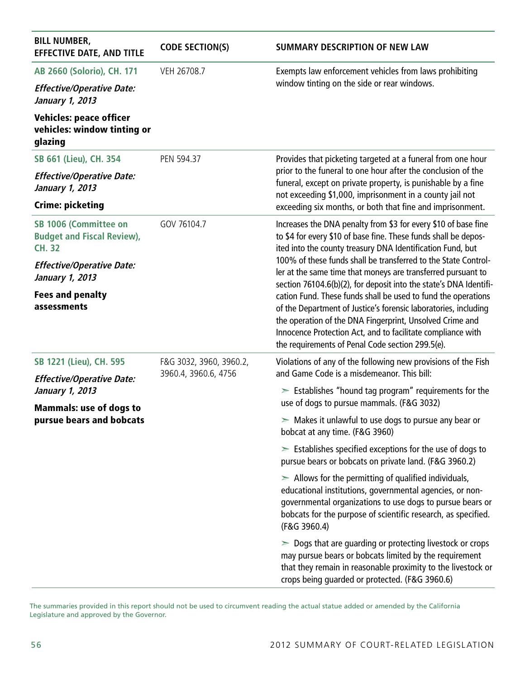| <b>BILL NUMBER,</b><br><b>EFFECTIVE DATE, AND TITLE</b>                     | <b>CODE SECTION(S)</b>  | SUMMARY DESCRIPTION OF NEW LAW                                                                                                                                                                                                                                                                                  |
|-----------------------------------------------------------------------------|-------------------------|-----------------------------------------------------------------------------------------------------------------------------------------------------------------------------------------------------------------------------------------------------------------------------------------------------------------|
| AB 2660 (Solorio), CH. 171                                                  | VEH 26708.7             | Exempts law enforcement vehicles from laws prohibiting                                                                                                                                                                                                                                                          |
| <b>Effective/Operative Date:</b><br>January 1, 2013                         |                         | window tinting on the side or rear windows.                                                                                                                                                                                                                                                                     |
| <b>Vehicles: peace officer</b><br>vehicles: window tinting or<br>glazing    |                         |                                                                                                                                                                                                                                                                                                                 |
| SB 661 (Lieu), CH. 354                                                      | PEN 594.37              | Provides that picketing targeted at a funeral from one hour                                                                                                                                                                                                                                                     |
| <b>Effective/Operative Date:</b><br>January 1, 2013                         |                         | prior to the funeral to one hour after the conclusion of the<br>funeral, except on private property, is punishable by a fine<br>not exceeding \$1,000, imprisonment in a county jail not                                                                                                                        |
| <b>Crime: picketing</b>                                                     |                         | exceeding six months, or both that fine and imprisonment.                                                                                                                                                                                                                                                       |
| SB 1006 (Committee on<br><b>Budget and Fiscal Review),</b><br><b>CH. 32</b> | GOV 76104.7             | Increases the DNA penalty from \$3 for every \$10 of base fine<br>to \$4 for every \$10 of base fine. These funds shall be depos-<br>ited into the county treasury DNA Identification Fund, but                                                                                                                 |
| <b>Effective/Operative Date:</b><br>January 1, 2013                         |                         | 100% of these funds shall be transferred to the State Control-<br>ler at the same time that moneys are transferred pursuant to<br>section 76104.6(b)(2), for deposit into the state's DNA Identifi-                                                                                                             |
| <b>Fees and penalty</b><br>assessments                                      |                         | cation Fund. These funds shall be used to fund the operations<br>of the Department of Justice's forensic laboratories, including<br>the operation of the DNA Fingerprint, Unsolved Crime and<br>Innocence Protection Act, and to facilitate compliance with<br>the requirements of Penal Code section 299.5(e). |
| SB 1221 (Lieu), CH. 595                                                     | F&G 3032, 3960, 3960.2, | Violations of any of the following new provisions of the Fish                                                                                                                                                                                                                                                   |
| <b>Effective/Operative Date:</b>                                            | 3960.4, 3960.6, 4756    | and Game Code is a misdemeanor. This bill:                                                                                                                                                                                                                                                                      |
| January 1, 2013<br><b>Mammals: use of dogs to</b>                           |                         | $\geq$ Establishes "hound tag program" requirements for the<br>use of dogs to pursue mammals. (F&G 3032)                                                                                                                                                                                                        |
| pursue bears and bobcats                                                    |                         | $>$ Makes it unlawful to use dogs to pursue any bear or<br>bobcat at any time. (F&G 3960)                                                                                                                                                                                                                       |
|                                                                             |                         | $\geq$ Establishes specified exceptions for the use of dogs to<br>pursue bears or bobcats on private land. (F&G 3960.2)                                                                                                                                                                                         |
|                                                                             |                         | $\geq$ Allows for the permitting of qualified individuals,<br>educational institutions, governmental agencies, or non-<br>governmental organizations to use dogs to pursue bears or<br>bobcats for the purpose of scientific research, as specified.<br>(F&G 3960.4)                                            |
|                                                                             |                         | $\geq$ Dogs that are guarding or protecting livestock or crops<br>may pursue bears or bobcats limited by the requirement<br>that they remain in reasonable proximity to the livestock or<br>crops being guarded or protected. (F&G 3960.6)                                                                      |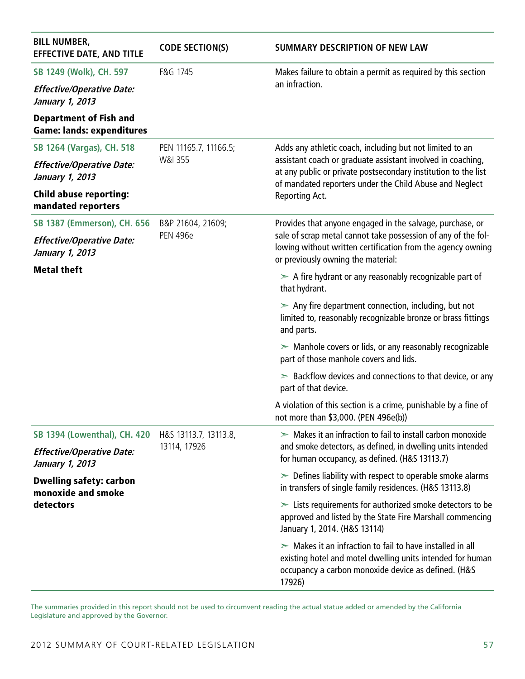| <b>BILL NUMBER,</b><br><b>EFFECTIVE DATE, AND TITLE</b>           | <b>CODE SECTION(S)</b> | <b>SUMMARY DESCRIPTION OF NEW LAW</b>                                                                                                                                                         |
|-------------------------------------------------------------------|------------------------|-----------------------------------------------------------------------------------------------------------------------------------------------------------------------------------------------|
| SB 1249 (Wolk), CH. 597                                           | F&G 1745               | Makes failure to obtain a permit as required by this section                                                                                                                                  |
| <b>Effective/Operative Date:</b><br>January 1, 2013               |                        | an infraction.                                                                                                                                                                                |
| <b>Department of Fish and</b><br><b>Game: lands: expenditures</b> |                        |                                                                                                                                                                                               |
| SB 1264 (Vargas), CH. 518                                         | PEN 11165.7, 11166.5;  | Adds any athletic coach, including but not limited to an                                                                                                                                      |
| <b>Effective/Operative Date:</b><br>January 1, 2013               | W&I 355                | assistant coach or graduate assistant involved in coaching,<br>at any public or private postsecondary institution to the list<br>of mandated reporters under the Child Abuse and Neglect      |
| <b>Child abuse reporting:</b><br>mandated reporters               |                        | Reporting Act.                                                                                                                                                                                |
| <b>SB 1387 (Emmerson), CH. 656</b>                                | B&P 21604, 21609;      | Provides that anyone engaged in the salvage, purchase, or                                                                                                                                     |
| <b>Effective/Operative Date:</b><br>January 1, 2013               | <b>PEN 496e</b>        | sale of scrap metal cannot take possession of any of the fol-<br>lowing without written certification from the agency owning<br>or previously owning the material:                            |
| <b>Metal theft</b>                                                |                        | $\geq$ A fire hydrant or any reasonably recognizable part of<br>that hydrant.                                                                                                                 |
|                                                                   |                        | $\geq$ Any fire department connection, including, but not<br>limited to, reasonably recognizable bronze or brass fittings<br>and parts.                                                       |
|                                                                   |                        | $\triangleright$ Manhole covers or lids, or any reasonably recognizable<br>part of those manhole covers and lids.                                                                             |
|                                                                   |                        | $\geq$ Backflow devices and connections to that device, or any<br>part of that device.                                                                                                        |
|                                                                   |                        | A violation of this section is a crime, punishable by a fine of<br>not more than \$3,000. (PEN 496e(b))                                                                                       |
| <b>SB 1394 (Lowenthal), CH. 420</b>                               | H&S 13113.7, 13113.8,  | $\geq$ Makes it an infraction to fail to install carbon monoxide                                                                                                                              |
| <b>Effective/Operative Date:</b><br>January 1, 2013               | 13114, 17926           | and smoke detectors, as defined, in dwelling units intended<br>for human occupancy, as defined. (H&S 13113.7)                                                                                 |
| <b>Dwelling safety: carbon</b><br>monoxide and smoke              |                        | $\geq$ Defines liability with respect to operable smoke alarms<br>in transfers of single family residences. (H&S 13113.8)                                                                     |
| detectors                                                         |                        | $\geq$ Lists requirements for authorized smoke detectors to be<br>approved and listed by the State Fire Marshall commencing<br>January 1, 2014. (H&S 13114)                                   |
|                                                                   |                        | $\geq$ Makes it an infraction to fail to have installed in all<br>existing hotel and motel dwelling units intended for human<br>occupancy a carbon monoxide device as defined. (H&S<br>17926) |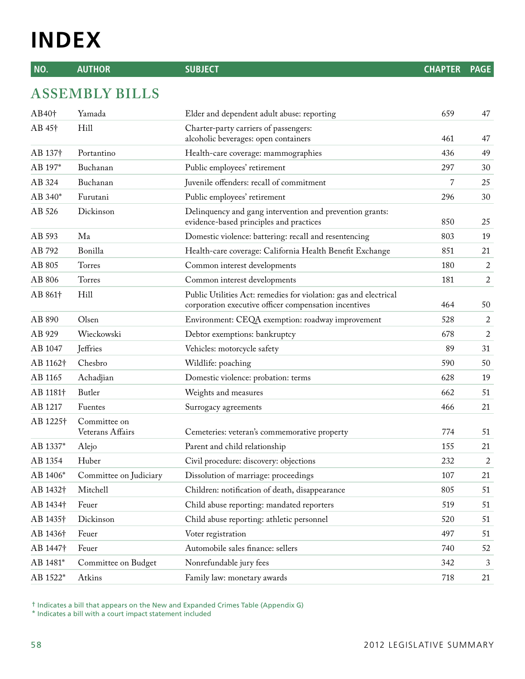# **INDEX**

**NO. AUTHOR SUBJECT CHAPTER PAGE**

## **ASSEMBLY BILLS**

| AB40 <sup>+</sup>    | Yamada                           | Elder and dependent adult abuse: reporting                                                                                | 659 | 47               |
|----------------------|----------------------------------|---------------------------------------------------------------------------------------------------------------------------|-----|------------------|
| AB 45 <sup>+</sup>   | Hill                             | Charter-party carriers of passengers:<br>alcoholic beverages: open containers                                             | 461 | 47               |
| AB 137†              | Portantino                       | Health-care coverage: mammographies                                                                                       | 436 | 49               |
| AB 197*              | Buchanan                         | Public employees' retirement                                                                                              | 297 | 30               |
| AB 324               | Buchanan                         | Juvenile offenders: recall of commitment                                                                                  | 7   | 25               |
| AB 340*              | Furutani                         | Public employees' retirement                                                                                              | 296 | 30               |
| AB 526               | Dickinson                        | Delinquency and gang intervention and prevention grants:<br>evidence-based principles and practices                       | 850 | 25               |
| AB 593               | Ma                               | Domestic violence: battering: recall and resentencing                                                                     | 803 | 19               |
| AB 792               | Bonilla                          | Health-care coverage: California Health Benefit Exchange                                                                  | 851 | 21               |
| AB 805               | Torres                           | Common interest developments                                                                                              | 180 | $\overline{c}$   |
| AB 806               | Torres                           | Common interest developments                                                                                              | 181 | $\overline{2}$   |
| AB 861 <sup>+</sup>  | Hill                             | Public Utilities Act: remedies for violation: gas and electrical<br>corporation executive officer compensation incentives | 464 | 50               |
| AB 890               | Olsen                            | Environment: CEQA exemption: roadway improvement                                                                          | 528 | 2                |
| AB 929               | Wieckowski                       | Debtor exemptions: bankruptcy                                                                                             | 678 | $\boldsymbol{2}$ |
| AB 1047              | Jeffries                         | Vehicles: motorcycle safety                                                                                               | 89  | 31               |
| AB 1162 <sup>+</sup> | Chesbro                          | Wildlife: poaching                                                                                                        | 590 | 50               |
| AB 1165              | Achadjian                        | Domestic violence: probation: terms                                                                                       | 628 | 19               |
| AB 1181 <sup>+</sup> | Butler                           | Weights and measures                                                                                                      | 662 | 51               |
| AB 1217              | Fuentes                          | Surrogacy agreements                                                                                                      | 466 | 21               |
| AB 1225†             | Committee on<br>Veterans Affairs | Cemeteries: veteran's commemorative property                                                                              | 774 | 51               |
| AB 1337*             | Alejo                            | Parent and child relationship                                                                                             | 155 | 21               |
| AB 1354              | Huber                            | Civil procedure: discovery: objections                                                                                    | 232 | $\overline{2}$   |
| AB 1406*             | Committee on Judiciary           | Dissolution of marriage: proceedings                                                                                      | 107 | 21               |
| AB 1432†             | Mitchell                         | Children: notification of death, disappearance                                                                            | 805 | 51               |
| AB 1434†             | Feuer                            | Child abuse reporting: mandated reporters                                                                                 | 519 | 51               |
| AB 1435†             | Dickinson                        | Child abuse reporting: athletic personnel                                                                                 | 520 | 51               |
| AB 1436†             | Feuer                            | Voter registration                                                                                                        | 497 | 51               |
| AB 1447†             | Feuer                            | Automobile sales finance: sellers                                                                                         | 740 | 52               |
| AB 1481*             | Committee on Budget              | Nonrefundable jury fees                                                                                                   | 342 | 3                |
| AB 1522*             | Atkins                           | Family law: monetary awards                                                                                               | 718 | 21               |

† Indicates a bill that appears on the New and Expanded Crimes Table (Appendix G)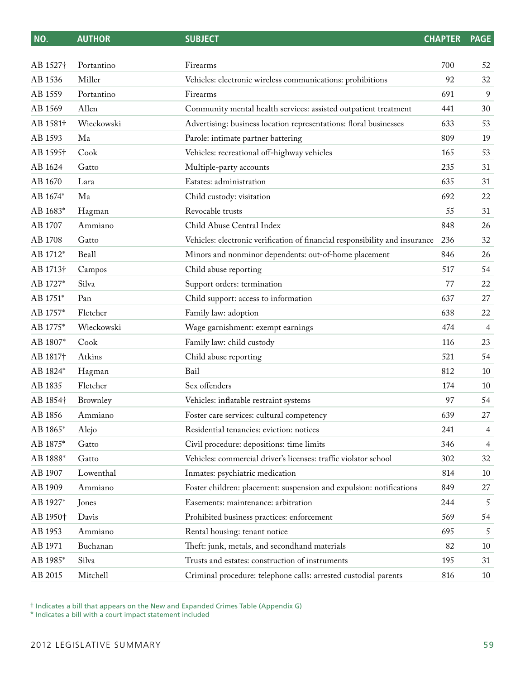| NO.                  | <b>AUTHOR</b> | <b>SUBJECT</b>                                                              | <b>CHAPTER</b> | <b>PAGE</b> |
|----------------------|---------------|-----------------------------------------------------------------------------|----------------|-------------|
| AB 1527 <sup>+</sup> | Portantino    | Firearms                                                                    | 700            | 52          |
| AB 1536              | Miller        | Vehicles: electronic wireless communications: prohibitions                  | 92             | 32          |
| AB 1559              | Portantino    | Firearms                                                                    | 691            | 9           |
| AB 1569              | Allen         | Community mental health services: assisted outpatient treatment             | 441            | 30          |
| AB 1581 <sup>+</sup> | Wieckowski    | Advertising: business location representations: floral businesses           | 633            | 53          |
| AB 1593              | Ma            | Parole: intimate partner battering                                          | 809            | 19          |
| AB 1595 <sup>+</sup> | Cook          | Vehicles: recreational off-highway vehicles                                 | 165            | 53          |
| AB 1624              | Gatto         | Multiple-party accounts                                                     | 235            | 31          |
| AB 1670              | Lara          | Estates: administration                                                     | 635            | 31          |
| AB 1674*             | Ma            | Child custody: visitation                                                   | 692            | 22          |
| AB 1683*             | Hagman        | Revocable trusts                                                            | 55             | 31          |
| AB 1707              | Ammiano       | Child Abuse Central Index                                                   | 848            | 26          |
| AB 1708              | Gatto         | Vehicles: electronic verification of financial responsibility and insurance | 236            | 32          |
| AB 1712*             | Beall         | Minors and nonminor dependents: out-of-home placement                       | 846            | 26          |
| AB 1713†             | Campos        | Child abuse reporting                                                       | 517            | 54          |
| AB 1727*             | Silva         | Support orders: termination                                                 | 77             | 22          |
| AB 1751*             | Pan           | Child support: access to information                                        | 637            | 27          |
| AB 1757*             | Fletcher      | Family law: adoption                                                        | 638            | 22          |
| AB 1775*             | Wieckowski    | Wage garnishment: exempt earnings                                           | 474            | 4           |
| AB 1807*             | Cook          | Family law: child custody                                                   | 116            | 23          |
| AB 1817 <sup>+</sup> | Atkins        | Child abuse reporting                                                       | 521            | 54          |
| AB 1824*             | Hagman        | Bail                                                                        | 812            | 10          |
| AB 1835              | Fletcher      | Sex offenders                                                               | 174            | 10          |
| AB 1854†             | Brownley      | Vehicles: inflatable restraint systems                                      | 97             | 54          |
| AB 1856              | Ammiano       | Foster care services: cultural competency                                   | 639            | 27          |
| AB 1865*             | Alejo         | Residential tenancies: eviction: notices                                    | 241            | 4           |
| AB 1875*             | Gatto         | Civil procedure: depositions: time limits                                   | 346            | 4           |
| AB 1888*             | Gatto         | Vehicles: commercial driver's licenses: traffic violator school             | 302            | 32          |
| AB 1907              | Lowenthal     | Inmates: psychiatric medication                                             | 814            | 10          |
| AB 1909              | Ammiano       | Foster children: placement: suspension and expulsion: notifications         | 849            | 27          |
| AB 1927*             | Jones         | Easements: maintenance: arbitration                                         | 244            | 5           |
| AB 1950†             | Davis         | Prohibited business practices: enforcement                                  | 569            | 54          |
| AB 1953              | Ammiano       | Rental housing: tenant notice                                               | 695            | 5           |
| AB 1971              | Buchanan      | Theft: junk, metals, and secondhand materials                               | 82             | 10          |
| AB 1985*             | Silva         | Trusts and estates: construction of instruments                             | 195            | 31          |
| AB 2015              | Mitchell      | Criminal procedure: telephone calls: arrested custodial parents             | 816            | 10          |

† Indicates a bill that appears on the New and Expanded Crimes Table (Appendix G)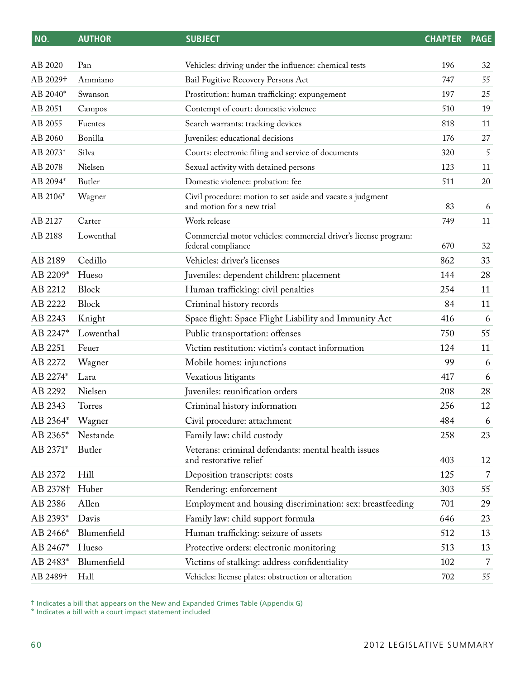| NO.                  | <b>AUTHOR</b> | <b>SUBJECT</b>                                                                           | <b>CHAPTER</b> | <b>PAGE</b>    |
|----------------------|---------------|------------------------------------------------------------------------------------------|----------------|----------------|
| AB 2020              | Pan           | Vehicles: driving under the influence: chemical tests                                    | 196            | 32             |
| AB 2029†             | Ammiano       | Bail Fugitive Recovery Persons Act                                                       | 747            | 55             |
| AB 2040*             | Swanson       | Prostitution: human trafficking: expungement                                             | 197            | 25             |
| AB 2051              | Campos        | Contempt of court: domestic violence                                                     | 510            | 19             |
| AB 2055              | Fuentes       | Search warrants: tracking devices                                                        | 818            | 11             |
| AB 2060              | Bonilla       | Juveniles: educational decisions                                                         | 176            | 27             |
| AB 2073*             | Silva         | Courts: electronic filing and service of documents                                       | 320            | 5              |
| AB 2078              | Nielsen       | Sexual activity with detained persons                                                    | 123            | 11             |
| AB 2094*             | Butler        | Domestic violence: probation: fee                                                        | 511            | 20             |
| AB 2106*             | Wagner        | Civil procedure: motion to set aside and vacate a judgment<br>and motion for a new trial | 83             | 6              |
| AB 2127              | Carter        | Work release                                                                             | 749            | 11             |
| AB 2188              | Lowenthal     | Commercial motor vehicles: commercial driver's license program:<br>federal compliance    | 670            | 32             |
| AB 2189              | Cedillo       | Vehicles: driver's licenses                                                              | 862            | 33             |
| AB 2209*             | Hueso         | Juveniles: dependent children: placement                                                 | 144            | 28             |
| AB 2212              | Block         | Human trafficking: civil penalties                                                       | 254            | 11             |
| AB 2222              | Block         | Criminal history records                                                                 | 84             | 11             |
| AB 2243              | Knight        | Space flight: Space Flight Liability and Immunity Act                                    | 416            | 6              |
| AB 2247*             | Lowenthal     | Public transportation: offenses                                                          | 750            | 55             |
| AB 2251              | Feuer         | Victim restitution: victim's contact information                                         | 124            | 11             |
| AB 2272              | Wagner        | Mobile homes: injunctions                                                                | 99             | 6              |
| AB 2274*             | Lara          | Vexatious litigants                                                                      | 417            | 6              |
| AB 2292              | Nielsen       | Juveniles: reunification orders                                                          | 208            | 28             |
| AB 2343              | Torres        | Criminal history information                                                             | 256            | 12             |
| AB 2364* Wagner      |               | Civil procedure: attachment                                                              | 484            | 6              |
| AB 2365*             | Nestande      | Family law: child custody                                                                | 258            | 23             |
| AB 2371*             | Butler        | Veterans: criminal defendants: mental health issues<br>and restorative relief            | 403            | 12             |
| AB 2372              | Hill          | Deposition transcripts: costs                                                            | 125            | $\overline{7}$ |
| AB 2378 <sup>+</sup> | Huber         | Rendering: enforcement                                                                   | 303            | 55             |
| AB 2386              | Allen         | Employment and housing discrimination: sex: breastfeeding                                | 701            | 29             |
| AB 2393*             | Davis         | Family law: child support formula                                                        | 646            | 23             |
| AB 2466*             | Blumenfield   | Human trafficking: seizure of assets                                                     | 512            | 13             |
| AB 2467*             | Hueso         | Protective orders: electronic monitoring                                                 | 513            | 13             |
| AB 2483*             | Blumenfield   | Victims of stalking: address confidentiality                                             | 102            | 7              |
| AB 2489†             | Hall          | Vehicles: license plates: obstruction or alteration                                      | 702            | 55             |
|                      |               |                                                                                          |                |                |

† Indicates a bill that appears on the New and Expanded Crimes Table (Appendix G)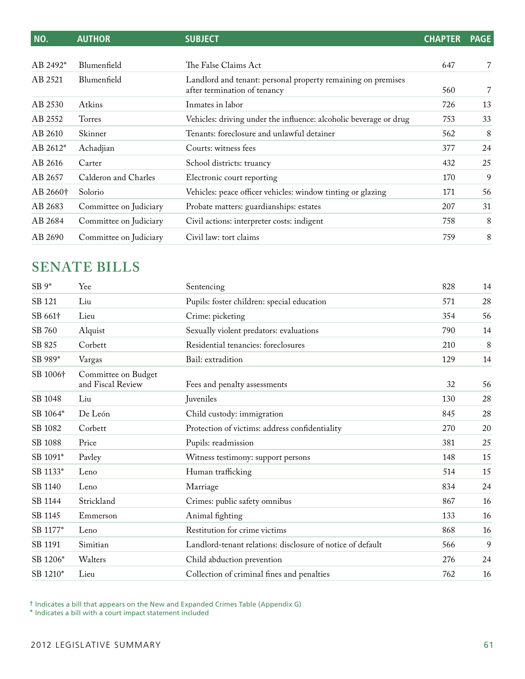| NO.                  | <b>AUTHOR</b>          | <b>SUBJECT</b>                                                                               | <b>CHAPTER</b> | <b>PAGE</b> |
|----------------------|------------------------|----------------------------------------------------------------------------------------------|----------------|-------------|
|                      |                        |                                                                                              |                |             |
| AB 2492 <sup>*</sup> | Blumenfield            | The False Claims Act                                                                         | 647            | 7           |
| AB 2521              | Blumenfield            | Landlord and tenant: personal property remaining on premises<br>after termination of tenancy | 560            | 7           |
| AB 2530              | Atkins                 | Inmates in labor                                                                             | 726            | 13          |
| AB 2552              | Torres                 | Vehicles: driving under the influence: alcoholic beverage or drug                            | 753            | 33          |
| AB 2610              | Skinner                | Tenants: foreclosure and unlawful detainer                                                   | 562            | 8           |
| AB 2612*             | Achadjian              | Courts: witness fees                                                                         | 377            | 24          |
| AB 2616              | Carter                 | School districts: truancy                                                                    | 432            | 25          |
| AB 2657              | Calderon and Charles   | Electronic court reporting                                                                   | 170            | 9           |
| AB 2660 <sup>+</sup> | Solorio                | Vehicles: peace officer vehicles: window tinting or glazing                                  | 171            | 56          |
| AB 2683              | Committee on Judiciary | Probate matters: guardianships: estates                                                      | 207            | 31          |
| AB 2684              | Committee on Judiciary | Civil actions: interpreter costs: indigent                                                   | 758            | 8           |
| AB 2690              | Committee on Judiciary | Civil law: tort claims                                                                       | 759            | 8           |

## **Senate Bills**

| $SB 9*$             | Yee                                      | Sentencing                                                 | 828 | 14 |
|---------------------|------------------------------------------|------------------------------------------------------------|-----|----|
| SB 121              | Liu                                      | Pupils: foster children: special education                 | 571 | 28 |
| SB 661 <sup>+</sup> | Lieu                                     | Crime: picketing                                           | 354 | 56 |
| SB 760              | Alquist                                  | Sexually violent predators: evaluations                    | 790 | 14 |
| SB 825              | Corbett                                  | Residential tenancies: foreclosures                        | 210 | 8  |
| SB 989*             | Vargas                                   | Bail: extradition                                          | 129 | 14 |
| SB 1006+            | Committee on Budget<br>and Fiscal Review | Fees and penalty assessments                               | 32  | 56 |
| SB 1048             | Liu                                      | Juveniles                                                  | 130 | 28 |
| SB 1064*            | De León                                  | Child custody: immigration                                 | 845 | 28 |
| SB 1082             | Corbett                                  | Protection of victims: address confidentiality             | 270 | 20 |
| SB 1088             | Price                                    | Pupils: readmission                                        | 381 | 25 |
| SB 1091*            | Pavley                                   | Witness testimony: support persons                         | 148 | 15 |
| SB 1133*            | Leno                                     | Human trafficking                                          | 514 | 15 |
| SB 1140             | Leno                                     | Marriage                                                   | 834 | 24 |
| SB 1144             | Strickland                               | Crimes: public safety omnibus                              | 867 | 16 |
| SB 1145             | Emmerson                                 | Animal fighting                                            | 133 | 16 |
| SB 1177*            | Leno                                     | Restitution for crime victims                              | 868 | 16 |
| SB 1191             | Simitian                                 | Landlord-tenant relations: disclosure of notice of default | 566 | 9  |
| SB 1206*            | Walters                                  | Child abduction prevention                                 | 276 | 24 |
| SB 1210*            | Lieu                                     | Collection of criminal fines and penalties                 | 762 | 16 |

† Indicates a bill that appears on the New and Expanded Crimes Table (Appendix G)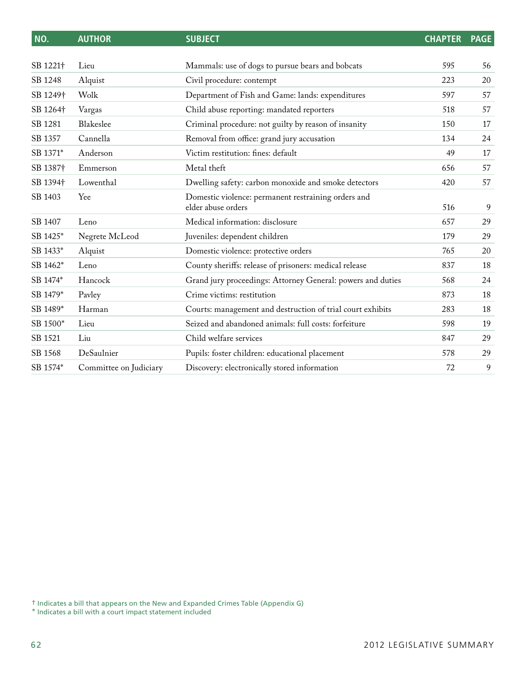| NO.                  | <b>AUTHOR</b>          | <b>SUBJECT</b>                                                            | <b>CHAPTER</b> | <b>PAGE</b> |
|----------------------|------------------------|---------------------------------------------------------------------------|----------------|-------------|
|                      |                        |                                                                           |                |             |
| SB 1221+             | Lieu                   | Mammals: use of dogs to pursue bears and bobcats                          | 595            | 56          |
| SB 1248              | Alquist                | Civil procedure: contempt                                                 | 223            | 20          |
| SB 1249 <sup>+</sup> | Wolk                   | Department of Fish and Game: lands: expenditures                          | 597            | 57          |
| SB 1264 <sup>+</sup> | Vargas                 | Child abuse reporting: mandated reporters                                 | 518            | 57          |
| SB 1281              | Blakeslee              | Criminal procedure: not guilty by reason of insanity                      | 150            | 17          |
| SB 1357              | Cannella               | Removal from office: grand jury accusation                                | 134            | 24          |
| SB 1371*             | Anderson               | Victim restitution: fines: default                                        | 49             | 17          |
| SB 1387 <sup>+</sup> | Emmerson               | Metal theft                                                               | 656            | 57          |
| SB 1394 <sup>+</sup> | Lowenthal              | Dwelling safety: carbon monoxide and smoke detectors                      | 420            | 57          |
| SB 1403              | Yee                    | Domestic violence: permanent restraining orders and<br>elder abuse orders | 516            | 9           |
| SB 1407              | Leno                   | Medical information: disclosure                                           | 657            | 29          |
| SB 1425*             | Negrete McLeod         | Juveniles: dependent children                                             | 179            | 29          |
| SB 1433*             | Alquist                | Domestic violence: protective orders                                      | 765            | 20          |
| SB 1462*             | Leno                   | County sheriffs: release of prisoners: medical release                    | 837            | 18          |
| SB 1474*             | Hancock                | Grand jury proceedings: Attorney General: powers and duties               | 568            | 24          |
| SB 1479*             | Pavley                 | Crime victims: restitution                                                | 873            | 18          |
| SB 1489*             | Harman                 | Courts: management and destruction of trial court exhibits                | 283            | 18          |
| SB 1500*             | Lieu                   | Seized and abandoned animals: full costs: forfeiture                      | 598            | 19          |
| SB 1521              | Liu                    | Child welfare services                                                    | 847            | 29          |
| SB 1568              | DeSaulnier             | Pupils: foster children: educational placement                            | 578            | 29          |
| SB 1574*             | Committee on Judiciary | Discovery: electronically stored information                              | 72             | 9           |

† Indicates a bill that appears on the New and Expanded Crimes Table (Appendix G)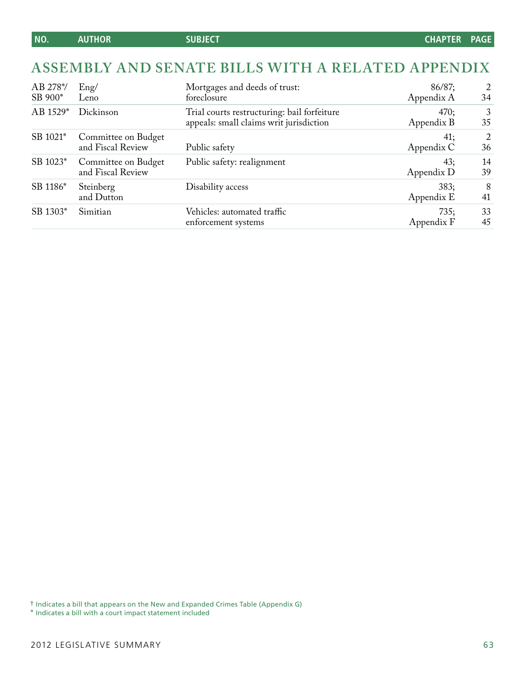## **ASSEMBLY AND Senate Bills WITH A RELATED APPENDIX**

| AB 278*/<br>SB 900* | Eng/<br>Leno                             | Mortgages and deeds of trust:<br>foreclosure                                           | 86/87;<br>Appendix A | 2<br>34  |
|---------------------|------------------------------------------|----------------------------------------------------------------------------------------|----------------------|----------|
| AB 1529*            | Dickinson                                | Trial courts restructuring: bail forfeiture<br>appeals: small claims writ jurisdiction | 470;<br>Appendix B   | 3<br>35  |
| SB 1021*            | Committee on Budget<br>and Fiscal Review | Public safety                                                                          | 41;<br>Appendix C    | 2<br>36  |
| SB 1023*            | Committee on Budget<br>and Fiscal Review | Public safety: realignment                                                             | 43;<br>Appendix D    | 14<br>39 |
| SB 1186*            | Steinberg<br>and Dutton                  | Disability access                                                                      | 383;<br>Appendix E   | -8<br>41 |
| SB 1303*            | Simitian                                 | Vehicles: automated traffic<br>enforcement systems                                     | 735;<br>Appendix F   | 33<br>45 |

† Indicates a bill that appears on the New and Expanded Crimes Table (Appendix G)